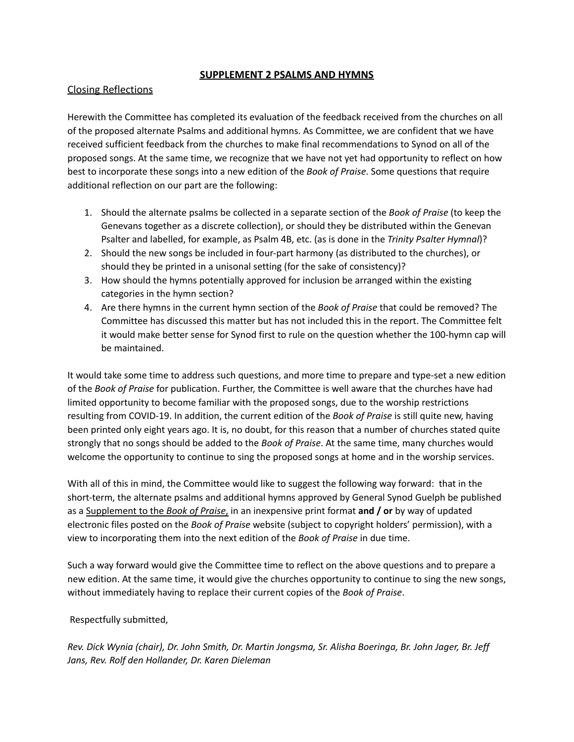### **SUPPLEMENT 2 PSALMS AND HYMNS**

# Closing Reflections

Herewith the Committee has completed its evaluation of the feedback received from the churches on all of the proposed alternate Psalms and additional hymns. As Committee, we are confident that we have received sufficient feedback from the churches to make final recommendations to Synod on all of the proposed songs. At the same time, we recognize that we have not yet had opportunity to reflect on how best to incorporate these songs into a new edition of the *Book of Praise*. Some questions that require additional reflection on our part are the following:

- 1. Should the alternate psalms be collected in a separate section of the *Book of Praise* (to keep the Genevans together as a discrete collection), or should they be distributed within the Genevan Psalter and labelled, for example, as Psalm 4B, etc. (as is done in the *Trinity Psalter Hymnal*)?
- 2. Should the new songs be included in four-part harmony (as distributed to the churches), or should they be printed in a unisonal setting (for the sake of consistency)?
- 3. How should the hymns potentially approved for inclusion be arranged within the existing categories in the hymn section?
- 4. Are there hymns in the current hymn section of the *Book of Praise* that could be removed? The Committee has discussed this matter but has not included this in the report. The Committee felt it would make better sense for Synod first to rule on the question whether the 100-hymn cap will be maintained.

It would take some time to address such questions, and more time to prepare and type-set a new edition of the *Book of Praise* for publication. Further, the Committee is well aware that the churches have had limited opportunity to become familiar with the proposed songs, due to the worship restrictions resulting from COVID-19. In addition, the current edition of the *Book of Praise* is still quite new, having been printed only eight years ago. It is, no doubt, for this reason that a number of churches stated quite strongly that no songs should be added to the *Book of Praise*. At the same time, many churches would welcome the opportunity to continue to sing the proposed songs at home and in the worship services.

With all of this in mind, the Committee would like to suggest the following way forward: that in the short-term, the alternate psalms and additional hymns approved by General Synod Guelph be published as a Supplement to the *Book of Praise*, in an inexpensive print format **and / or** by way of updated electronic files posted on the *Book of Praise* website (subject to copyright holders' permission), with a view to incorporating them into the next edition of the *Book of Praise* in due time.

Such a way forward would give the Committee time to reflect on the above questions and to prepare a new edition. At the same time, it would give the churches opportunity to continue to sing the new songs, without immediately having to replace their current copies of the *Book of Praise*.

### Respectfully submitted,

Rev. Dick Wynia (chair), Dr. John Smith, Dr. Martin Jongsma, Sr. Alisha Boeringa, Br. John Jager, Br. Jeff *Jans, Rev. Rolf den Hollander, Dr. Karen Dieleman*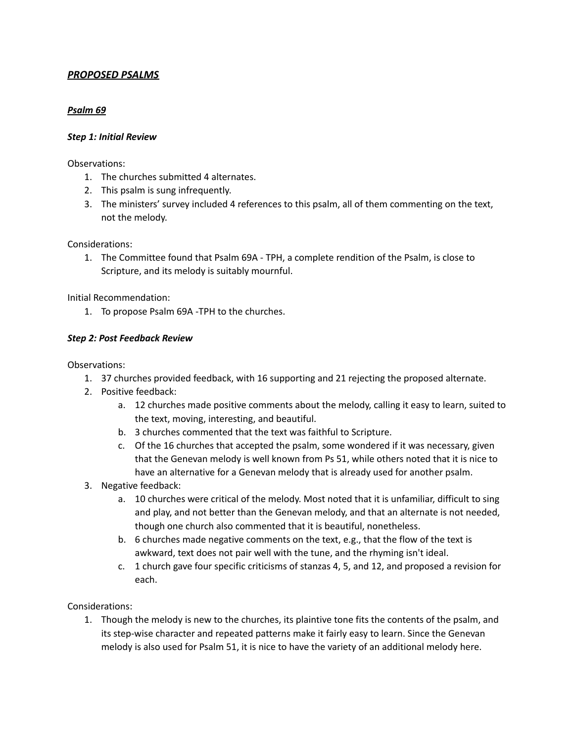# *PROPOSED PSALMS*

## *Psalm 69*

### *Step 1: Initial Review*

#### Observations:

- 1. The churches submitted 4 alternates.
- 2. This psalm is sung infrequently.
- 3. The ministers' survey included 4 references to this psalm, all of them commenting on the text, not the melody.

Considerations:

1. The Committee found that Psalm 69A - TPH, a complete rendition of the Psalm, is close to Scripture, and its melody is suitably mournful.

Initial Recommendation:

1. To propose Psalm 69A -TPH to the churches.

### *Step 2: Post Feedback Review*

Observations:

- 1. 37 churches provided feedback, with 16 supporting and 21 rejecting the proposed alternate.
- 2. Positive feedback:
	- a. 12 churches made positive comments about the melody, calling it easy to learn, suited to the text, moving, interesting, and beautiful.
	- b. 3 churches commented that the text was faithful to Scripture.
	- c. Of the 16 churches that accepted the psalm, some wondered if it was necessary, given that the Genevan melody is well known from Ps 51, while others noted that it is nice to have an alternative for a Genevan melody that is already used for another psalm.
- 3. Negative feedback:
	- a. 10 churches were critical of the melody. Most noted that it is unfamiliar, difficult to sing and play, and not better than the Genevan melody, and that an alternate is not needed, though one church also commented that it is beautiful, nonetheless.
	- b. 6 churches made negative comments on the text, e.g., that the flow of the text is awkward, text does not pair well with the tune, and the rhyming isn't ideal.
	- c. 1 church gave four specific criticisms of stanzas 4, 5, and 12, and proposed a revision for each.

Considerations:

1. Though the melody is new to the churches, its plaintive tone fits the contents of the psalm, and its step-wise character and repeated patterns make it fairly easy to learn. Since the Genevan melody is also used for Psalm 51, it is nice to have the variety of an additional melody here.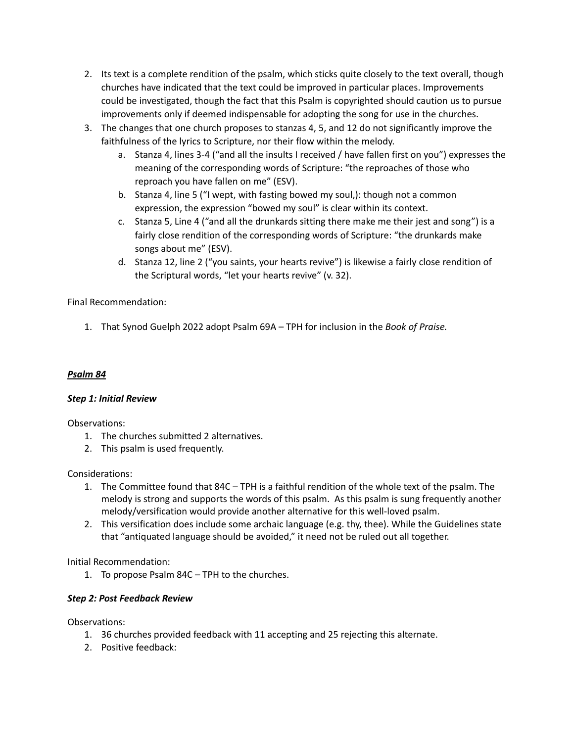- 2. Its text is a complete rendition of the psalm, which sticks quite closely to the text overall, though churches have indicated that the text could be improved in particular places. Improvements could be investigated, though the fact that this Psalm is copyrighted should caution us to pursue improvements only if deemed indispensable for adopting the song for use in the churches.
- 3. The changes that one church proposes to stanzas 4, 5, and 12 do not significantly improve the faithfulness of the lyrics to Scripture, nor their flow within the melody.
	- a. Stanza 4, lines 3-4 ("and all the insults I received / have fallen first on you") expresses the meaning of the corresponding words of Scripture: "the reproaches of those who reproach you have fallen on me" (ESV).
	- b. Stanza 4, line 5 ("I wept, with fasting bowed my soul,): though not a common expression, the expression "bowed my soul" is clear within its context.
	- c. Stanza 5, Line 4 ("and all the drunkards sitting there make me their jest and song") is a fairly close rendition of the corresponding words of Scripture: "the drunkards make songs about me" (ESV).
	- d. Stanza 12, line 2 ("you saints, your hearts revive") is likewise a fairly close rendition of the Scriptural words, "let your hearts revive" (v. 32).

# Final Recommendation:

1. That Synod Guelph 2022 adopt Psalm 69A – TPH for inclusion in the *Book of Praise.*

# *Psalm 84*

# *Step 1: Initial Review*

Observations:

- 1. The churches submitted 2 alternatives.
- 2. This psalm is used frequently.

# Considerations:

- 1. The Committee found that 84C TPH is a faithful rendition of the whole text of the psalm. The melody is strong and supports the words of this psalm. As this psalm is sung frequently another melody/versification would provide another alternative for this well-loved psalm.
- 2. This versification does include some archaic language (e.g. thy, thee). While the Guidelines state that "antiquated language should be avoided," it need not be ruled out all together.

Initial Recommendation:

1. To propose Psalm 84C – TPH to the churches.

# *Step 2: Post Feedback Review*

- 1. 36 churches provided feedback with 11 accepting and 25 rejecting this alternate.
- 2. Positive feedback: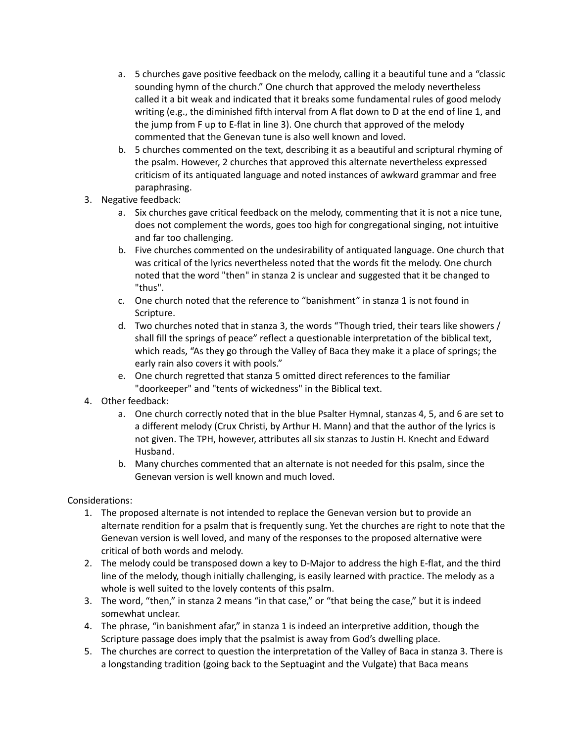- a. 5 churches gave positive feedback on the melody, calling it a beautiful tune and a "classic sounding hymn of the church." One church that approved the melody nevertheless called it a bit weak and indicated that it breaks some fundamental rules of good melody writing (e.g., the diminished fifth interval from A flat down to D at the end of line 1, and the jump from F up to E-flat in line 3). One church that approved of the melody commented that the Genevan tune is also well known and loved.
- b. 5 churches commented on the text, describing it as a beautiful and scriptural rhyming of the psalm. However, 2 churches that approved this alternate nevertheless expressed criticism of its antiquated language and noted instances of awkward grammar and free paraphrasing.
- 3. Negative feedback:
	- a. Six churches gave critical feedback on the melody, commenting that it is not a nice tune, does not complement the words, goes too high for congregational singing, not intuitive and far too challenging.
	- b. Five churches commented on the undesirability of antiquated language. One church that was critical of the lyrics nevertheless noted that the words fit the melody. One church noted that the word "then" in stanza 2 is unclear and suggested that it be changed to "thus".
	- c. One church noted that the reference to "banishment" in stanza 1 is not found in Scripture.
	- d. Two churches noted that in stanza 3, the words "Though tried, their tears like showers / shall fill the springs of peace" reflect a questionable interpretation of the biblical text, which reads, "As they go through the Valley of Baca they make it a place of springs; the early rain also covers it with pools."
	- e. One church regretted that stanza 5 omitted direct references to the familiar "doorkeeper" and "tents of wickedness" in the Biblical text.
- 4. Other feedback:
	- a. One church correctly noted that in the blue Psalter Hymnal, stanzas 4, 5, and 6 are set to a different melody (Crux Christi, by Arthur H. Mann) and that the author of the lyrics is not given. The TPH, however, attributes all six stanzas to Justin H. Knecht and Edward Husband.
	- b. Many churches commented that an alternate is not needed for this psalm, since the Genevan version is well known and much loved.

- 1. The proposed alternate is not intended to replace the Genevan version but to provide an alternate rendition for a psalm that is frequently sung. Yet the churches are right to note that the Genevan version is well loved, and many of the responses to the proposed alternative were critical of both words and melody.
- 2. The melody could be transposed down a key to D-Major to address the high E-flat, and the third line of the melody, though initially challenging, is easily learned with practice. The melody as a whole is well suited to the lovely contents of this psalm.
- 3. The word, "then," in stanza 2 means "in that case," or "that being the case," but it is indeed somewhat unclear.
- 4. The phrase, "in banishment afar," in stanza 1 is indeed an interpretive addition, though the Scripture passage does imply that the psalmist is away from God's dwelling place.
- 5. The churches are correct to question the interpretation of the Valley of Baca in stanza 3. There is a longstanding tradition (going back to the Septuagint and the Vulgate) that Baca means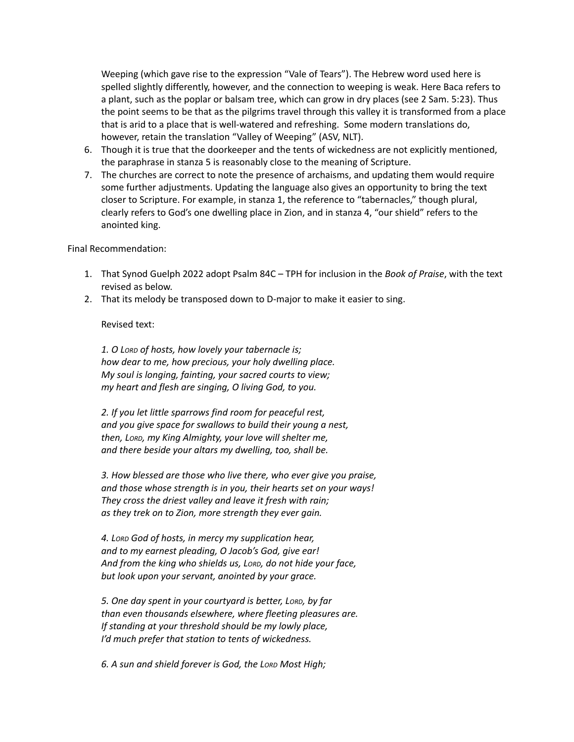Weeping (which gave rise to the expression "Vale of Tears"). The Hebrew word used here is spelled slightly differently, however, and the connection to weeping is weak. Here Baca refers to a plant, such as the poplar or balsam tree, which can grow in dry places (see 2 Sam. 5:23). Thus the point seems to be that as the pilgrims travel through this valley it is transformed from a place that is arid to a place that is well-watered and refreshing. Some modern translations do, however, retain the translation "Valley of Weeping" (ASV, NLT).

- 6. Though it is true that the doorkeeper and the tents of wickedness are not explicitly mentioned, the paraphrase in stanza 5 is reasonably close to the meaning of Scripture.
- 7. The churches are correct to note the presence of archaisms, and updating them would require some further adjustments. Updating the language also gives an opportunity to bring the text closer to Scripture. For example, in stanza 1, the reference to "tabernacles," though plural, clearly refers to God's one dwelling place in Zion, and in stanza 4, "our shield" refers to the anointed king.

#### Final Recommendation:

- 1. That Synod Guelph 2022 adopt Psalm 84C TPH for inclusion in the *Book of Praise*, with the text revised as below.
- 2. That its melody be transposed down to D-major to make it easier to sing.

#### Revised text:

*1. O LORD of hosts, how lovely your tabernacle is; how dear to me, how precious, your holy dwelling place. My soul is longing, fainting, your sacred courts to view; my heart and flesh are singing, O living God, to you.*

*2. If you let little sparrows find room for peaceful rest, and you give space for swallows to build their young a nest, then, LORD, my King Almighty, your love will shelter me, and there beside your altars my dwelling, too, shall be.*

*3. How blessed are those who live there, who ever give you praise, and those whose strength is in you, their hearts set on your ways! They cross the driest valley and leave it fresh with rain; as they trek on to Zion, more strength they ever gain.*

*4. LORD God of hosts, in mercy my supplication hear, and to my earnest pleading, O Jacob's God, give ear! And from the king who shields us, LORD, do not hide your face, but look upon your servant, anointed by your grace.*

*5. One day spent in your courtyard is better, LORD, by far than even thousands elsewhere, where fleeting pleasures are. If standing at your threshold should be my lowly place, I'd much prefer that station to tents of wickedness.*

*6. A sun and shield forever is God, the LORD Most High;*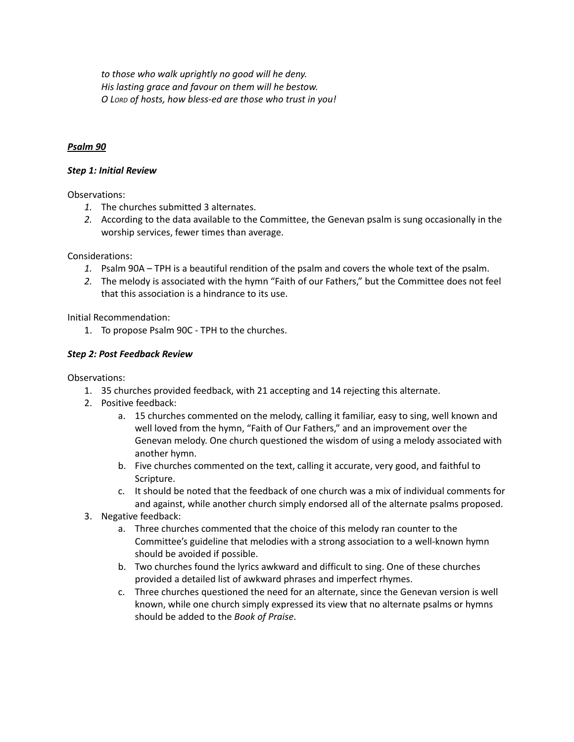*to those who walk uprightly no good will he deny. His lasting grace and favour on them will he bestow. O LORD of hosts, how bless-ed are those who trust in you!*

### *Psalm 90*

#### *Step 1: Initial Review*

Observations:

- *1.* The churches submitted 3 alternates.
- *2.* According to the data available to the Committee, the Genevan psalm is sung occasionally in the worship services, fewer times than average.

Considerations:

- *1.* Psalm 90A TPH is a beautiful rendition of the psalm and covers the whole text of the psalm.
- *2.* The melody is associated with the hymn "Faith of our Fathers," but the Committee does not feel that this association is a hindrance to its use.

Initial Recommendation:

1. To propose Psalm 90C - TPH to the churches.

### *Step 2: Post Feedback Review*

- 1. 35 churches provided feedback, with 21 accepting and 14 rejecting this alternate.
- 2. Positive feedback:
	- a. 15 churches commented on the melody, calling it familiar, easy to sing, well known and well loved from the hymn, "Faith of Our Fathers," and an improvement over the Genevan melody. One church questioned the wisdom of using a melody associated with another hymn.
	- b. Five churches commented on the text, calling it accurate, very good, and faithful to Scripture.
	- c. It should be noted that the feedback of one church was a mix of individual comments for and against, while another church simply endorsed all of the alternate psalms proposed.
- 3. Negative feedback:
	- a. Three churches commented that the choice of this melody ran counter to the Committee's guideline that melodies with a strong association to a well-known hymn should be avoided if possible.
	- b. Two churches found the lyrics awkward and difficult to sing. One of these churches provided a detailed list of awkward phrases and imperfect rhymes.
	- c. Three churches questioned the need for an alternate, since the Genevan version is well known, while one church simply expressed its view that no alternate psalms or hymns should be added to the *Book of Praise*.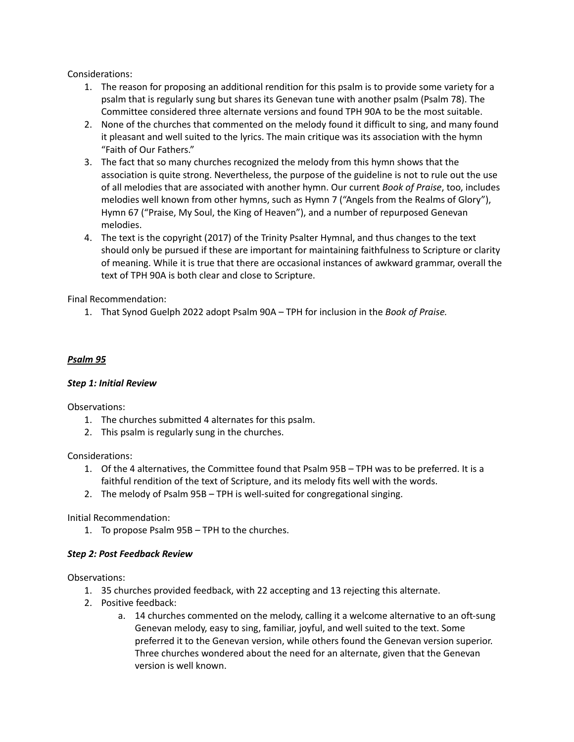- 1. The reason for proposing an additional rendition for this psalm is to provide some variety for a psalm that is regularly sung but shares its Genevan tune with another psalm (Psalm 78). The Committee considered three alternate versions and found TPH 90A to be the most suitable.
- 2. None of the churches that commented on the melody found it difficult to sing, and many found it pleasant and well suited to the lyrics. The main critique was its association with the hymn "Faith of Our Fathers."
- 3. The fact that so many churches recognized the melody from this hymn shows that the association is quite strong. Nevertheless, the purpose of the guideline is not to rule out the use of all melodies that are associated with another hymn. Our current *Book of Praise*, too, includes melodies well known from other hymns, such as Hymn 7 ("Angels from the Realms of Glory"), Hymn 67 ("Praise, My Soul, the King of Heaven"), and a number of repurposed Genevan melodies.
- 4. The text is the copyright (2017) of the Trinity Psalter Hymnal, and thus changes to the text should only be pursued if these are important for maintaining faithfulness to Scripture or clarity of meaning. While it is true that there are occasional instances of awkward grammar, overall the text of TPH 90A is both clear and close to Scripture.

Final Recommendation:

1. That Synod Guelph 2022 adopt Psalm 90A – TPH for inclusion in the *Book of Praise.*

### *Psalm 95*

### *Step 1: Initial Review*

Observations:

- 1. The churches submitted 4 alternates for this psalm.
- 2. This psalm is regularly sung in the churches.

Considerations:

- 1. Of the 4 alternatives, the Committee found that Psalm 95B TPH was to be preferred. It is a faithful rendition of the text of Scripture, and its melody fits well with the words.
- 2. The melody of Psalm 95B TPH is well-suited for congregational singing.

Initial Recommendation:

1. To propose Psalm 95B – TPH to the churches.

# *Step 2: Post Feedback Review*

- 1. 35 churches provided feedback, with 22 accepting and 13 rejecting this alternate.
- 2. Positive feedback:
	- a. 14 churches commented on the melody, calling it a welcome alternative to an oft-sung Genevan melody, easy to sing, familiar, joyful, and well suited to the text. Some preferred it to the Genevan version, while others found the Genevan version superior. Three churches wondered about the need for an alternate, given that the Genevan version is well known.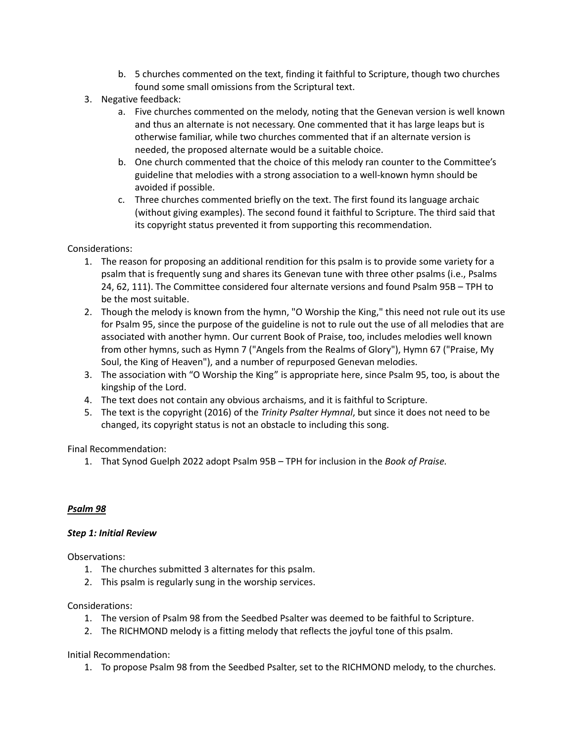- b. 5 churches commented on the text, finding it faithful to Scripture, though two churches found some small omissions from the Scriptural text.
- 3. Negative feedback:
	- a. Five churches commented on the melody, noting that the Genevan version is well known and thus an alternate is not necessary. One commented that it has large leaps but is otherwise familiar, while two churches commented that if an alternate version is needed, the proposed alternate would be a suitable choice.
	- b. One church commented that the choice of this melody ran counter to the Committee's guideline that melodies with a strong association to a well-known hymn should be avoided if possible.
	- c. Three churches commented briefly on the text. The first found its language archaic (without giving examples). The second found it faithful to Scripture. The third said that its copyright status prevented it from supporting this recommendation.

- 1. The reason for proposing an additional rendition for this psalm is to provide some variety for a psalm that is frequently sung and shares its Genevan tune with three other psalms (i.e., Psalms 24, 62, 111). The Committee considered four alternate versions and found Psalm 95B – TPH to be the most suitable.
- 2. Though the melody is known from the hymn, "O Worship the King," this need not rule out its use for Psalm 95, since the purpose of the guideline is not to rule out the use of all melodies that are associated with another hymn. Our current Book of Praise, too, includes melodies well known from other hymns, such as Hymn 7 ("Angels from the Realms of Glory"), Hymn 67 ("Praise, My Soul, the King of Heaven"), and a number of repurposed Genevan melodies.
- 3. The association with "O Worship the King" is appropriate here, since Psalm 95, too, is about the kingship of the Lord.
- 4. The text does not contain any obvious archaisms, and it is faithful to Scripture.
- 5. The text is the copyright (2016) of the *Trinity Psalter Hymnal*, but since it does not need to be changed, its copyright status is not an obstacle to including this song.

Final Recommendation:

1. That Synod Guelph 2022 adopt Psalm 95B – TPH for inclusion in the *Book of Praise.*

# *Psalm 98*

### *Step 1: Initial Review*

Observations:

- 1. The churches submitted 3 alternates for this psalm.
- 2. This psalm is regularly sung in the worship services.

### Considerations:

- 1. The version of Psalm 98 from the Seedbed Psalter was deemed to be faithful to Scripture.
- 2. The RICHMOND melody is a fitting melody that reflects the joyful tone of this psalm.

Initial Recommendation:

1. To propose Psalm 98 from the Seedbed Psalter, set to the RICHMOND melody, to the churches.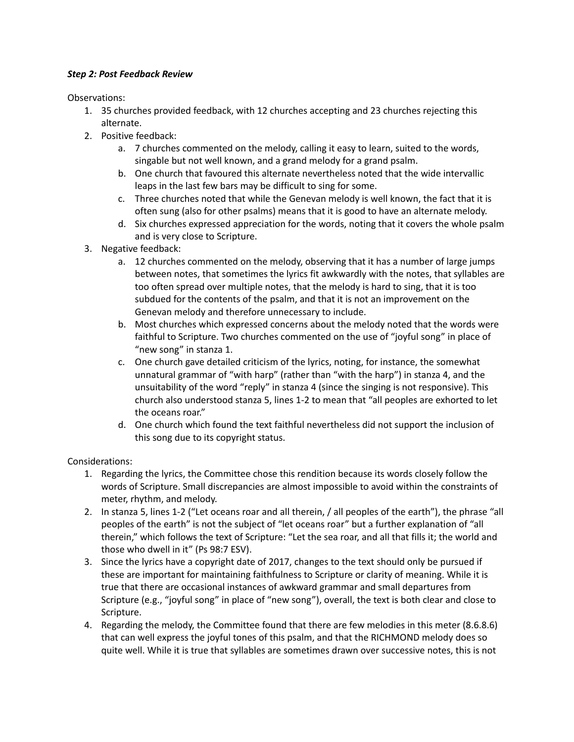### *Step 2: Post Feedback Review*

Observations:

- 1. 35 churches provided feedback, with 12 churches accepting and 23 churches rejecting this alternate.
- 2. Positive feedback:
	- a. 7 churches commented on the melody, calling it easy to learn, suited to the words, singable but not well known, and a grand melody for a grand psalm.
	- b. One church that favoured this alternate nevertheless noted that the wide intervallic leaps in the last few bars may be difficult to sing for some.
	- c. Three churches noted that while the Genevan melody is well known, the fact that it is often sung (also for other psalms) means that it is good to have an alternate melody.
	- d. Six churches expressed appreciation for the words, noting that it covers the whole psalm and is very close to Scripture.
- 3. Negative feedback:
	- a. 12 churches commented on the melody, observing that it has a number of large jumps between notes, that sometimes the lyrics fit awkwardly with the notes, that syllables are too often spread over multiple notes, that the melody is hard to sing, that it is too subdued for the contents of the psalm, and that it is not an improvement on the Genevan melody and therefore unnecessary to include.
	- b. Most churches which expressed concerns about the melody noted that the words were faithful to Scripture. Two churches commented on the use of "joyful song" in place of "new song" in stanza 1.
	- c. One church gave detailed criticism of the lyrics, noting, for instance, the somewhat unnatural grammar of "with harp" (rather than "with the harp") in stanza 4, and the unsuitability of the word "reply" in stanza 4 (since the singing is not responsive). This church also understood stanza 5, lines 1-2 to mean that "all peoples are exhorted to let the oceans roar."
	- d. One church which found the text faithful nevertheless did not support the inclusion of this song due to its copyright status.

# Considerations:

- 1. Regarding the lyrics, the Committee chose this rendition because its words closely follow the words of Scripture. Small discrepancies are almost impossible to avoid within the constraints of meter, rhythm, and melody.
- 2. In stanza 5, lines 1-2 ("Let oceans roar and all therein, / all peoples of the earth"), the phrase "all peoples of the earth" is not the subject of "let oceans roar" but a further explanation of "all therein," which follows the text of Scripture: "Let the sea roar, and all that fills it; the world and those who dwell in it" (Ps 98:7 ESV).
- 3. Since the lyrics have a copyright date of 2017, changes to the text should only be pursued if these are important for maintaining faithfulness to Scripture or clarity of meaning. While it is true that there are occasional instances of awkward grammar and small departures from Scripture (e.g., "joyful song" in place of "new song"), overall, the text is both clear and close to Scripture.
- 4. Regarding the melody, the Committee found that there are few melodies in this meter (8.6.8.6) that can well express the joyful tones of this psalm, and that the RICHMOND melody does so quite well. While it is true that syllables are sometimes drawn over successive notes, this is not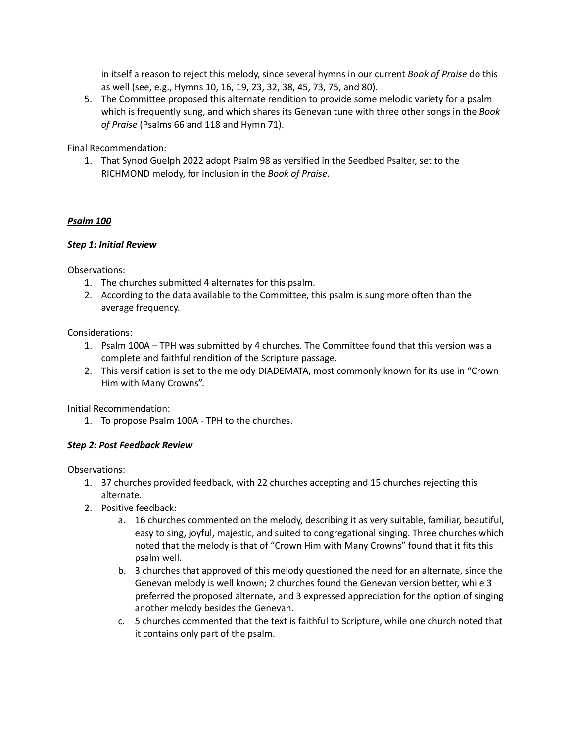in itself a reason to reject this melody, since several hymns in our current *Book of Praise* do this as well (see, e.g., Hymns 10, 16, 19, 23, 32, 38, 45, 73, 75, and 80).

5. The Committee proposed this alternate rendition to provide some melodic variety for a psalm which is frequently sung, and which shares its Genevan tune with three other songs in the *Book of Praise* (Psalms 66 and 118 and Hymn 71).

Final Recommendation:

1. That Synod Guelph 2022 adopt Psalm 98 as versified in the Seedbed Psalter, set to the RICHMOND melody, for inclusion in the *Book of Praise.*

### *Psalm 100*

### *Step 1: Initial Review*

Observations:

- 1. The churches submitted 4 alternates for this psalm.
- 2. According to the data available to the Committee, this psalm is sung more often than the average frequency.

Considerations:

- 1. Psalm 100A TPH was submitted by 4 churches. The Committee found that this version was a complete and faithful rendition of the Scripture passage.
- 2. This versification is set to the melody DIADEMATA, most commonly known for its use in "Crown Him with Many Crowns".

Initial Recommendation:

1. To propose Psalm 100A - TPH to the churches.

### *Step 2: Post Feedback Review*

- 1. 37 churches provided feedback, with 22 churches accepting and 15 churches rejecting this alternate.
- 2. Positive feedback:
	- a. 16 churches commented on the melody, describing it as very suitable, familiar, beautiful, easy to sing, joyful, majestic, and suited to congregational singing. Three churches which noted that the melody is that of "Crown Him with Many Crowns" found that it fits this psalm well.
	- b. 3 churches that approved of this melody questioned the need for an alternate, since the Genevan melody is well known; 2 churches found the Genevan version better, while 3 preferred the proposed alternate, and 3 expressed appreciation for the option of singing another melody besides the Genevan.
	- c. 5 churches commented that the text is faithful to Scripture, while one church noted that it contains only part of the psalm.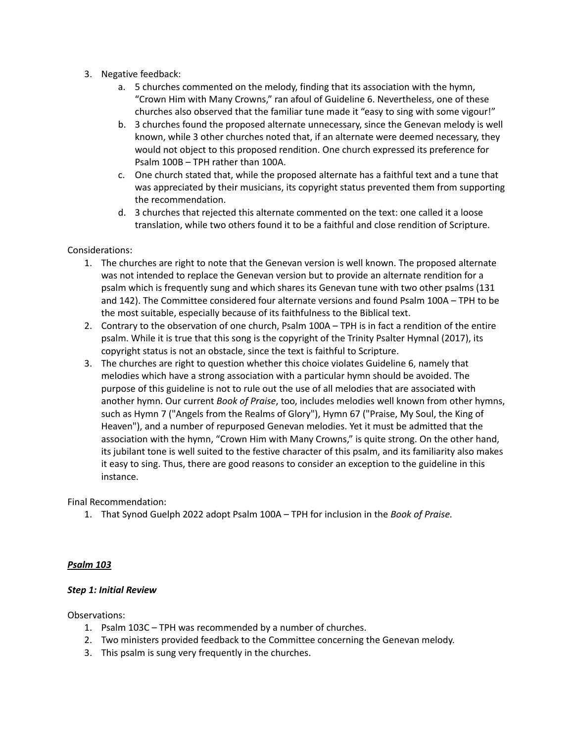- 3. Negative feedback:
	- a. 5 churches commented on the melody, finding that its association with the hymn, "Crown Him with Many Crowns," ran afoul of Guideline 6. Nevertheless, one of these churches also observed that the familiar tune made it "easy to sing with some vigour!"
	- b. 3 churches found the proposed alternate unnecessary, since the Genevan melody is well known, while 3 other churches noted that, if an alternate were deemed necessary, they would not object to this proposed rendition. One church expressed its preference for Psalm 100B – TPH rather than 100A.
	- c. One church stated that, while the proposed alternate has a faithful text and a tune that was appreciated by their musicians, its copyright status prevented them from supporting the recommendation.
	- d. 3 churches that rejected this alternate commented on the text: one called it a loose translation, while two others found it to be a faithful and close rendition of Scripture.

- 1. The churches are right to note that the Genevan version is well known. The proposed alternate was not intended to replace the Genevan version but to provide an alternate rendition for a psalm which is frequently sung and which shares its Genevan tune with two other psalms (131 and 142). The Committee considered four alternate versions and found Psalm 100A – TPH to be the most suitable, especially because of its faithfulness to the Biblical text.
- 2. Contrary to the observation of one church, Psalm 100A TPH is in fact a rendition of the entire psalm. While it is true that this song is the copyright of the Trinity Psalter Hymnal (2017), its copyright status is not an obstacle, since the text is faithful to Scripture.
- 3. The churches are right to question whether this choice violates Guideline 6, namely that melodies which have a strong association with a particular hymn should be avoided. The purpose of this guideline is not to rule out the use of all melodies that are associated with another hymn. Our current *Book of Praise*, too, includes melodies well known from other hymns, such as Hymn 7 ("Angels from the Realms of Glory"), Hymn 67 ("Praise, My Soul, the King of Heaven"), and a number of repurposed Genevan melodies. Yet it must be admitted that the association with the hymn, "Crown Him with Many Crowns," is quite strong. On the other hand, its jubilant tone is well suited to the festive character of this psalm, and its familiarity also makes it easy to sing. Thus, there are good reasons to consider an exception to the guideline in this instance.

Final Recommendation:

1. That Synod Guelph 2022 adopt Psalm 100A – TPH for inclusion in the *Book of Praise.*

### *Psalm 103*

#### *Step 1: Initial Review*

- 1. Psalm 103C TPH was recommended by a number of churches.
- 2. Two ministers provided feedback to the Committee concerning the Genevan melody.
- 3. This psalm is sung very frequently in the churches.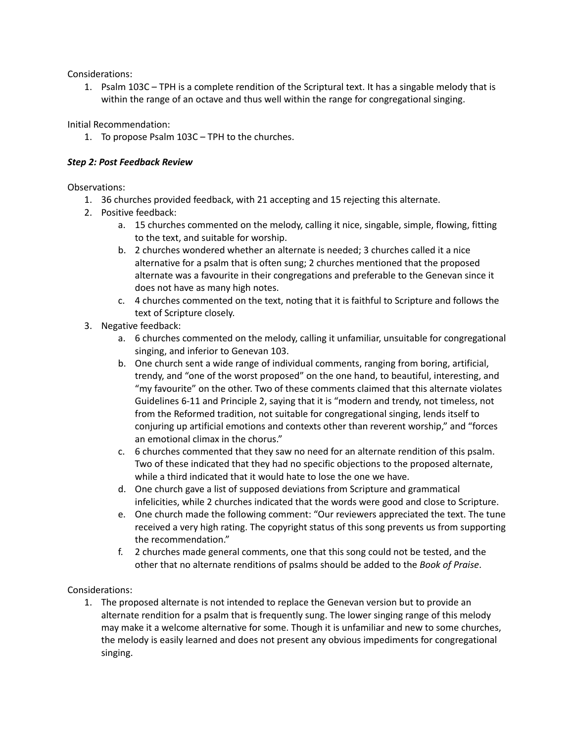1. Psalm 103C – TPH is a complete rendition of the Scriptural text. It has a singable melody that is within the range of an octave and thus well within the range for congregational singing.

Initial Recommendation:

1. To propose Psalm 103C – TPH to the churches.

### *Step 2: Post Feedback Review*

Observations:

- 1. 36 churches provided feedback, with 21 accepting and 15 rejecting this alternate.
- 2. Positive feedback:
	- a. 15 churches commented on the melody, calling it nice, singable, simple, flowing, fitting to the text, and suitable for worship.
	- b. 2 churches wondered whether an alternate is needed; 3 churches called it a nice alternative for a psalm that is often sung; 2 churches mentioned that the proposed alternate was a favourite in their congregations and preferable to the Genevan since it does not have as many high notes.
	- c. 4 churches commented on the text, noting that it is faithful to Scripture and follows the text of Scripture closely.
- 3. Negative feedback:
	- a. 6 churches commented on the melody, calling it unfamiliar, unsuitable for congregational singing, and inferior to Genevan 103.
	- b. One church sent a wide range of individual comments, ranging from boring, artificial, trendy, and "one of the worst proposed" on the one hand, to beautiful, interesting, and "my favourite" on the other. Two of these comments claimed that this alternate violates Guidelines 6-11 and Principle 2, saying that it is "modern and trendy, not timeless, not from the Reformed tradition, not suitable for congregational singing, lends itself to conjuring up artificial emotions and contexts other than reverent worship," and "forces an emotional climax in the chorus."
	- c. 6 churches commented that they saw no need for an alternate rendition of this psalm. Two of these indicated that they had no specific objections to the proposed alternate, while a third indicated that it would hate to lose the one we have.
	- d. One church gave a list of supposed deviations from Scripture and grammatical infelicities, while 2 churches indicated that the words were good and close to Scripture.
	- e. One church made the following comment: "Our reviewers appreciated the text. The tune received a very high rating. The copyright status of this song prevents us from supporting the recommendation."
	- f. 2 churches made general comments, one that this song could not be tested, and the other that no alternate renditions of psalms should be added to the *Book of Praise*.

# Considerations:

1. The proposed alternate is not intended to replace the Genevan version but to provide an alternate rendition for a psalm that is frequently sung. The lower singing range of this melody may make it a welcome alternative for some. Though it is unfamiliar and new to some churches, the melody is easily learned and does not present any obvious impediments for congregational singing.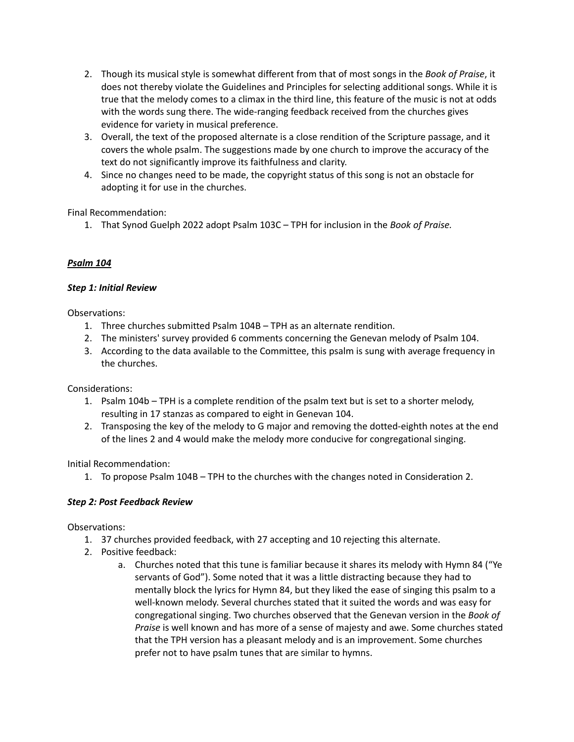- 2. Though its musical style is somewhat different from that of most songs in the *Book of Praise*, it does not thereby violate the Guidelines and Principles for selecting additional songs. While it is true that the melody comes to a climax in the third line, this feature of the music is not at odds with the words sung there. The wide-ranging feedback received from the churches gives evidence for variety in musical preference.
- 3. Overall, the text of the proposed alternate is a close rendition of the Scripture passage, and it covers the whole psalm. The suggestions made by one church to improve the accuracy of the text do not significantly improve its faithfulness and clarity.
- 4. Since no changes need to be made, the copyright status of this song is not an obstacle for adopting it for use in the churches.

Final Recommendation:

1. That Synod Guelph 2022 adopt Psalm 103C – TPH for inclusion in the *Book of Praise.*

# *Psalm 104*

# *Step 1: Initial Review*

Observations:

- 1. Three churches submitted Psalm 104B TPH as an alternate rendition.
- 2. The ministers' survey provided 6 comments concerning the Genevan melody of Psalm 104.
- 3. According to the data available to the Committee, this psalm is sung with average frequency in the churches.

Considerations:

- 1. Psalm 104b TPH is a complete rendition of the psalm text but is set to a shorter melody, resulting in 17 stanzas as compared to eight in Genevan 104.
- 2. Transposing the key of the melody to G major and removing the dotted-eighth notes at the end of the lines 2 and 4 would make the melody more conducive for congregational singing.

Initial Recommendation:

1. To propose Psalm 104B – TPH to the churches with the changes noted in Consideration 2.

# *Step 2: Post Feedback Review*

- 1. 37 churches provided feedback, with 27 accepting and 10 rejecting this alternate.
- 2. Positive feedback:
	- a. Churches noted that this tune is familiar because it shares its melody with Hymn 84 ("Ye servants of God"). Some noted that it was a little distracting because they had to mentally block the lyrics for Hymn 84, but they liked the ease of singing this psalm to a well-known melody. Several churches stated that it suited the words and was easy for congregational singing. Two churches observed that the Genevan version in the *Book of Praise* is well known and has more of a sense of majesty and awe. Some churches stated that the TPH version has a pleasant melody and is an improvement. Some churches prefer not to have psalm tunes that are similar to hymns.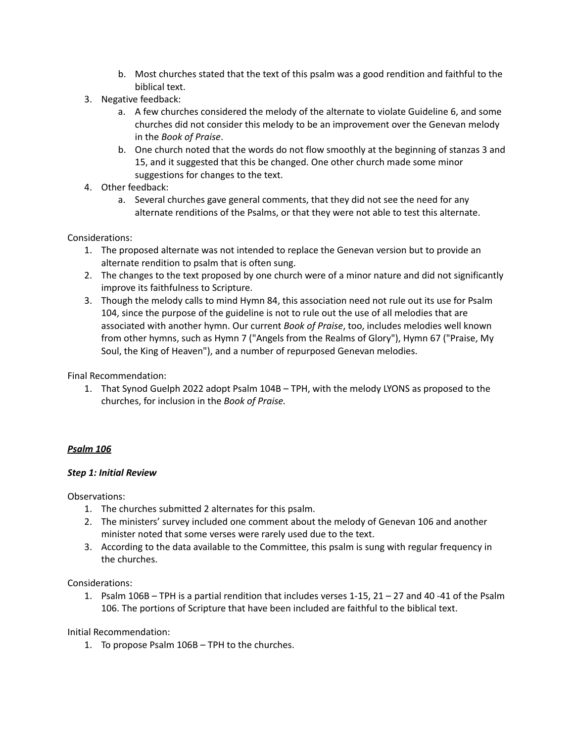- b. Most churches stated that the text of this psalm was a good rendition and faithful to the biblical text.
- 3. Negative feedback:
	- a. A few churches considered the melody of the alternate to violate Guideline 6, and some churches did not consider this melody to be an improvement over the Genevan melody in the *Book of Praise*.
	- b. One church noted that the words do not flow smoothly at the beginning of stanzas 3 and 15, and it suggested that this be changed. One other church made some minor suggestions for changes to the text.
- 4. Other feedback:
	- a. Several churches gave general comments, that they did not see the need for any alternate renditions of the Psalms, or that they were not able to test this alternate.

- 1. The proposed alternate was not intended to replace the Genevan version but to provide an alternate rendition to psalm that is often sung.
- 2. The changes to the text proposed by one church were of a minor nature and did not significantly improve its faithfulness to Scripture.
- 3. Though the melody calls to mind Hymn 84, this association need not rule out its use for Psalm 104, since the purpose of the guideline is not to rule out the use of all melodies that are associated with another hymn. Our current *Book of Praise*, too, includes melodies well known from other hymns, such as Hymn 7 ("Angels from the Realms of Glory"), Hymn 67 ("Praise, My Soul, the King of Heaven"), and a number of repurposed Genevan melodies.

Final Recommendation:

1. That Synod Guelph 2022 adopt Psalm 104B – TPH, with the melody LYONS as proposed to the churches, for inclusion in the *Book of Praise.*

### *Psalm 106*

### *Step 1: Initial Review*

Observations:

- 1. The churches submitted 2 alternates for this psalm.
- 2. The ministers' survey included one comment about the melody of Genevan 106 and another minister noted that some verses were rarely used due to the text.
- 3. According to the data available to the Committee, this psalm is sung with regular frequency in the churches.

Considerations:

1. Psalm 106B – TPH is a partial rendition that includes verses 1-15, 21 – 27 and 40 -41 of the Psalm 106. The portions of Scripture that have been included are faithful to the biblical text.

Initial Recommendation:

1. To propose Psalm 106B – TPH to the churches.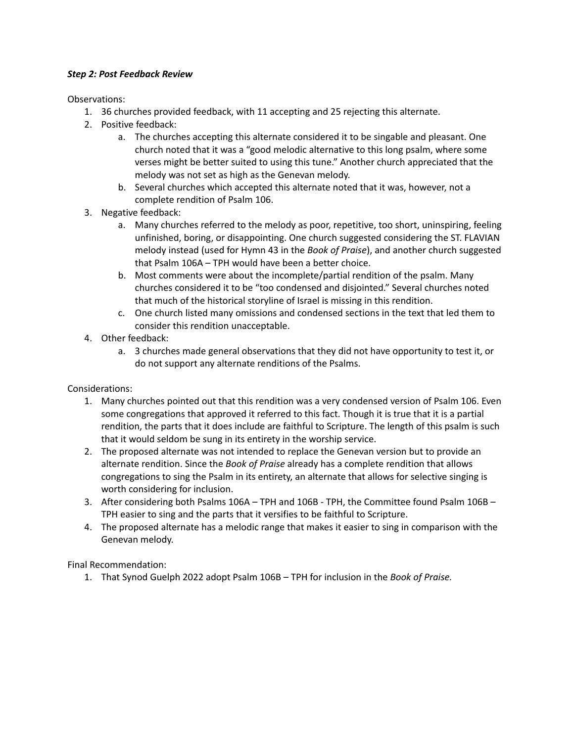### *Step 2: Post Feedback Review*

Observations:

- 1. 36 churches provided feedback, with 11 accepting and 25 rejecting this alternate.
- 2. Positive feedback:
	- a. The churches accepting this alternate considered it to be singable and pleasant. One church noted that it was a "good melodic alternative to this long psalm, where some verses might be better suited to using this tune." Another church appreciated that the melody was not set as high as the Genevan melody.
	- b. Several churches which accepted this alternate noted that it was, however, not a complete rendition of Psalm 106.
- 3. Negative feedback:
	- a. Many churches referred to the melody as poor, repetitive, too short, uninspiring, feeling unfinished, boring, or disappointing. One church suggested considering the ST. FLAVIAN melody instead (used for Hymn 43 in the *Book of Praise*), and another church suggested that Psalm 106A – TPH would have been a better choice.
	- b. Most comments were about the incomplete/partial rendition of the psalm. Many churches considered it to be "too condensed and disjointed." Several churches noted that much of the historical storyline of Israel is missing in this rendition.
	- c. One church listed many omissions and condensed sections in the text that led them to consider this rendition unacceptable.
- 4. Other feedback:
	- a. 3 churches made general observations that they did not have opportunity to test it, or do not support any alternate renditions of the Psalms.

Considerations:

- 1. Many churches pointed out that this rendition was a very condensed version of Psalm 106. Even some congregations that approved it referred to this fact. Though it is true that it is a partial rendition, the parts that it does include are faithful to Scripture. The length of this psalm is such that it would seldom be sung in its entirety in the worship service.
- 2. The proposed alternate was not intended to replace the Genevan version but to provide an alternate rendition. Since the *Book of Praise* already has a complete rendition that allows congregations to sing the Psalm in its entirety, an alternate that allows for selective singing is worth considering for inclusion.
- 3. After considering both Psalms 106A TPH and 106B TPH, the Committee found Psalm 106B TPH easier to sing and the parts that it versifies to be faithful to Scripture.
- 4. The proposed alternate has a melodic range that makes it easier to sing in comparison with the Genevan melody.

Final Recommendation:

1. That Synod Guelph 2022 adopt Psalm 106B – TPH for inclusion in the *Book of Praise.*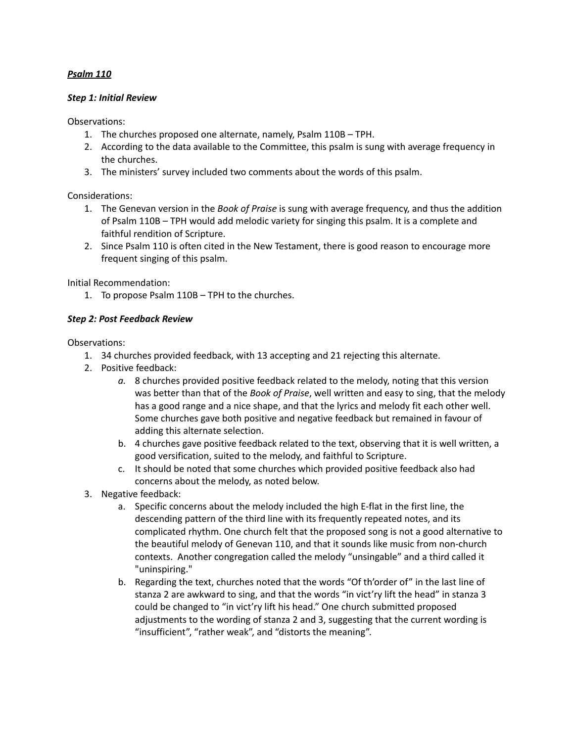### *Psalm 110*

#### *Step 1: Initial Review*

Observations:

- 1. The churches proposed one alternate, namely, Psalm 110B TPH.
- 2. According to the data available to the Committee, this psalm is sung with average frequency in the churches.
- 3. The ministers' survey included two comments about the words of this psalm.

Considerations:

- 1. The Genevan version in the *Book of Praise* is sung with average frequency, and thus the addition of Psalm 110B – TPH would add melodic variety for singing this psalm. It is a complete and faithful rendition of Scripture.
- 2. Since Psalm 110 is often cited in the New Testament, there is good reason to encourage more frequent singing of this psalm.

Initial Recommendation:

1. To propose Psalm 110B – TPH to the churches.

### *Step 2: Post Feedback Review*

- 1. 34 churches provided feedback, with 13 accepting and 21 rejecting this alternate.
- 2. Positive feedback:
	- *a.* 8 churches provided positive feedback related to the melody, noting that this version was better than that of the *Book of Praise*, well written and easy to sing, that the melody has a good range and a nice shape, and that the lyrics and melody fit each other well. Some churches gave both positive and negative feedback but remained in favour of adding this alternate selection.
	- b. 4 churches gave positive feedback related to the text, observing that it is well written, a good versification, suited to the melody, and faithful to Scripture.
	- c. It should be noted that some churches which provided positive feedback also had concerns about the melody, as noted below.
- 3. Negative feedback:
	- a. Specific concerns about the melody included the high E-flat in the first line, the descending pattern of the third line with its frequently repeated notes, and its complicated rhythm. One church felt that the proposed song is not a good alternative to the beautiful melody of Genevan 110, and that it sounds like music from non-church contexts. Another congregation called the melody "unsingable" and a third called it "uninspiring."
	- b. Regarding the text, churches noted that the words "Of th'order of" in the last line of stanza 2 are awkward to sing, and that the words "in vict'ry lift the head" in stanza 3 could be changed to "in vict'ry lift his head." One church submitted proposed adjustments to the wording of stanza 2 and 3, suggesting that the current wording is "insufficient", "rather weak", and "distorts the meaning".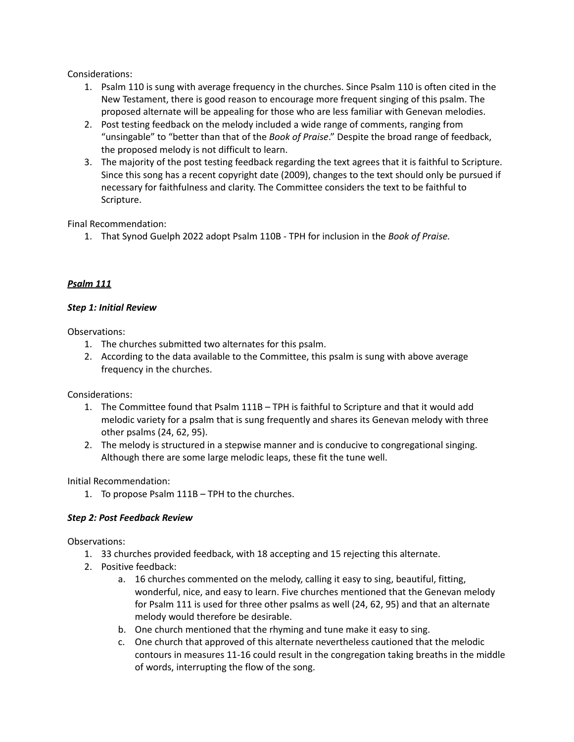- 1. Psalm 110 is sung with average frequency in the churches. Since Psalm 110 is often cited in the New Testament, there is good reason to encourage more frequent singing of this psalm. The proposed alternate will be appealing for those who are less familiar with Genevan melodies.
- 2. Post testing feedback on the melody included a wide range of comments, ranging from "unsingable" to "better than that of the *Book of Praise*." Despite the broad range of feedback, the proposed melody is not difficult to learn.
- 3. The majority of the post testing feedback regarding the text agrees that it is faithful to Scripture. Since this song has a recent copyright date (2009), changes to the text should only be pursued if necessary for faithfulness and clarity. The Committee considers the text to be faithful to Scripture.

Final Recommendation:

1. That Synod Guelph 2022 adopt Psalm 110B - TPH for inclusion in the *Book of Praise.*

# *Psalm 111*

### *Step 1: Initial Review*

Observations:

- 1. The churches submitted two alternates for this psalm.
- 2. According to the data available to the Committee, this psalm is sung with above average frequency in the churches.

Considerations:

- 1. The Committee found that Psalm 111B TPH is faithful to Scripture and that it would add melodic variety for a psalm that is sung frequently and shares its Genevan melody with three other psalms (24, 62, 95).
- 2. The melody is structured in a stepwise manner and is conducive to congregational singing. Although there are some large melodic leaps, these fit the tune well.

Initial Recommendation:

1. To propose Psalm 111B – TPH to the churches.

# *Step 2: Post Feedback Review*

- 1. 33 churches provided feedback, with 18 accepting and 15 rejecting this alternate.
- 2. Positive feedback:
	- a. 16 churches commented on the melody, calling it easy to sing, beautiful, fitting, wonderful, nice, and easy to learn. Five churches mentioned that the Genevan melody for Psalm 111 is used for three other psalms as well (24, 62, 95) and that an alternate melody would therefore be desirable.
	- b. One church mentioned that the rhyming and tune make it easy to sing.
	- c. One church that approved of this alternate nevertheless cautioned that the melodic contours in measures 11-16 could result in the congregation taking breaths in the middle of words, interrupting the flow of the song.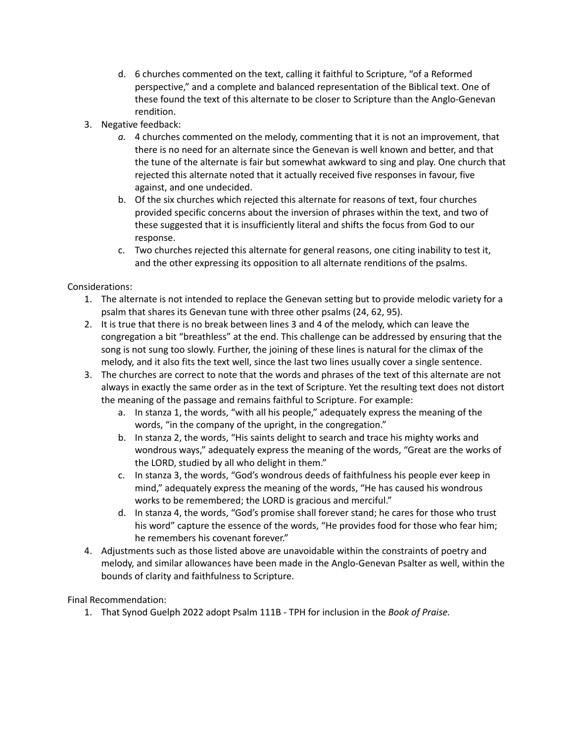- d. 6 churches commented on the text, calling it faithful to Scripture, "of a Reformed perspective," and a complete and balanced representation of the Biblical text. One of these found the text of this alternate to be closer to Scripture than the Anglo-Genevan rendition.
- 3. Negative feedback:
	- *a.* 4 churches commented on the melody, commenting that it is not an improvement, that there is no need for an alternate since the Genevan is well known and better, and that the tune of the alternate is fair but somewhat awkward to sing and play. One church that rejected this alternate noted that it actually received five responses in favour, five against, and one undecided.
	- b. Of the six churches which rejected this alternate for reasons of text, four churches provided specific concerns about the inversion of phrases within the text, and two of these suggested that it is insufficiently literal and shifts the focus from God to our response.
	- c. Two churches rejected this alternate for general reasons, one citing inability to test it, and the other expressing its opposition to all alternate renditions of the psalms.

- 1. The alternate is not intended to replace the Genevan setting but to provide melodic variety for a psalm that shares its Genevan tune with three other psalms (24, 62, 95).
- 2. It is true that there is no break between lines 3 and 4 of the melody, which can leave the congregation a bit "breathless" at the end. This challenge can be addressed by ensuring that the song is not sung too slowly. Further, the joining of these lines is natural for the climax of the melody, and it also fits the text well, since the last two lines usually cover a single sentence.
- 3. The churches are correct to note that the words and phrases of the text of this alternate are not always in exactly the same order as in the text of Scripture. Yet the resulting text does not distort the meaning of the passage and remains faithful to Scripture. For example:
	- a. In stanza 1, the words, "with all his people," adequately express the meaning of the words, "in the company of the upright, in the congregation."
	- b. In stanza 2, the words, "His saints delight to search and trace his mighty works and wondrous ways," adequately express the meaning of the words, "Great are the works of the LORD, studied by all who delight in them."
	- c. In stanza 3, the words, "God's wondrous deeds of faithfulness his people ever keep in mind," adequately express the meaning of the words, "He has caused his wondrous works to be remembered; the LORD is gracious and merciful."
	- d. In stanza 4, the words, "God's promise shall forever stand; he cares for those who trust his word" capture the essence of the words, "He provides food for those who fear him; he remembers his covenant forever."
- 4. Adjustments such as those listed above are unavoidable within the constraints of poetry and melody, and similar allowances have been made in the Anglo-Genevan Psalter as well, within the bounds of clarity and faithfulness to Scripture.

Final Recommendation:

1. That Synod Guelph 2022 adopt Psalm 111B - TPH for inclusion in the *Book of Praise.*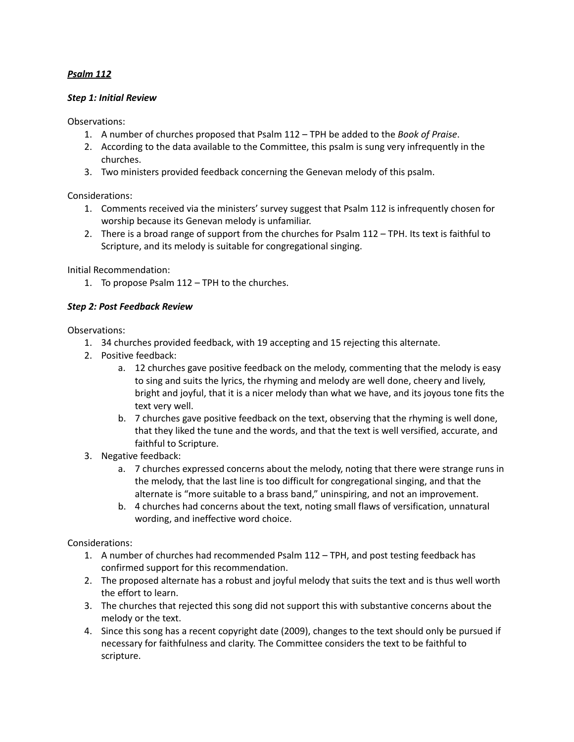## *Psalm 112*

#### *Step 1: Initial Review*

Observations:

- 1. A number of churches proposed that Psalm 112 TPH be added to the *Book of Praise*.
- 2. According to the data available to the Committee, this psalm is sung very infrequently in the churches.
- 3. Two ministers provided feedback concerning the Genevan melody of this psalm.

Considerations:

- 1. Comments received via the ministers' survey suggest that Psalm 112 is infrequently chosen for worship because its Genevan melody is unfamiliar.
- 2. There is a broad range of support from the churches for Psalm 112 TPH. Its text is faithful to Scripture, and its melody is suitable for congregational singing.

Initial Recommendation:

1. To propose Psalm 112 – TPH to the churches.

### *Step 2: Post Feedback Review*

Observations:

- 1. 34 churches provided feedback, with 19 accepting and 15 rejecting this alternate.
- 2. Positive feedback:
	- a. 12 churches gave positive feedback on the melody, commenting that the melody is easy to sing and suits the lyrics, the rhyming and melody are well done, cheery and lively, bright and joyful, that it is a nicer melody than what we have, and its joyous tone fits the text very well.
	- b. 7 churches gave positive feedback on the text, observing that the rhyming is well done, that they liked the tune and the words, and that the text is well versified, accurate, and faithful to Scripture.
- 3. Negative feedback:
	- a. 7 churches expressed concerns about the melody, noting that there were strange runs in the melody, that the last line is too difficult for congregational singing, and that the alternate is "more suitable to a brass band," uninspiring, and not an improvement.
	- b. 4 churches had concerns about the text, noting small flaws of versification, unnatural wording, and ineffective word choice.

Considerations:

- 1. A number of churches had recommended Psalm 112 TPH, and post testing feedback has confirmed support for this recommendation.
- 2. The proposed alternate has a robust and joyful melody that suits the text and is thus well worth the effort to learn.
- 3. The churches that rejected this song did not support this with substantive concerns about the melody or the text.
- 4. Since this song has a recent copyright date (2009), changes to the text should only be pursued if necessary for faithfulness and clarity. The Committee considers the text to be faithful to scripture.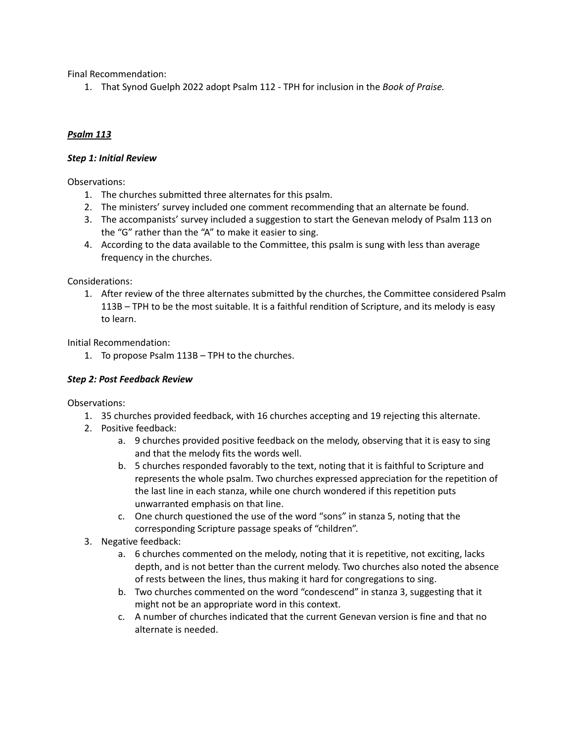Final Recommendation:

1. That Synod Guelph 2022 adopt Psalm 112 - TPH for inclusion in the *Book of Praise.*

# *Psalm 113*

### *Step 1: Initial Review*

Observations:

- 1. The churches submitted three alternates for this psalm.
- 2. The ministers' survey included one comment recommending that an alternate be found.
- 3. The accompanists' survey included a suggestion to start the Genevan melody of Psalm 113 on the "G" rather than the "A" to make it easier to sing.
- 4. According to the data available to the Committee, this psalm is sung with less than average frequency in the churches.

### Considerations:

1. After review of the three alternates submitted by the churches, the Committee considered Psalm 113B – TPH to be the most suitable. It is a faithful rendition of Scripture, and its melody is easy to learn.

Initial Recommendation:

1. To propose Psalm 113B – TPH to the churches.

# *Step 2: Post Feedback Review*

- 1. 35 churches provided feedback, with 16 churches accepting and 19 rejecting this alternate.
- 2. Positive feedback:
	- a. 9 churches provided positive feedback on the melody, observing that it is easy to sing and that the melody fits the words well.
	- b. 5 churches responded favorably to the text, noting that it is faithful to Scripture and represents the whole psalm. Two churches expressed appreciation for the repetition of the last line in each stanza, while one church wondered if this repetition puts unwarranted emphasis on that line.
	- c. One church questioned the use of the word "sons" in stanza 5, noting that the corresponding Scripture passage speaks of "children".
- 3. Negative feedback:
	- a. 6 churches commented on the melody, noting that it is repetitive, not exciting, lacks depth, and is not better than the current melody. Two churches also noted the absence of rests between the lines, thus making it hard for congregations to sing.
	- b. Two churches commented on the word "condescend" in stanza 3, suggesting that it might not be an appropriate word in this context.
	- c. A number of churches indicated that the current Genevan version is fine and that no alternate is needed.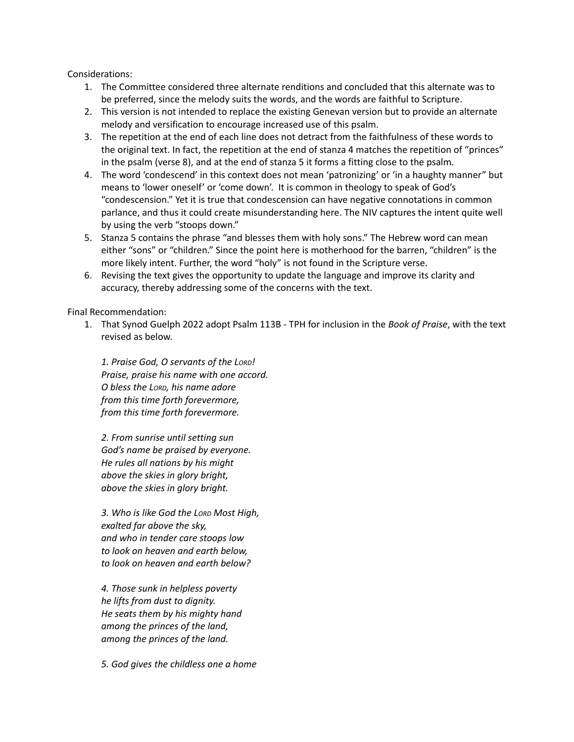- 1. The Committee considered three alternate renditions and concluded that this alternate was to be preferred, since the melody suits the words, and the words are faithful to Scripture.
- 2. This version is not intended to replace the existing Genevan version but to provide an alternate melody and versification to encourage increased use of this psalm.
- 3. The repetition at the end of each line does not detract from the faithfulness of these words to the original text. In fact, the repetition at the end of stanza 4 matches the repetition of "princes" in the psalm (verse 8), and at the end of stanza 5 it forms a fitting close to the psalm.
- 4. The word 'condescend' in this context does not mean 'patronizing' or 'in a haughty manner" but means to 'lower oneself' or 'come down'. It is common in theology to speak of God's "condescension." Yet it is true that condescension can have negative connotations in common parlance, and thus it could create misunderstanding here. The NIV captures the intent quite well by using the verb "stoops down."
- 5. Stanza 5 contains the phrase "and blesses them with holy sons." The Hebrew word can mean either "sons" or "children." Since the point here is motherhood for the barren, "children" is the more likely intent. Further, the word "holy" is not found in the Scripture verse.
- 6. Revising the text gives the opportunity to update the language and improve its clarity and accuracy, thereby addressing some of the concerns with the text.

Final Recommendation:

1. That Synod Guelph 2022 adopt Psalm 113B - TPH for inclusion in the *Book of Praise*, with the text revised as below.

*1. Praise God, O servants of the LORD! Praise, praise his name with one accord. O bless the LORD, his name adore from this time forth forevermore, from this time forth forevermore.*

*2. From sunrise until setting sun God's name be praised by everyone. He rules all nations by his might above the skies in glory bright, above the skies in glory bright.*

*3. Who is like God the LORD Most High, exalted far above the sky, and who in tender care stoops low to look on heaven and earth below, to look on heaven and earth below?*

*4. Those sunk in helpless poverty he lifts from dust to dignity. He seats them by his mighty hand among the princes of the land, among the princes of the land.*

*5. God gives the childless one a home*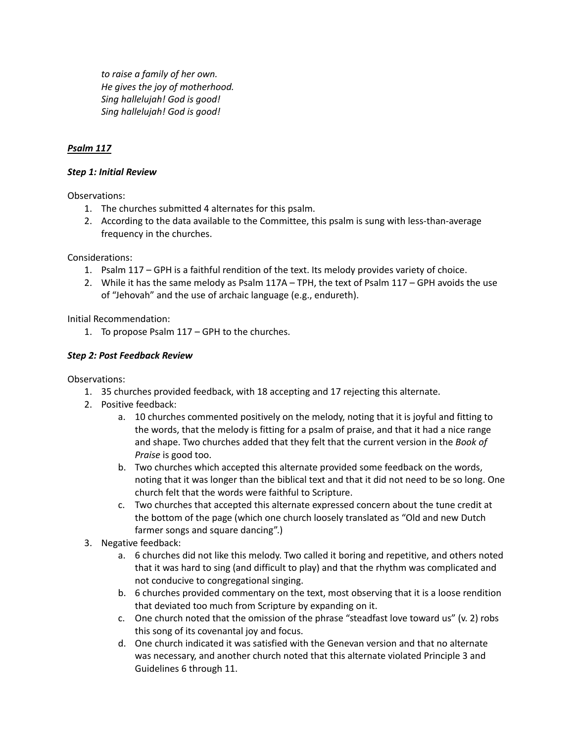*to raise a family of her own. He gives the joy of motherhood. Sing hallelujah! God is good! Sing hallelujah! God is good!*

# *Psalm 117*

### *Step 1: Initial Review*

Observations:

- 1. The churches submitted 4 alternates for this psalm.
- 2. According to the data available to the Committee, this psalm is sung with less-than-average frequency in the churches.

Considerations:

- 1. Psalm 117 GPH is a faithful rendition of the text. Its melody provides variety of choice.
- 2. While it has the same melody as Psalm 117A TPH, the text of Psalm 117 GPH avoids the use of "Jehovah" and the use of archaic language (e.g., endureth).

Initial Recommendation:

1. To propose Psalm 117 – GPH to the churches.

### *Step 2: Post Feedback Review*

- 1. 35 churches provided feedback, with 18 accepting and 17 rejecting this alternate.
- 2. Positive feedback:
	- a. 10 churches commented positively on the melody, noting that it is joyful and fitting to the words, that the melody is fitting for a psalm of praise, and that it had a nice range and shape. Two churches added that they felt that the current version in the *Book of Praise* is good too.
	- b. Two churches which accepted this alternate provided some feedback on the words, noting that it was longer than the biblical text and that it did not need to be so long. One church felt that the words were faithful to Scripture.
	- c. Two churches that accepted this alternate expressed concern about the tune credit at the bottom of the page (which one church loosely translated as "Old and new Dutch farmer songs and square dancing".)
- 3. Negative feedback:
	- a. 6 churches did not like this melody. Two called it boring and repetitive, and others noted that it was hard to sing (and difficult to play) and that the rhythm was complicated and not conducive to congregational singing.
	- b. 6 churches provided commentary on the text, most observing that it is a loose rendition that deviated too much from Scripture by expanding on it.
	- c. One church noted that the omission of the phrase "steadfast love toward us" (v. 2) robs this song of its covenantal joy and focus.
	- d. One church indicated it was satisfied with the Genevan version and that no alternate was necessary, and another church noted that this alternate violated Principle 3 and Guidelines 6 through 11.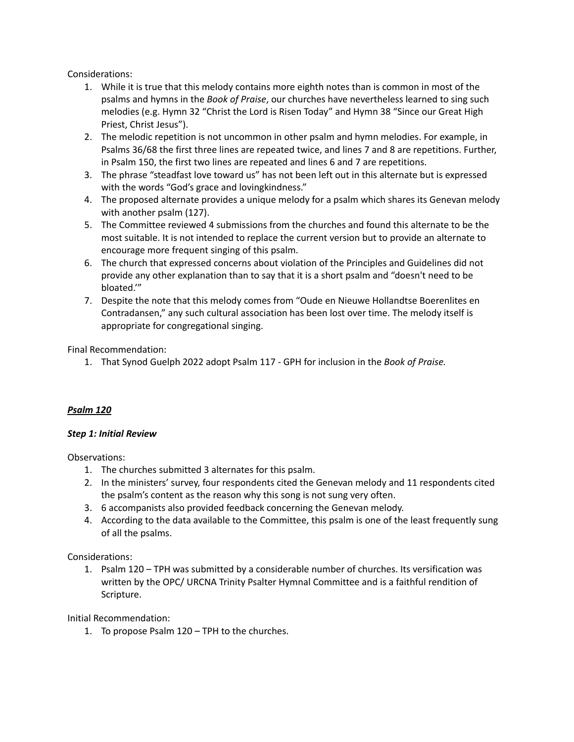- 1. While it is true that this melody contains more eighth notes than is common in most of the psalms and hymns in the *Book of Praise*, our churches have nevertheless learned to sing such melodies (e.g. Hymn 32 "Christ the Lord is Risen Today" and Hymn 38 "Since our Great High Priest, Christ Jesus").
- 2. The melodic repetition is not uncommon in other psalm and hymn melodies. For example, in Psalms 36/68 the first three lines are repeated twice, and lines 7 and 8 are repetitions. Further, in Psalm 150, the first two lines are repeated and lines 6 and 7 are repetitions.
- 3. The phrase "steadfast love toward us" has not been left out in this alternate but is expressed with the words "God's grace and lovingkindness."
- 4. The proposed alternate provides a unique melody for a psalm which shares its Genevan melody with another psalm (127).
- 5. The Committee reviewed 4 submissions from the churches and found this alternate to be the most suitable. It is not intended to replace the current version but to provide an alternate to encourage more frequent singing of this psalm.
- 6. The church that expressed concerns about violation of the Principles and Guidelines did not provide any other explanation than to say that it is a short psalm and "doesn't need to be bloated.'"
- 7. Despite the note that this melody comes from "Oude en Nieuwe Hollandtse Boerenlites en Contradansen," any such cultural association has been lost over time. The melody itself is appropriate for congregational singing.

Final Recommendation:

1. That Synod Guelph 2022 adopt Psalm 117 - GPH for inclusion in the *Book of Praise.*

# *Psalm 120*

### *Step 1: Initial Review*

Observations:

- 1. The churches submitted 3 alternates for this psalm.
- 2. In the ministers' survey, four respondents cited the Genevan melody and 11 respondents cited the psalm's content as the reason why this song is not sung very often.
- 3. 6 accompanists also provided feedback concerning the Genevan melody.
- 4. According to the data available to the Committee, this psalm is one of the least frequently sung of all the psalms.

Considerations:

1. Psalm 120 – TPH was submitted by a considerable number of churches. Its versification was written by the OPC/ URCNA Trinity Psalter Hymnal Committee and is a faithful rendition of Scripture.

Initial Recommendation:

1. To propose Psalm 120 – TPH to the churches.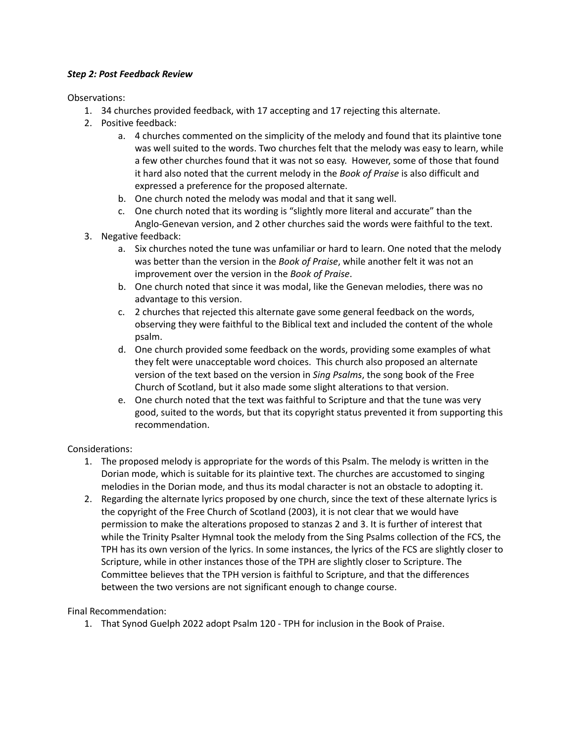### *Step 2: Post Feedback Review*

Observations:

- 1. 34 churches provided feedback, with 17 accepting and 17 rejecting this alternate.
- 2. Positive feedback:
	- a. 4 churches commented on the simplicity of the melody and found that its plaintive tone was well suited to the words. Two churches felt that the melody was easy to learn, while a few other churches found that it was not so easy. However, some of those that found it hard also noted that the current melody in the *Book of Praise* is also difficult and expressed a preference for the proposed alternate.
	- b. One church noted the melody was modal and that it sang well.
	- c. One church noted that its wording is "slightly more literal and accurate" than the Anglo-Genevan version, and 2 other churches said the words were faithful to the text.
- 3. Negative feedback:
	- a. Six churches noted the tune was unfamiliar or hard to learn. One noted that the melody was better than the version in the *Book of Praise*, while another felt it was not an improvement over the version in the *Book of Praise*.
	- b. One church noted that since it was modal, like the Genevan melodies, there was no advantage to this version.
	- c. 2 churches that rejected this alternate gave some general feedback on the words, observing they were faithful to the Biblical text and included the content of the whole psalm.
	- d. One church provided some feedback on the words, providing some examples of what they felt were unacceptable word choices. This church also proposed an alternate version of the text based on the version in *Sing Psalms*, the song book of the Free Church of Scotland, but it also made some slight alterations to that version.
	- e. One church noted that the text was faithful to Scripture and that the tune was very good, suited to the words, but that its copyright status prevented it from supporting this recommendation.

# Considerations:

- 1. The proposed melody is appropriate for the words of this Psalm. The melody is written in the Dorian mode, which is suitable for its plaintive text. The churches are accustomed to singing melodies in the Dorian mode, and thus its modal character is not an obstacle to adopting it.
- 2. Regarding the alternate lyrics proposed by one church, since the text of these alternate lyrics is the copyright of the Free Church of Scotland (2003), it is not clear that we would have permission to make the alterations proposed to stanzas 2 and 3. It is further of interest that while the Trinity Psalter Hymnal took the melody from the Sing Psalms collection of the FCS, the TPH has its own version of the lyrics. In some instances, the lyrics of the FCS are slightly closer to Scripture, while in other instances those of the TPH are slightly closer to Scripture. The Committee believes that the TPH version is faithful to Scripture, and that the differences between the two versions are not significant enough to change course.

# Final Recommendation:

1. That Synod Guelph 2022 adopt Psalm 120 - TPH for inclusion in the Book of Praise.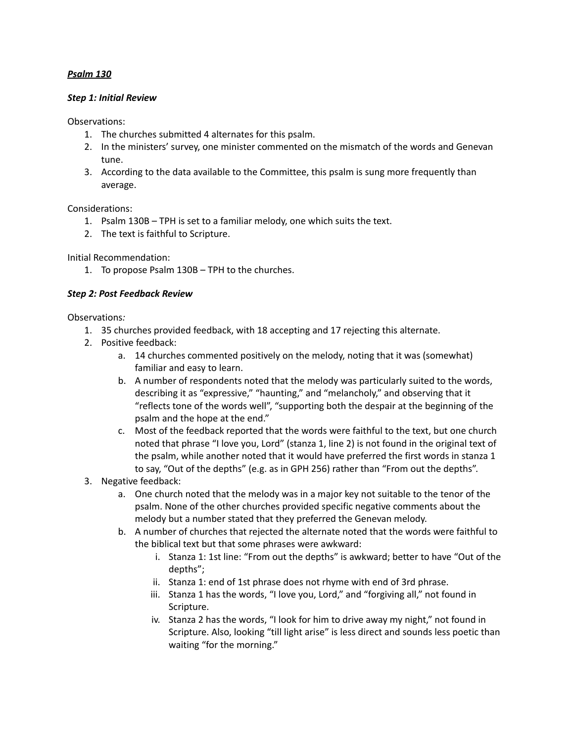### *Psalm 130*

#### *Step 1: Initial Review*

Observations:

- 1. The churches submitted 4 alternates for this psalm.
- 2. In the ministers' survey, one minister commented on the mismatch of the words and Genevan tune.
- 3. According to the data available to the Committee, this psalm is sung more frequently than average.

Considerations:

- 1. Psalm 130B TPH is set to a familiar melody, one which suits the text.
- 2. The text is faithful to Scripture.

Initial Recommendation:

1. To propose Psalm 130B – TPH to the churches.

### *Step 2: Post Feedback Review*

- 1. 35 churches provided feedback, with 18 accepting and 17 rejecting this alternate.
- 2. Positive feedback:
	- a. 14 churches commented positively on the melody, noting that it was (somewhat) familiar and easy to learn.
	- b. A number of respondents noted that the melody was particularly suited to the words, describing it as "expressive," "haunting," and "melancholy," and observing that it "reflects tone of the words well", "supporting both the despair at the beginning of the psalm and the hope at the end."
	- c. Most of the feedback reported that the words were faithful to the text, but one church noted that phrase "I love you, Lord" (stanza 1, line 2) is not found in the original text of the psalm, while another noted that it would have preferred the first words in stanza 1 to say, "Out of the depths" (e.g. as in GPH 256) rather than "From out the depths".
- 3. Negative feedback:
	- a. One church noted that the melody was in a major key not suitable to the tenor of the psalm. None of the other churches provided specific negative comments about the melody but a number stated that they preferred the Genevan melody.
	- b. A number of churches that rejected the alternate noted that the words were faithful to the biblical text but that some phrases were awkward:
		- i. Stanza 1: 1st line: "From out the depths" is awkward; better to have "Out of the depths";
		- ii. Stanza 1: end of 1st phrase does not rhyme with end of 3rd phrase.
		- iii. Stanza 1 has the words, "I love you, Lord," and "forgiving all," not found in Scripture.
		- iv. Stanza 2 has the words, "I look for him to drive away my night," not found in Scripture. Also, looking "till light arise" is less direct and sounds less poetic than waiting "for the morning."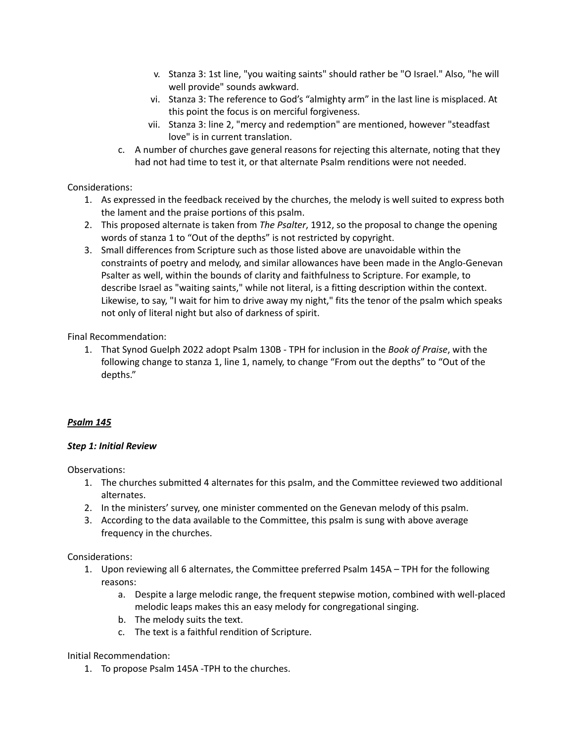- v. Stanza 3: 1st line, "you waiting saints" should rather be "O Israel." Also, "he will well provide" sounds awkward.
- vi. Stanza 3: The reference to God's "almighty arm" in the last line is misplaced. At this point the focus is on merciful forgiveness.
- vii. Stanza 3: line 2, "mercy and redemption" are mentioned, however "steadfast love" is in current translation.
- c. A number of churches gave general reasons for rejecting this alternate, noting that they had not had time to test it, or that alternate Psalm renditions were not needed.

- 1. As expressed in the feedback received by the churches, the melody is well suited to express both the lament and the praise portions of this psalm.
- 2. This proposed alternate is taken from *The Psalter*, 1912, so the proposal to change the opening words of stanza 1 to "Out of the depths" is not restricted by copyright.
- 3. Small differences from Scripture such as those listed above are unavoidable within the constraints of poetry and melody, and similar allowances have been made in the Anglo-Genevan Psalter as well, within the bounds of clarity and faithfulness to Scripture. For example, to describe Israel as "waiting saints," while not literal, is a fitting description within the context. Likewise, to say, "I wait for him to drive away my night," fits the tenor of the psalm which speaks not only of literal night but also of darkness of spirit.

Final Recommendation:

1. That Synod Guelph 2022 adopt Psalm 130B - TPH for inclusion in the *Book of Praise*, with the following change to stanza 1, line 1, namely, to change "From out the depths" to "Out of the depths."

# *Psalm 145*

### *Step 1: Initial Review*

Observations:

- 1. The churches submitted 4 alternates for this psalm, and the Committee reviewed two additional alternates.
- 2. In the ministers' survey, one minister commented on the Genevan melody of this psalm.
- 3. According to the data available to the Committee, this psalm is sung with above average frequency in the churches.

Considerations:

- 1. Upon reviewing all 6 alternates, the Committee preferred Psalm 145A TPH for the following reasons:
	- a. Despite a large melodic range, the frequent stepwise motion, combined with well-placed melodic leaps makes this an easy melody for congregational singing.
	- b. The melody suits the text.
	- c. The text is a faithful rendition of Scripture.

Initial Recommendation:

1. To propose Psalm 145A -TPH to the churches.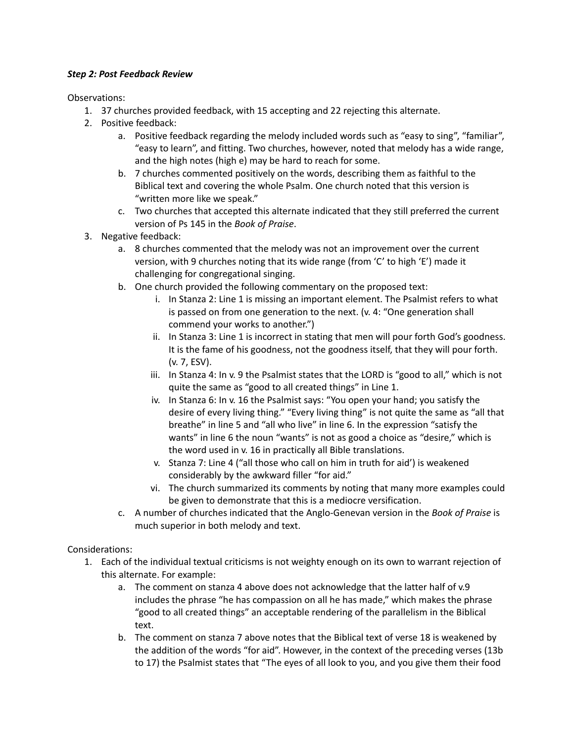### *Step 2: Post Feedback Review*

Observations:

- 1. 37 churches provided feedback, with 15 accepting and 22 rejecting this alternate.
- 2. Positive feedback:
	- a. Positive feedback regarding the melody included words such as "easy to sing", "familiar", "easy to learn", and fitting. Two churches, however, noted that melody has a wide range, and the high notes (high e) may be hard to reach for some.
	- b. 7 churches commented positively on the words, describing them as faithful to the Biblical text and covering the whole Psalm. One church noted that this version is "written more like we speak."
	- c. Two churches that accepted this alternate indicated that they still preferred the current version of Ps 145 in the *Book of Praise*.
- 3. Negative feedback:
	- a. 8 churches commented that the melody was not an improvement over the current version, with 9 churches noting that its wide range (from 'C' to high 'E') made it challenging for congregational singing.
	- b. One church provided the following commentary on the proposed text:
		- i. In Stanza 2: Line 1 is missing an important element. The Psalmist refers to what is passed on from one generation to the next. (v. 4: "One generation shall commend your works to another.")
		- ii. In Stanza 3: Line 1 is incorrect in stating that men will pour forth God's goodness. It is the fame of his goodness, not the goodness itself, that they will pour forth. (v. 7, ESV).
		- iii. In Stanza 4: In v. 9 the Psalmist states that the LORD is "good to all," which is not quite the same as "good to all created things" in Line 1.
		- iv. In Stanza 6: In v. 16 the Psalmist says: "You open your hand; you satisfy the desire of every living thing." "Every living thing" is not quite the same as "all that breathe" in line 5 and "all who live" in line 6. In the expression "satisfy the wants" in line 6 the noun "wants" is not as good a choice as "desire," which is the word used in v. 16 in practically all Bible translations.
		- v. Stanza 7: Line 4 ("all those who call on him in truth for aid') is weakened considerably by the awkward filler "for aid."
		- vi. The church summarized its comments by noting that many more examples could be given to demonstrate that this is a mediocre versification.
	- c. A number of churches indicated that the Anglo-Genevan version in the *Book of Praise* is much superior in both melody and text.

Considerations:

- 1. Each of the individual textual criticisms is not weighty enough on its own to warrant rejection of this alternate. For example:
	- a. The comment on stanza 4 above does not acknowledge that the latter half of v.9 includes the phrase "he has compassion on all he has made," which makes the phrase "good to all created things" an acceptable rendering of the parallelism in the Biblical text.
	- b. The comment on stanza 7 above notes that the Biblical text of verse 18 is weakened by the addition of the words "for aid". However, in the context of the preceding verses (13b to 17) the Psalmist states that "The eyes of all look to you, and you give them their food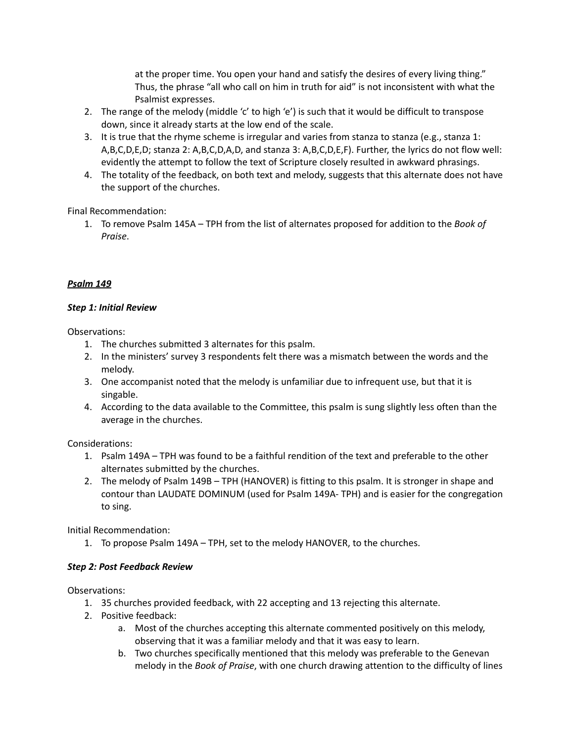at the proper time. You open your hand and satisfy the desires of every living thing." Thus, the phrase "all who call on him in truth for aid" is not inconsistent with what the Psalmist expresses.

- 2. The range of the melody (middle 'c' to high 'e') is such that it would be difficult to transpose down, since it already starts at the low end of the scale.
- 3. It is true that the rhyme scheme is irregular and varies from stanza to stanza (e.g., stanza 1: A,B,C,D,E,D; stanza 2: A,B,C,D,A,D, and stanza 3: A,B,C,D,E,F). Further, the lyrics do not flow well: evidently the attempt to follow the text of Scripture closely resulted in awkward phrasings.
- 4. The totality of the feedback, on both text and melody, suggests that this alternate does not have the support of the churches.

Final Recommendation:

1. To remove Psalm 145A – TPH from the list of alternates proposed for addition to the *Book of Praise*.

# *Psalm 149*

### *Step 1: Initial Review*

Observations:

- 1. The churches submitted 3 alternates for this psalm.
- 2. In the ministers' survey 3 respondents felt there was a mismatch between the words and the melody.
- 3. One accompanist noted that the melody is unfamiliar due to infrequent use, but that it is singable.
- 4. According to the data available to the Committee, this psalm is sung slightly less often than the average in the churches.

Considerations:

- 1. Psalm 149A TPH was found to be a faithful rendition of the text and preferable to the other alternates submitted by the churches.
- 2. The melody of Psalm 149B TPH (HANOVER) is fitting to this psalm. It is stronger in shape and contour than LAUDATE DOMINUM (used for Psalm 149A- TPH) and is easier for the congregation to sing.

Initial Recommendation:

1. To propose Psalm 149A – TPH, set to the melody HANOVER, to the churches.

# *Step 2: Post Feedback Review*

- 1. 35 churches provided feedback, with 22 accepting and 13 rejecting this alternate.
- 2. Positive feedback:
	- a. Most of the churches accepting this alternate commented positively on this melody, observing that it was a familiar melody and that it was easy to learn.
	- b. Two churches specifically mentioned that this melody was preferable to the Genevan melody in the *Book of Praise*, with one church drawing attention to the difficulty of lines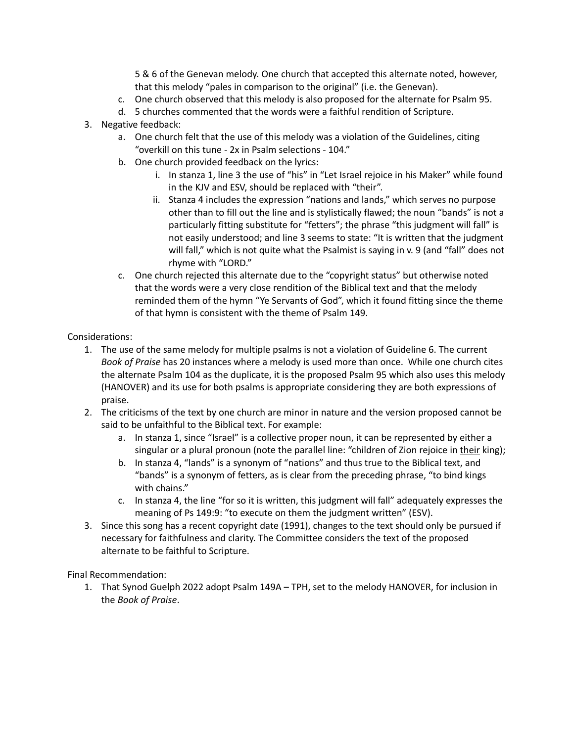5 & 6 of the Genevan melody. One church that accepted this alternate noted, however, that this melody "pales in comparison to the original" (i.e. the Genevan).

- c. One church observed that this melody is also proposed for the alternate for Psalm 95.
- d. 5 churches commented that the words were a faithful rendition of Scripture.
- 3. Negative feedback:
	- a. One church felt that the use of this melody was a violation of the Guidelines, citing "overkill on this tune - 2x in Psalm selections - 104."
	- b. One church provided feedback on the lyrics:
		- i. In stanza 1, line 3 the use of "his" in "Let Israel rejoice in his Maker" while found in the KJV and ESV, should be replaced with "their".
		- ii. Stanza 4 includes the expression "nations and lands," which serves no purpose other than to fill out the line and is stylistically flawed; the noun "bands" is not a particularly fitting substitute for "fetters"; the phrase "this judgment will fall" is not easily understood; and line 3 seems to state: "It is written that the judgment will fall," which is not quite what the Psalmist is saying in v. 9 (and "fall" does not rhyme with "LORD."
	- c. One church rejected this alternate due to the "copyright status" but otherwise noted that the words were a very close rendition of the Biblical text and that the melody reminded them of the hymn "Ye Servants of God", which it found fitting since the theme of that hymn is consistent with the theme of Psalm 149.

# Considerations:

- 1. The use of the same melody for multiple psalms is not a violation of Guideline 6. The current *Book of Praise* has 20 instances where a melody is used more than once. While one church cites the alternate Psalm 104 as the duplicate, it is the proposed Psalm 95 which also uses this melody (HANOVER) and its use for both psalms is appropriate considering they are both expressions of praise.
- 2. The criticisms of the text by one church are minor in nature and the version proposed cannot be said to be unfaithful to the Biblical text. For example:
	- a. In stanza 1, since "Israel" is a collective proper noun, it can be represented by either a singular or a plural pronoun (note the parallel line: "children of Zion rejoice in their king);
	- b. In stanza 4, "lands" is a synonym of "nations" and thus true to the Biblical text, and "bands" is a synonym of fetters, as is clear from the preceding phrase, "to bind kings with chains."
	- c. In stanza 4, the line "for so it is written, this judgment will fall" adequately expresses the meaning of Ps 149:9: "to execute on them the judgment written" (ESV).
- 3. Since this song has a recent copyright date (1991), changes to the text should only be pursued if necessary for faithfulness and clarity. The Committee considers the text of the proposed alternate to be faithful to Scripture.

Final Recommendation:

1. That Synod Guelph 2022 adopt Psalm 149A – TPH, set to the melody HANOVER, for inclusion in the *Book of Praise*.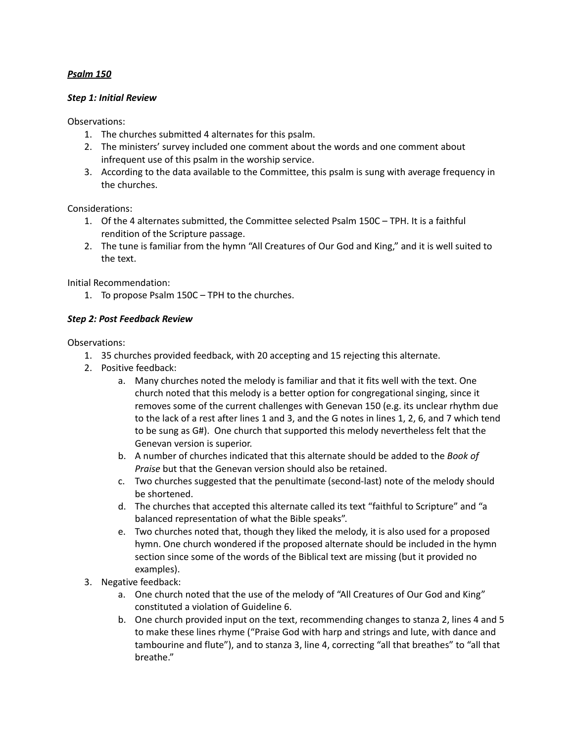### *Psalm 150*

#### *Step 1: Initial Review*

Observations:

- 1. The churches submitted 4 alternates for this psalm.
- 2. The ministers' survey included one comment about the words and one comment about infrequent use of this psalm in the worship service.
- 3. According to the data available to the Committee, this psalm is sung with average frequency in the churches.

Considerations:

- 1. Of the 4 alternates submitted, the Committee selected Psalm 150C TPH. It is a faithful rendition of the Scripture passage.
- 2. The tune is familiar from the hymn "All Creatures of Our God and King," and it is well suited to the text.

Initial Recommendation:

1. To propose Psalm 150C – TPH to the churches.

### *Step 2: Post Feedback Review*

- 1. 35 churches provided feedback, with 20 accepting and 15 rejecting this alternate.
- 2. Positive feedback:
	- a. Many churches noted the melody is familiar and that it fits well with the text. One church noted that this melody is a better option for congregational singing, since it removes some of the current challenges with Genevan 150 (e.g. its unclear rhythm due to the lack of a rest after lines 1 and 3, and the G notes in lines 1, 2, 6, and 7 which tend to be sung as G#). One church that supported this melody nevertheless felt that the Genevan version is superior.
	- b. A number of churches indicated that this alternate should be added to the *Book of Praise* but that the Genevan version should also be retained.
	- c. Two churches suggested that the penultimate (second-last) note of the melody should be shortened.
	- d. The churches that accepted this alternate called its text "faithful to Scripture" and "a balanced representation of what the Bible speaks".
	- e. Two churches noted that, though they liked the melody, it is also used for a proposed hymn. One church wondered if the proposed alternate should be included in the hymn section since some of the words of the Biblical text are missing (but it provided no examples).
- 3. Negative feedback:
	- a. One church noted that the use of the melody of "All Creatures of Our God and King" constituted a violation of Guideline 6.
	- b. One church provided input on the text, recommending changes to stanza 2, lines 4 and 5 to make these lines rhyme ("Praise God with harp and strings and lute, with dance and tambourine and flute"), and to stanza 3, line 4, correcting "all that breathes" to "all that breathe."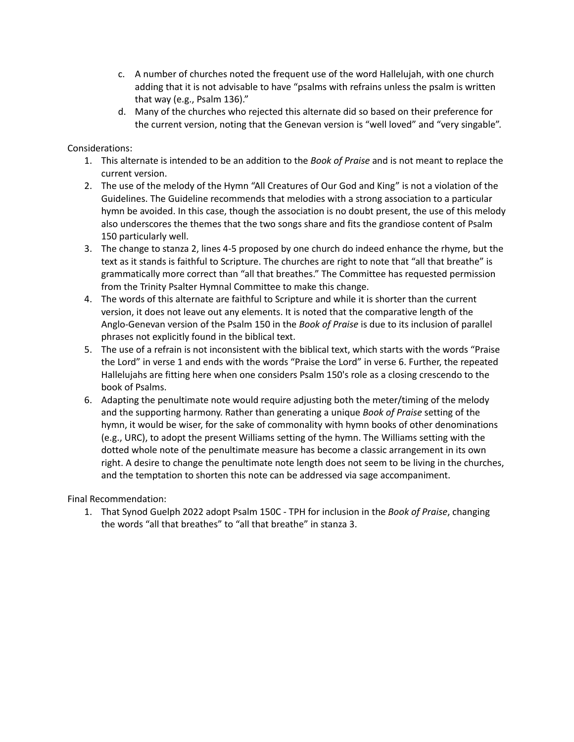- c. A number of churches noted the frequent use of the word Hallelujah, with one church adding that it is not advisable to have "psalms with refrains unless the psalm is written that way (e.g., Psalm 136)."
- d. Many of the churches who rejected this alternate did so based on their preference for the current version, noting that the Genevan version is "well loved" and "very singable".

- 1. This alternate is intended to be an addition to the *Book of Praise* and is not meant to replace the current version.
- 2. The use of the melody of the Hymn "All Creatures of Our God and King" is not a violation of the Guidelines. The Guideline recommends that melodies with a strong association to a particular hymn be avoided. In this case, though the association is no doubt present, the use of this melody also underscores the themes that the two songs share and fits the grandiose content of Psalm 150 particularly well.
- 3. The change to stanza 2, lines 4-5 proposed by one church do indeed enhance the rhyme, but the text as it stands is faithful to Scripture. The churches are right to note that "all that breathe" is grammatically more correct than "all that breathes." The Committee has requested permission from the Trinity Psalter Hymnal Committee to make this change.
- 4. The words of this alternate are faithful to Scripture and while it is shorter than the current version, it does not leave out any elements. It is noted that the comparative length of the Anglo-Genevan version of the Psalm 150 in the *Book of Praise* is due to its inclusion of parallel phrases not explicitly found in the biblical text.
- 5. The use of a refrain is not inconsistent with the biblical text, which starts with the words "Praise the Lord" in verse 1 and ends with the words "Praise the Lord" in verse 6. Further, the repeated Hallelujahs are fitting here when one considers Psalm 150's role as a closing crescendo to the book of Psalms.
- 6. Adapting the penultimate note would require adjusting both the meter/timing of the melody and the supporting harmony. Rather than generating a unique *Book of Praise* setting of the hymn, it would be wiser, for the sake of commonality with hymn books of other denominations (e.g., URC), to adopt the present Williams setting of the hymn. The Williams setting with the dotted whole note of the penultimate measure has become a classic arrangement in its own right. A desire to change the penultimate note length does not seem to be living in the churches, and the temptation to shorten this note can be addressed via sage accompaniment.

Final Recommendation:

1. That Synod Guelph 2022 adopt Psalm 150C - TPH for inclusion in the *Book of Praise*, changing the words "all that breathes" to "all that breathe" in stanza 3.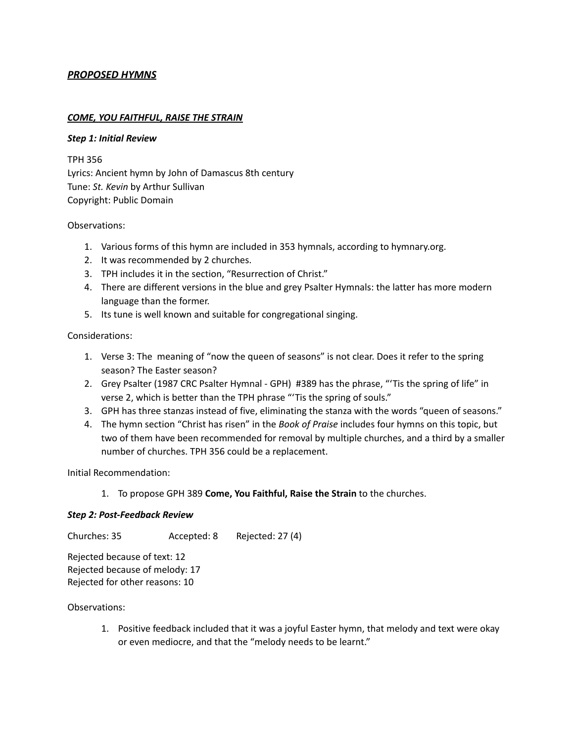## *PROPOSED HYMNS*

#### *COME, YOU FAITHFUL, RAISE THE STRAIN*

#### *Step 1: Initial Review*

TPH 356 Lyrics: Ancient hymn by John of Damascus 8th century Tune: *St. Kevin* by Arthur Sullivan Copyright: Public Domain

#### Observations:

- 1. Various forms of this hymn are included in 353 hymnals, according to hymnary.org.
- 2. It was recommended by 2 churches.
- 3. TPH includes it in the section, "Resurrection of Christ."
- 4. There are different versions in the blue and grey Psalter Hymnals: the latter has more modern language than the former.
- 5. Its tune is well known and suitable for congregational singing.

### Considerations:

- 1. Verse 3: The meaning of "now the queen of seasons" is not clear. Does it refer to the spring season? The Easter season?
- 2. Grey Psalter (1987 CRC Psalter Hymnal GPH) #389 has the phrase, "'Tis the spring of life" in verse 2, which is better than the TPH phrase "'Tis the spring of souls."
- 3. GPH has three stanzas instead of five, eliminating the stanza with the words "queen of seasons."
- 4. The hymn section "Christ has risen" in the *Book of Praise* includes four hymns on this topic, but two of them have been recommended for removal by multiple churches, and a third by a smaller number of churches. TPH 356 could be a replacement.

Initial Recommendation:

1. To propose GPH 389 **Come, You Faithful, Raise the Strain** to the churches.

### *Step 2: Post-Feedback Review*

Churches: 35 Accepted: 8 Rejected: 27 (4)

Rejected because of text: 12 Rejected because of melody: 17 Rejected for other reasons: 10

#### Observations:

1. Positive feedback included that it was a joyful Easter hymn, that melody and text were okay or even mediocre, and that the "melody needs to be learnt."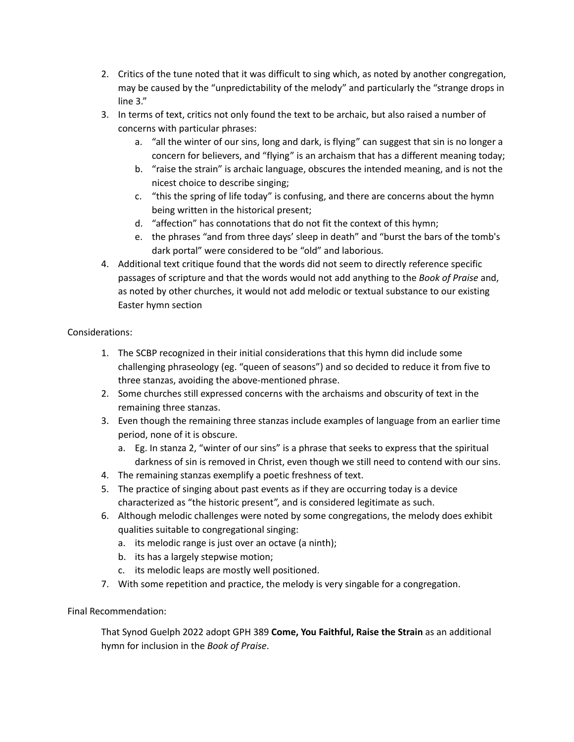- 2. Critics of the tune noted that it was difficult to sing which, as noted by another congregation, may be caused by the "unpredictability of the melody" and particularly the "strange drops in line 3."
- 3. In terms of text, critics not only found the text to be archaic, but also raised a number of concerns with particular phrases:
	- a. "all the winter of our sins, long and dark, is flying" can suggest that sin is no longer a concern for believers, and "flying" is an archaism that has a different meaning today;
	- b. "raise the strain" is archaic language, obscures the intended meaning, and is not the nicest choice to describe singing;
	- c. "this the spring of life today" is confusing, and there are concerns about the hymn being written in the historical present;
	- d. "affection" has connotations that do not fit the context of this hymn;
	- e. the phrases "and from three days' sleep in death" and "burst the bars of the tomb's dark portal" were considered to be "old" and laborious.
- 4. Additional text critique found that the words did not seem to directly reference specific passages of scripture and that the words would not add anything to the *Book of Praise* and, as noted by other churches, it would not add melodic or textual substance to our existing Easter hymn section

- 1. The SCBP recognized in their initial considerations that this hymn did include some challenging phraseology (eg. "queen of seasons") and so decided to reduce it from five to three stanzas, avoiding the above-mentioned phrase.
- 2. Some churches still expressed concerns with the archaisms and obscurity of text in the remaining three stanzas.
- 3. Even though the remaining three stanzas include examples of language from an earlier time period, none of it is obscure.
	- a. Eg. In stanza 2, "winter of our sins" is a phrase that seeks to express that the spiritual darkness of sin is removed in Christ, even though we still need to contend with our sins.
- 4. The remaining stanzas exemplify a poetic freshness of text.
- 5. The practice of singing about past events as if they are occurring today is a device characterized as "the historic present", and is considered legitimate as such.
- 6. Although melodic challenges were noted by some congregations, the melody does exhibit qualities suitable to congregational singing:
	- a. its melodic range is just over an octave (a ninth);
	- b. its has a largely stepwise motion;
	- c. its melodic leaps are mostly well positioned.
- 7. With some repetition and practice, the melody is very singable for a congregation.

# Final Recommendation:

That Synod Guelph 2022 adopt GPH 389 **Come, You Faithful, Raise the Strain** as an additional hymn for inclusion in the *Book of Praise*.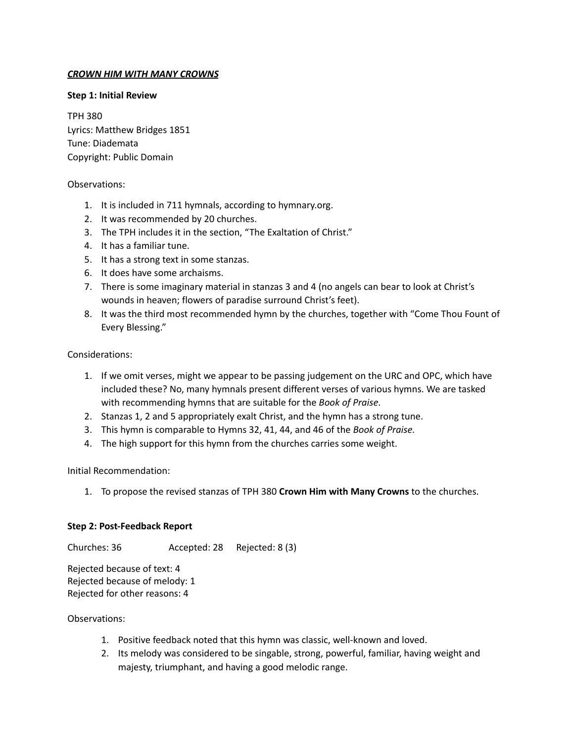### *CROWN HIM WITH MANY CROWNS*

### **Step 1: Initial Review**

TPH 380 Lyrics: Matthew Bridges 1851 Tune: Diademata Copyright: Public Domain

### Observations:

- 1. It is included in 711 hymnals, according to hymnary.org.
- 2. It was recommended by 20 churches.
- 3. The TPH includes it in the section, "The Exaltation of Christ."
- 4. It has a familiar tune.
- 5. It has a strong text in some stanzas.
- 6. It does have some archaisms.
- 7. There is some imaginary material in stanzas 3 and 4 (no angels can bear to look at Christ's wounds in heaven; flowers of paradise surround Christ's feet).
- 8. It was the third most recommended hymn by the churches, together with "Come Thou Fount of Every Blessing."

### Considerations:

- 1. If we omit verses, might we appear to be passing judgement on the URC and OPC, which have included these? No, many hymnals present different verses of various hymns. We are tasked with recommending hymns that are suitable for the *Book of Praise*.
- 2. Stanzas 1, 2 and 5 appropriately exalt Christ, and the hymn has a strong tune.
- 3. This hymn is comparable to Hymns 32, 41, 44, and 46 of the *Book of Praise.*
- 4. The high support for this hymn from the churches carries some weight.

Initial Recommendation:

1. To propose the revised stanzas of TPH 380 **Crown Him with Many Crowns** to the churches.

### **Step 2: Post-Feedback Report**

Churches: 36 Accepted: 28 Rejected: 8 (3)

Rejected because of text: 4 Rejected because of melody: 1 Rejected for other reasons: 4

- 1. Positive feedback noted that this hymn was classic, well-known and loved.
- 2. Its melody was considered to be singable, strong, powerful, familiar, having weight and majesty, triumphant, and having a good melodic range.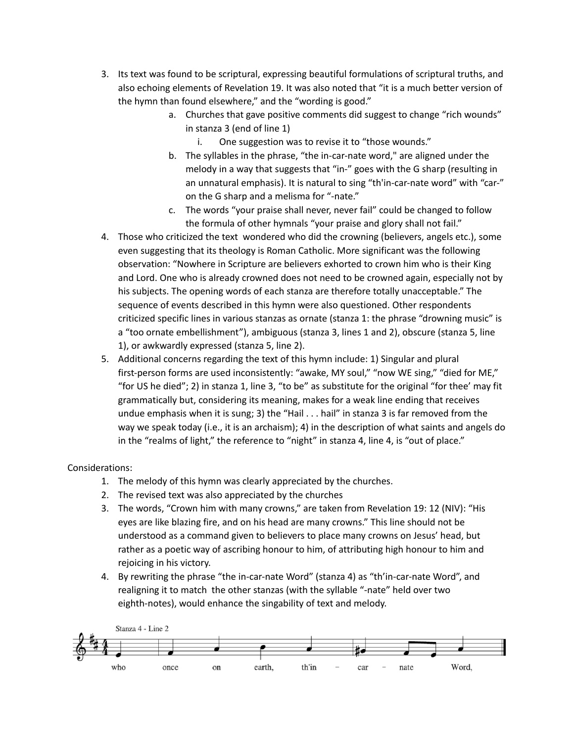- 3. Its text was found to be scriptural, expressing beautiful formulations of scriptural truths, and also echoing elements of Revelation 19. It was also noted that "it is a much better version of the hymn than found elsewhere," and the "wording is good."
	- a. Churches that gave positive comments did suggest to change "rich wounds" in stanza 3 (end of line 1)
		- i. One suggestion was to revise it to "those wounds."
	- b. The syllables in the phrase, "the in-car-nate word," are aligned under the melody in a way that suggests that "in-" goes with the G sharp (resulting in an unnatural emphasis). It is natural to sing "th'in-car-nate word" with "car-" on the G sharp and a melisma for "-nate."
	- c. The words "your praise shall never, never fail" could be changed to follow the formula of other hymnals "your praise and glory shall not fail."
- 4. Those who criticized the text wondered who did the crowning (believers, angels etc.), some even suggesting that its theology is Roman Catholic. More significant was the following observation: "Nowhere in Scripture are believers exhorted to crown him who is their King and Lord. One who is already crowned does not need to be crowned again, especially not by his subjects. The opening words of each stanza are therefore totally unacceptable." The sequence of events described in this hymn were also questioned. Other respondents criticized specific lines in various stanzas as ornate (stanza 1: the phrase "drowning music" is a "too ornate embellishment"), ambiguous (stanza 3, lines 1 and 2), obscure (stanza 5, line 1), or awkwardly expressed (stanza 5, line 2).
- 5. Additional concerns regarding the text of this hymn include: 1) Singular and plural first-person forms are used inconsistently: "awake, MY soul," "now WE sing," "died for ME," "for US he died"; 2) in stanza 1, line 3, "to be" as substitute for the original "for thee' may fit grammatically but, considering its meaning, makes for a weak line ending that receives undue emphasis when it is sung; 3) the "Hail . . . hail" in stanza 3 is far removed from the way we speak today (i.e., it is an archaism); 4) in the description of what saints and angels do in the "realms of light," the reference to "night" in stanza 4, line 4, is "out of place."

- 1. The melody of this hymn was clearly appreciated by the churches.
- 2. The revised text was also appreciated by the churches
- 3. The words, "Crown him with many crowns," are taken from Revelation 19: 12 (NIV): "His eyes are like blazing fire, and on his head are many crowns." This line should not be understood as a command given to believers to place many crowns on Jesus' head, but rather as a poetic way of ascribing honour to him, of attributing high honour to him and rejoicing in his victory.
- 4. By rewriting the phrase "the in-car-nate Word" (stanza 4) as "th'in-car-nate Word", and realigning it to match the other stanzas (with the syllable "-nate" held over two eighth-notes), would enhance the singability of text and melody.

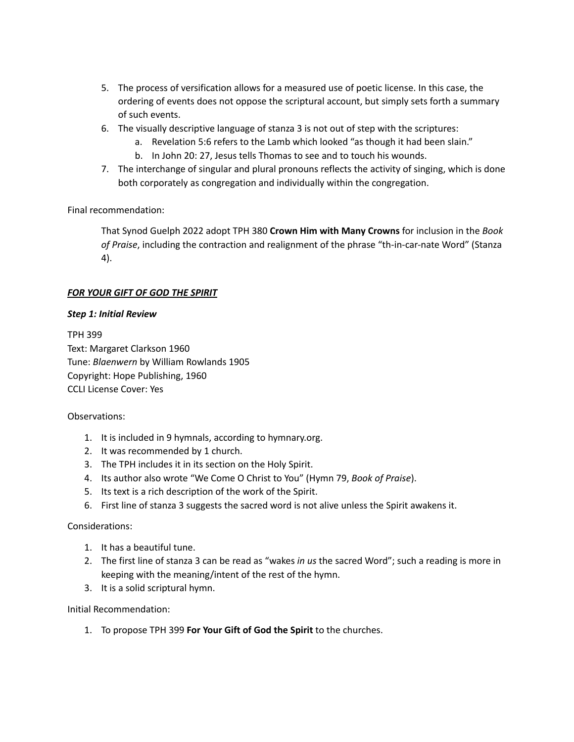- 5. The process of versification allows for a measured use of poetic license. In this case, the ordering of events does not oppose the scriptural account, but simply sets forth a summary of such events.
- 6. The visually descriptive language of stanza 3 is not out of step with the scriptures:
	- a. Revelation 5:6 refers to the Lamb which looked "as though it had been slain."
	- b. In John 20: 27, Jesus tells Thomas to see and to touch his wounds.
- 7. The interchange of singular and plural pronouns reflects the activity of singing, which is done both corporately as congregation and individually within the congregation.

Final recommendation:

That Synod Guelph 2022 adopt TPH 380 **Crown Him with Many Crowns** for inclusion in the *Book of Praise*, including the contraction and realignment of the phrase "th-in-car-nate Word" (Stanza 4).

### *FOR YOUR GIFT OF GOD THE SPIRIT*

### *Step 1: Initial Review*

TPH 399 Text: Margaret Clarkson 1960 Tune: *Blaenwern* by William Rowlands 1905 Copyright: Hope Publishing, 1960 CCLI License Cover: Yes

### Observations:

- 1. It is included in 9 hymnals, according to hymnary.org.
- 2. It was recommended by 1 church.
- 3. The TPH includes it in its section on the Holy Spirit.
- 4. Its author also wrote "We Come O Christ to You" (Hymn 79, *Book of Praise*).
- 5. Its text is a rich description of the work of the Spirit.
- 6. First line of stanza 3 suggests the sacred word is not alive unless the Spirit awakens it.

### Considerations:

- 1. It has a beautiful tune.
- 2. The first line of stanza 3 can be read as "wakes *in us* the sacred Word"; such a reading is more in keeping with the meaning/intent of the rest of the hymn.
- 3. It is a solid scriptural hymn.

Initial Recommendation:

1. To propose TPH 399 **For Your Gift of God the Spirit** to the churches.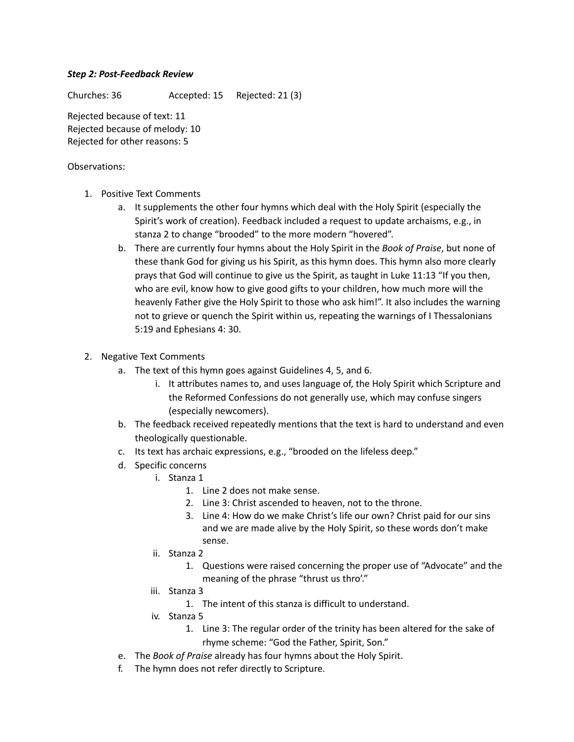### *Step 2: Post-Feedback Review*

Churches: 36 Accepted: 15 Rejected: 21 (3)

Rejected because of text: 11 Rejected because of melody: 10 Rejected for other reasons: 5

- 1. Positive Text Comments
	- a. It supplements the other four hymns which deal with the Holy Spirit (especially the Spirit's work of creation). Feedback included a request to update archaisms, e.g., in stanza 2 to change "brooded" to the more modern "hovered".
	- b. There are currently four hymns about the Holy Spirit in the *Book of Praise*, but none of these thank God for giving us his Spirit, as this hymn does. This hymn also more clearly prays that God will continue to give us the Spirit, as taught in Luke 11:13 "If you then, who are evil, know how to give good gifts to your children, how much more will the heavenly Father give the Holy Spirit to those who ask him!". It also includes the warning not to grieve or quench the Spirit within us, repeating the warnings of I Thessalonians 5:19 and Ephesians 4: 30.
- 2. Negative Text Comments
	- a. The text of this hymn goes against Guidelines 4, 5, and 6.
		- i. It attributes names to, and uses language of, the Holy Spirit which Scripture and the Reformed Confessions do not generally use, which may confuse singers (especially newcomers).
	- b. The feedback received repeatedly mentions that the text is hard to understand and even theologically questionable.
	- c. Its text has archaic expressions, e.g., "brooded on the lifeless deep."
	- d. Specific concerns
		- i. Stanza 1
			- 1. Line 2 does not make sense.
			- 2. Line 3: Christ ascended to heaven, not to the throne.
			- 3. Line 4: How do we make Christ's life our own? Christ paid for our sins and we are made alive by the Holy Spirit, so these words don't make sense.
		- ii. Stanza 2
			- 1. Questions were raised concerning the proper use of "Advocate" and the meaning of the phrase "thrust us thro'."
		- iii. Stanza 3
			- 1. The intent of this stanza is difficult to understand.
		- iv. Stanza 5
			- 1. Line 3: The regular order of the trinity has been altered for the sake of rhyme scheme: "God the Father, Spirit, Son."
	- e. The *Book of Praise* already has four hymns about the Holy Spirit.
	- f. The hymn does not refer directly to Scripture.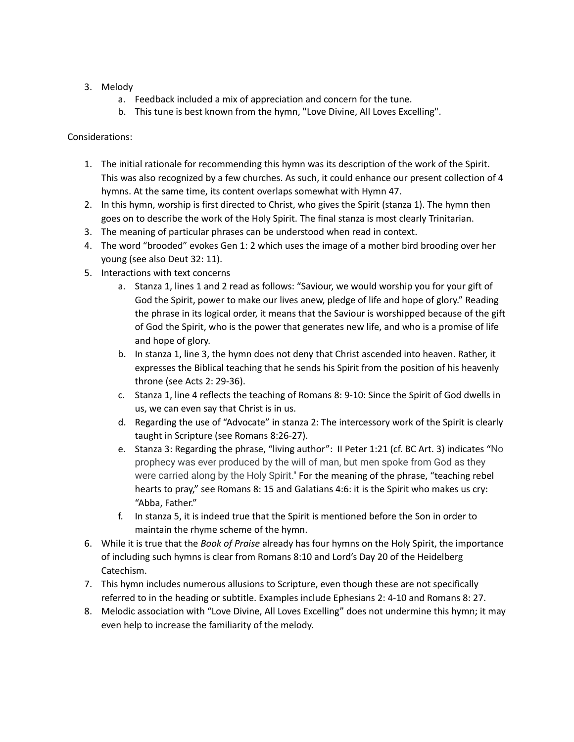- 3. Melody
	- a. Feedback included a mix of appreciation and concern for the tune.
	- b. This tune is best known from the hymn, "Love Divine, All Loves Excelling".

- 1. The initial rationale for recommending this hymn was its description of the work of the Spirit. This was also recognized by a few churches. As such, it could enhance our present collection of 4 hymns. At the same time, its content overlaps somewhat with Hymn 47.
- 2. In this hymn, worship is first directed to Christ, who gives the Spirit (stanza 1). The hymn then goes on to describe the work of the Holy Spirit. The final stanza is most clearly Trinitarian.
- 3. The meaning of particular phrases can be understood when read in context.
- 4. The word "brooded" evokes Gen 1: 2 which uses the image of a mother bird brooding over her young (see also Deut 32: 11).
- 5. Interactions with text concerns
	- a. Stanza 1, lines 1 and 2 read as follows: "Saviour, we would worship you for your gift of God the Spirit, power to make our lives anew, pledge of life and hope of glory." Reading the phrase in its logical order, it means that the Saviour is worshipped because of the gift of God the Spirit, who is the power that generates new life, and who is a promise of life and hope of glory.
	- b. In stanza 1, line 3, the hymn does not deny that Christ ascended into heaven. Rather, it expresses the Biblical teaching that he sends his Spirit from the position of his heavenly throne (see Acts 2: 29-36).
	- c. Stanza 1, line 4 reflects the teaching of Romans 8: 9-10: Since the Spirit of God dwells in us, we can even say that Christ is in us.
	- d. Regarding the use of "Advocate" in stanza 2: The intercessory work of the Spirit is clearly taught in Scripture (see Romans 8:26-27).
	- e. Stanza 3: Regarding the phrase, "living author": II Peter 1:21 (cf. BC Art. 3) indicates "No prophecy was ever produced by the will of man, but men spoke from God as they were carried along by the Holy Spirit." For the meaning of the phrase, "teaching rebel hearts to pray," see Romans 8: 15 and Galatians 4:6: it is the Spirit who makes us cry: "Abba, Father."
	- f. In stanza 5, it is indeed true that the Spirit is mentioned before the Son in order to maintain the rhyme scheme of the hymn.
- 6. While it is true that the *Book of Praise* already has four hymns on the Holy Spirit, the importance of including such hymns is clear from Romans 8:10 and Lord's Day 20 of the Heidelberg Catechism.
- 7. This hymn includes numerous allusions to Scripture, even though these are not specifically referred to in the heading or subtitle. Examples include Ephesians 2: 4-10 and Romans 8: 27.
- 8. Melodic association with "Love Divine, All Loves Excelling" does not undermine this hymn; it may even help to increase the familiarity of the melody.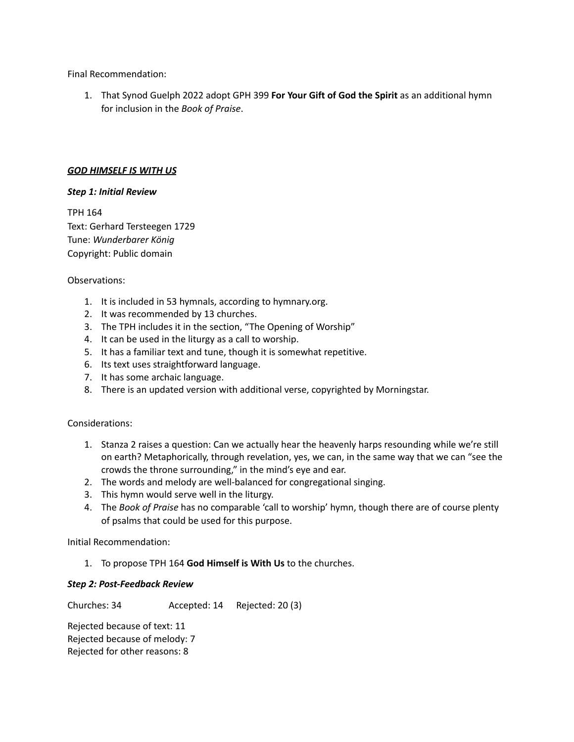Final Recommendation:

1. That Synod Guelph 2022 adopt GPH 399 **For Your Gift of God the Spirit** as an additional hymn for inclusion in the *Book of Praise*.

#### *GOD HIMSELF IS WITH US*

#### *Step 1: Initial Review*

TPH 164 Text: Gerhard Tersteegen 1729 Tune: *Wunderbarer König* Copyright: Public domain

#### Observations:

- 1. It is included in 53 hymnals, according to hymnary.org.
- 2. It was recommended by 13 churches.
- 3. The TPH includes it in the section, "The Opening of Worship"
- 4. It can be used in the liturgy as a call to worship.
- 5. It has a familiar text and tune, though it is somewhat repetitive.
- 6. Its text uses straightforward language.
- 7. It has some archaic language.
- 8. There is an updated version with additional verse, copyrighted by Morningstar.

### Considerations:

- 1. Stanza 2 raises a question: Can we actually hear the heavenly harps resounding while we're still on earth? Metaphorically, through revelation, yes, we can, in the same way that we can "see the crowds the throne surrounding," in the mind's eye and ear.
- 2. The words and melody are well-balanced for congregational singing.
- 3. This hymn would serve well in the liturgy.
- 4. The *Book of Praise* has no comparable 'call to worship' hymn, though there are of course plenty of psalms that could be used for this purpose.

Initial Recommendation:

1. To propose TPH 164 **God Himself is With Us** to the churches.

### *Step 2: Post-Feedback Review*

Churches: 34 Accepted: 14 Rejected: 20 (3)

Rejected because of text: 11 Rejected because of melody: 7 Rejected for other reasons: 8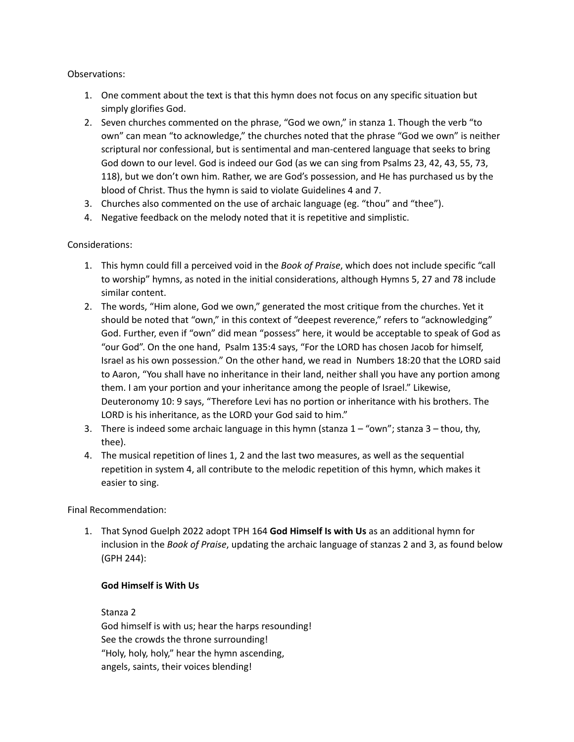## Observations:

- 1. One comment about the text is that this hymn does not focus on any specific situation but simply glorifies God.
- 2. Seven churches commented on the phrase, "God we own," in stanza 1. Though the verb "to own" can mean "to acknowledge," the churches noted that the phrase "God we own" is neither scriptural nor confessional, but is sentimental and man-centered language that seeks to bring God down to our level. God is indeed our God (as we can sing from Psalms 23, 42, 43, 55, 73, 118), but we don't own him. Rather, we are God's possession, and He has purchased us by the blood of Christ. Thus the hymn is said to violate Guidelines 4 and 7.
- 3. Churches also commented on the use of archaic language (eg. "thou" and "thee").
- 4. Negative feedback on the melody noted that it is repetitive and simplistic.

# Considerations:

- 1. This hymn could fill a perceived void in the *Book of Praise*, which does not include specific "call to worship" hymns, as noted in the initial considerations, although Hymns 5, 27 and 78 include similar content.
- 2. The words, "Him alone, God we own," generated the most critique from the churches. Yet it should be noted that "own," in this context of "deepest reverence," refers to "acknowledging" God. Further, even if "own" did mean "possess" here, it would be acceptable to speak of God as "our God". On the one hand, Psalm 135:4 says, "For the LORD has chosen Jacob for himself, Israel as his own possession." On the other hand, we read in Numbers 18:20 that the LORD said to Aaron, "You shall have no inheritance in their land, neither shall you have any portion among them. I am your portion and your inheritance among the people of Israel." Likewise, Deuteronomy 10: 9 says, "Therefore Levi has no portion or inheritance with his brothers. The LORD is his inheritance, as the LORD your God said to him."
- 3. There is indeed some archaic language in this hymn (stanza  $1 -$  "own"; stanza  $3 -$  thou, thy, thee).
- 4. The musical repetition of lines 1, 2 and the last two measures, as well as the sequential repetition in system 4, all contribute to the melodic repetition of this hymn, which makes it easier to sing.

Final Recommendation:

1. That Synod Guelph 2022 adopt TPH 164 **God Himself Is with Us** as an additional hymn for inclusion in the *Book of Praise*, updating the archaic language of stanzas 2 and 3, as found below (GPH 244):

### **God Himself is With Us**

Stanza 2

God himself is with us; hear the harps resounding! See the crowds the throne surrounding! "Holy, holy, holy," hear the hymn ascending, angels, saints, their voices blending!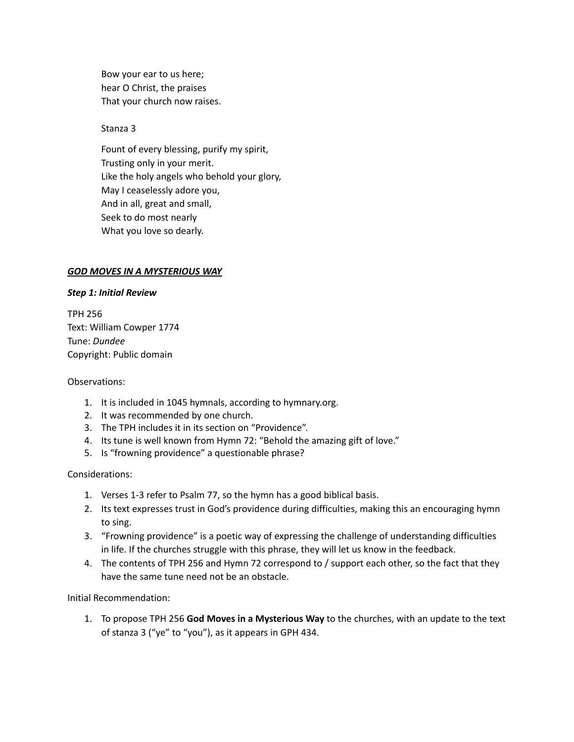Bow your ear to us here; hear O Christ, the praises That your church now raises.

Stanza 3

Fount of every blessing, purify my spirit, Trusting only in your merit. Like the holy angels who behold your glory, May I ceaselessly adore you, And in all, great and small, Seek to do most nearly What you love so dearly.

#### *GOD MOVES IN A MYSTERIOUS WAY*

#### *Step 1: Initial Review*

TPH 256 Text: William Cowper 1774 Tune: *Dundee* Copyright: Public domain

#### Observations:

- 1. It is included in 1045 hymnals, according to hymnary.org.
- 2. It was recommended by one church.
- 3. The TPH includes it in its section on "Providence".
- 4. Its tune is well known from Hymn 72: "Behold the amazing gift of love."
- 5. Is "frowning providence" a questionable phrase?

### Considerations:

- 1. Verses 1-3 refer to Psalm 77, so the hymn has a good biblical basis.
- 2. Its text expresses trust in God's providence during difficulties, making this an encouraging hymn to sing.
- 3. "Frowning providence" is a poetic way of expressing the challenge of understanding difficulties in life. If the churches struggle with this phrase, they will let us know in the feedback.
- 4. The contents of TPH 256 and Hymn 72 correspond to / support each other, so the fact that they have the same tune need not be an obstacle.

Initial Recommendation:

1. To propose TPH 256 **God Moves in a Mysterious Way** to the churches, with an update to the text of stanza 3 ("ye" to "you"), as it appears in GPH 434.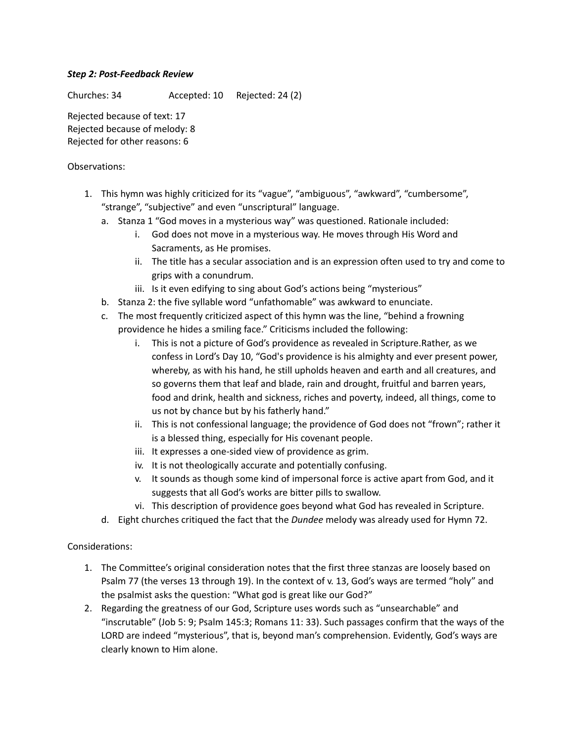## *Step 2: Post-Feedback Review*

Churches: 34 Accepted: 10 Rejected: 24 (2)

Rejected because of text: 17 Rejected because of melody: 8 Rejected for other reasons: 6

## Observations:

- 1. This hymn was highly criticized for its "vague", "ambiguous", "awkward", "cumbersome", "strange", "subjective" and even "unscriptural" language.
	- a. Stanza 1 "God moves in a mysterious way" was questioned. Rationale included:
		- i. God does not move in a mysterious way. He moves through His Word and Sacraments, as He promises.
		- ii. The title has a secular association and is an expression often used to try and come to grips with a conundrum.
		- iii. Is it even edifying to sing about God's actions being "mysterious"
	- b. Stanza 2: the five syllable word "unfathomable" was awkward to enunciate.
	- c. The most frequently criticized aspect of this hymn was the line, "behind a frowning providence he hides a smiling face." Criticisms included the following:
		- i. This is not a picture of God's providence as revealed in Scripture.Rather, as we confess in Lord's Day 10, "God's providence is his almighty and ever present power, whereby, as with his hand, he still upholds heaven and earth and all creatures, and so governs them that leaf and blade, rain and drought, fruitful and barren years, food and drink, health and sickness, riches and poverty, indeed, all things, come to us not by chance but by his fatherly hand."
		- ii. This is not confessional language; the providence of God does not "frown"; rather it is a blessed thing, especially for His covenant people.
		- iii. It expresses a one-sided view of providence as grim.
		- iv. It is not theologically accurate and potentially confusing.
		- v. It sounds as though some kind of impersonal force is active apart from God, and it suggests that all God's works are bitter pills to swallow.
		- vi. This description of providence goes beyond what God has revealed in Scripture.
	- d. Eight churches critiqued the fact that the *Dundee* melody was already used for Hymn 72.

- 1. The Committee's original consideration notes that the first three stanzas are loosely based on Psalm 77 (the verses 13 through 19). In the context of v. 13, God's ways are termed "holy" and the psalmist asks the question: "What god is great like our God?"
- 2. Regarding the greatness of our God, Scripture uses words such as "unsearchable" and "inscrutable" (Job 5: 9; Psalm 145:3; Romans 11: 33). Such passages confirm that the ways of the LORD are indeed "mysterious", that is, beyond man's comprehension. Evidently, God's ways are clearly known to Him alone.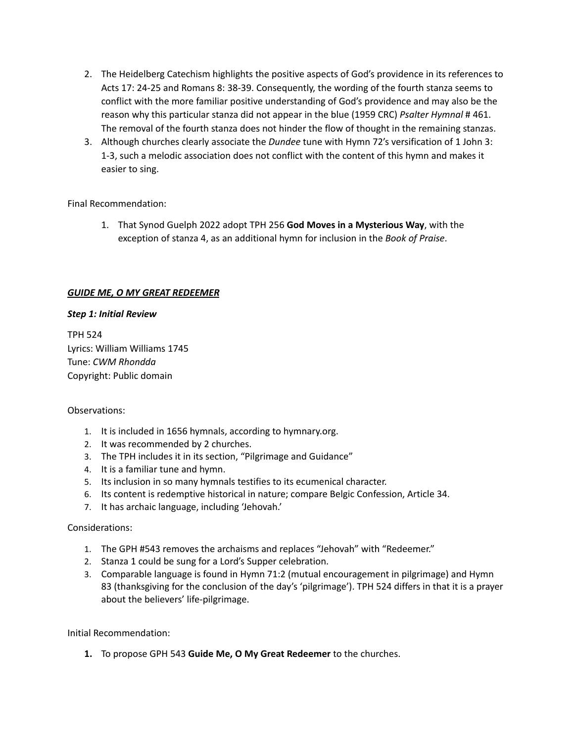- 2. The Heidelberg Catechism highlights the positive aspects of God's providence in its references to Acts 17: 24-25 and Romans 8: 38-39. Consequently, the wording of the fourth stanza seems to conflict with the more familiar positive understanding of God's providence and may also be the reason why this particular stanza did not appear in the blue (1959 CRC) *Psalter Hymnal* # 461. The removal of the fourth stanza does not hinder the flow of thought in the remaining stanzas.
- 3. Although churches clearly associate the *Dundee* tune with Hymn 72's versification of 1 John 3: 1-3, such a melodic association does not conflict with the content of this hymn and makes it easier to sing.

Final Recommendation:

1. That Synod Guelph 2022 adopt TPH 256 **God Moves in a Mysterious Way**, with the exception of stanza 4, as an additional hymn for inclusion in the *Book of Praise*.

## *GUIDE ME, O MY GREAT REDEEMER*

### *Step 1: Initial Review*

TPH 524 Lyrics: William Williams 1745 Tune: *CWM Rhondda* Copyright: Public domain

### Observations:

- 1. It is included in 1656 hymnals, according to hymnary.org.
- 2. It was recommended by 2 churches.
- 3. The TPH includes it in its section, "Pilgrimage and Guidance"
- 4. It is a familiar tune and hymn.
- 5. Its inclusion in so many hymnals testifies to its ecumenical character.
- 6. Its content is redemptive historical in nature; compare Belgic Confession, Article 34.
- 7. It has archaic language, including 'Jehovah.'

### Considerations:

- 1. The GPH #543 removes the archaisms and replaces "Jehovah" with "Redeemer."
- 2. Stanza 1 could be sung for a Lord's Supper celebration.
- 3. Comparable language is found in Hymn 71:2 (mutual encouragement in pilgrimage) and Hymn 83 (thanksgiving for the conclusion of the day's 'pilgrimage'). TPH 524 differs in that it is a prayer about the believers' life-pilgrimage.

Initial Recommendation:

**1.** To propose GPH 543 **Guide Me, O My Great Redeemer** to the churches.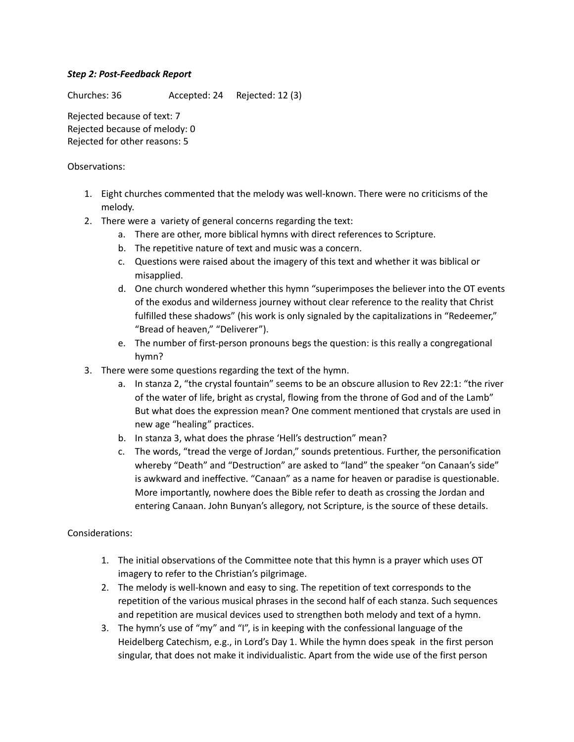## *Step 2: Post-Feedback Report*

Churches: 36 Accepted: 24 Rejected: 12 (3)

Rejected because of text: 7 Rejected because of melody: 0 Rejected for other reasons: 5

### Observations:

- 1. Eight churches commented that the melody was well-known. There were no criticisms of the melody.
- 2. There were a variety of general concerns regarding the text:
	- a. There are other, more biblical hymns with direct references to Scripture.
	- b. The repetitive nature of text and music was a concern.
	- c. Questions were raised about the imagery of this text and whether it was biblical or misapplied.
	- d. One church wondered whether this hymn "superimposes the believer into the OT events of the exodus and wilderness journey without clear reference to the reality that Christ fulfilled these shadows" (his work is only signaled by the capitalizations in "Redeemer," "Bread of heaven," "Deliverer").
	- e. The number of first-person pronouns begs the question: is this really a congregational hymn?
- 3. There were some questions regarding the text of the hymn.
	- a. In stanza 2, "the crystal fountain" seems to be an obscure allusion to Rev 22:1: "the river of the water of life, bright as crystal, flowing from the throne of God and of the Lamb" But what does the expression mean? One comment mentioned that crystals are used in new age "healing" practices.
	- b. In stanza 3, what does the phrase 'Hell's destruction" mean?
	- c. The words, "tread the verge of Jordan," sounds pretentious. Further, the personification whereby "Death" and "Destruction" are asked to "land" the speaker "on Canaan's side" is awkward and ineffective. "Canaan" as a name for heaven or paradise is questionable. More importantly, nowhere does the Bible refer to death as crossing the Jordan and entering Canaan. John Bunyan's allegory, not Scripture, is the source of these details.

- 1. The initial observations of the Committee note that this hymn is a prayer which uses OT imagery to refer to the Christian's pilgrimage.
- 2. The melody is well-known and easy to sing. The repetition of text corresponds to the repetition of the various musical phrases in the second half of each stanza. Such sequences and repetition are musical devices used to strengthen both melody and text of a hymn.
- 3. The hymn's use of "my" and "I", is in keeping with the confessional language of the Heidelberg Catechism, e.g., in Lord's Day 1. While the hymn does speak in the first person singular, that does not make it individualistic. Apart from the wide use of the first person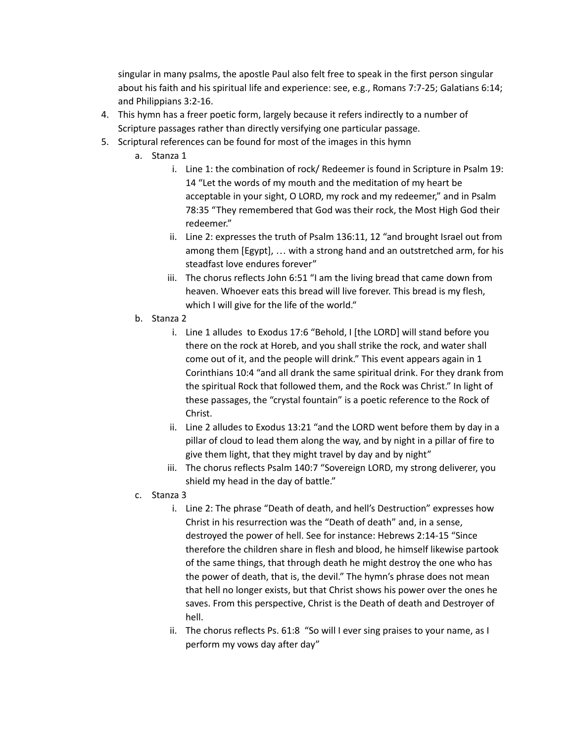singular in many psalms, the apostle Paul also felt free to speak in the first person singular about his faith and his spiritual life and experience: see, e.g., Romans 7:7-25; Galatians 6:14; and Philippians 3:2-16.

- 4. This hymn has a freer poetic form, largely because it refers indirectly to a number of Scripture passages rather than directly versifying one particular passage.
- 5. Scriptural references can be found for most of the images in this hymn
	- a. Stanza 1
		- i. Line 1: the combination of rock/ Redeemer is found in Scripture in Psalm 19: 14 "Let the words of my mouth and the meditation of my heart be acceptable in your sight, O LORD, my rock and my redeemer," and in Psalm 78:35 "They remembered that God was their rock, the Most High God their redeemer."
		- ii. Line 2: expresses the truth of Psalm 136:11, 12 "and brought Israel out from among them [Egypt], … with a strong hand and an outstretched arm, for his steadfast love endures forever"
		- iii. The chorus reflects John 6:51 "I am the living bread that came down from heaven. Whoever eats this bread will live forever. This bread is my flesh, which I will give for the life of the world."
	- b. Stanza 2
		- i. Line 1 alludes to Exodus 17:6 "Behold, I [the LORD] will stand before you there on the rock at Horeb, and you shall strike the rock, and water shall come out of it, and the people will drink." This event appears again in 1 Corinthians 10:4 "and all drank the same spiritual drink. For they drank from the spiritual Rock that followed them, and the Rock was Christ." In light of these passages, the "crystal fountain" is a poetic reference to the Rock of Christ.
		- ii. Line 2 alludes to Exodus 13:21 "and the LORD went before them by day in a pillar of cloud to lead them along the way, and by night in a pillar of fire to give them light, that they might travel by day and by night"
		- iii. The chorus reflects Psalm 140:7 "Sovereign LORD, my strong deliverer, you shield my head in the day of battle."
	- c. Stanza 3
		- i. Line 2: The phrase "Death of death, and hell's Destruction" expresses how Christ in his resurrection was the "Death of death" and, in a sense, destroyed the power of hell. See for instance: Hebrews 2:14-15 "Since therefore the children share in flesh and blood, he himself likewise partook of the same things, that through death he might destroy the one who has the power of death, that is, the devil." The hymn's phrase does not mean that hell no longer exists, but that Christ shows his power over the ones he saves. From this perspective, Christ is the Death of death and Destroyer of hell.
		- ii. The chorus reflects Ps. 61:8 "So will I ever sing praises to your name, as I perform my vows day after day"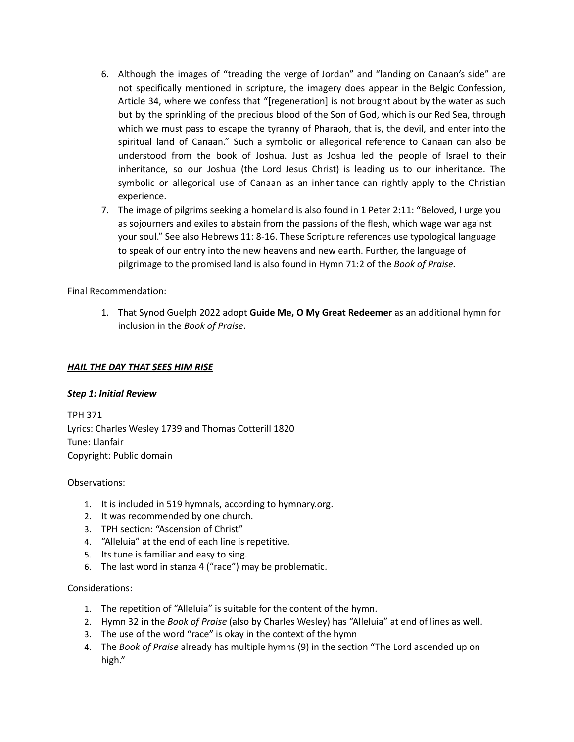- 6. Although the images of "treading the verge of Jordan" and "landing on Canaan's side" are not specifically mentioned in scripture, the imagery does appear in the Belgic Confession, Article 34, where we confess that "[regeneration] is not brought about by the water as such but by the sprinkling of the precious blood of the Son of God, which is our Red Sea, through which we must pass to escape the tyranny of Pharaoh, that is, the devil, and enter into the spiritual land of Canaan." Such a symbolic or allegorical reference to Canaan can also be understood from the book of Joshua. Just as Joshua led the people of Israel to their inheritance, so our Joshua (the Lord Jesus Christ) is leading us to our inheritance. The symbolic or allegorical use of Canaan as an inheritance can rightly apply to the Christian experience.
- 7. The image of pilgrims seeking a homeland is also found in 1 Peter 2:11: "Beloved, I urge you as sojourners and exiles to abstain from the passions of the flesh, which wage war against your soul." See also Hebrews 11: 8-16. These Scripture references use typological language to speak of our entry into the new heavens and new earth. Further, the language of pilgrimage to the promised land is also found in Hymn 71:2 of the *Book of Praise.*

Final Recommendation:

1. That Synod Guelph 2022 adopt **Guide Me, O My Great Redeemer** as an additional hymn for inclusion in the *Book of Praise*.

## *HAIL THE DAY THAT SEES HIM RISE*

### *Step 1: Initial Review*

TPH 371 Lyrics: Charles Wesley 1739 and Thomas Cotterill 1820 Tune: Llanfair Copyright: Public domain

### Observations:

- 1. It is included in 519 hymnals, according to hymnary.org.
- 2. It was recommended by one church.
- 3. TPH section: "Ascension of Christ"
- 4. "Alleluia" at the end of each line is repetitive.
- 5. Its tune is familiar and easy to sing.
- 6. The last word in stanza 4 ("race") may be problematic.

- 1. The repetition of "Alleluia" is suitable for the content of the hymn.
- 2. Hymn 32 in the *Book of Praise* (also by Charles Wesley) has "Alleluia" at end of lines as well.
- 3. The use of the word "race" is okay in the context of the hymn
- 4. The *Book of Praise* already has multiple hymns (9) in the section "The Lord ascended up on high."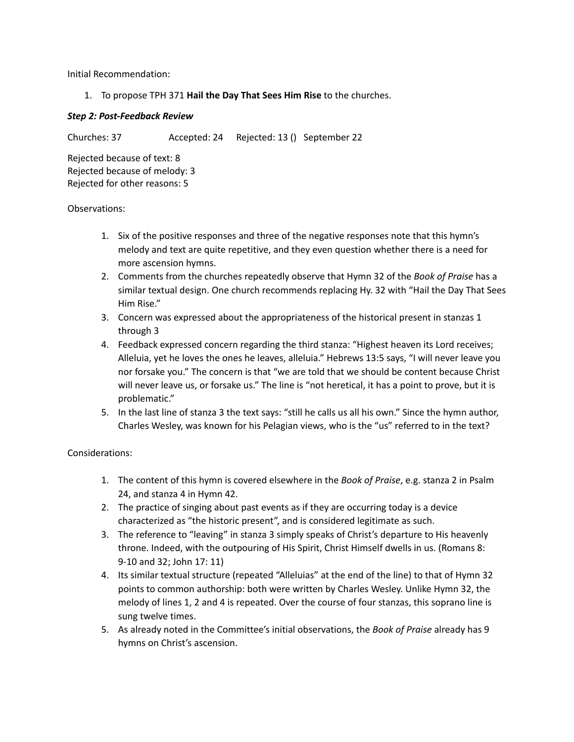Initial Recommendation:

1. To propose TPH 371 **Hail the Day That Sees Him Rise** to the churches.

## *Step 2: Post-Feedback Review*

Churches: 37 Accepted: 24 Rejected: 13 () September 22

Rejected because of text: 8 Rejected because of melody: 3 Rejected for other reasons: 5

### Observations:

- 1. Six of the positive responses and three of the negative responses note that this hymn's melody and text are quite repetitive, and they even question whether there is a need for more ascension hymns.
- 2. Comments from the churches repeatedly observe that Hymn 32 of the *Book of Praise* has a similar textual design. One church recommends replacing Hy. 32 with "Hail the Day That Sees Him Rise."
- 3. Concern was expressed about the appropriateness of the historical present in stanzas 1 through 3
- 4. Feedback expressed concern regarding the third stanza: "Highest heaven its Lord receives; Alleluia, yet he loves the ones he leaves, alleluia." Hebrews 13:5 says, "I will never leave you nor forsake you." The concern is that "we are told that we should be content because Christ will never leave us, or forsake us." The line is "not heretical, it has a point to prove, but it is problematic."
- 5. In the last line of stanza 3 the text says: "still he calls us all his own." Since the hymn author, Charles Wesley, was known for his Pelagian views, who is the "us" referred to in the text?

- 1. The content of this hymn is covered elsewhere in the *Book of Praise*, e.g. stanza 2 in Psalm 24, and stanza 4 in Hymn 42.
- 2. The practice of singing about past events as if they are occurring today is a device characterized as "the historic present", and is considered legitimate as such.
- 3. The reference to "leaving" in stanza 3 simply speaks of Christ's departure to His heavenly throne. Indeed, with the outpouring of His Spirit, Christ Himself dwells in us. (Romans 8: 9-10 and 32; John 17: 11)
- 4. Its similar textual structure (repeated "Alleluias" at the end of the line) to that of Hymn 32 points to common authorship: both were written by Charles Wesley. Unlike Hymn 32, the melody of lines 1, 2 and 4 is repeated. Over the course of four stanzas, this soprano line is sung twelve times.
- 5. As already noted in the Committee's initial observations, the *Book of Praise* already has 9 hymns on Christ's ascension.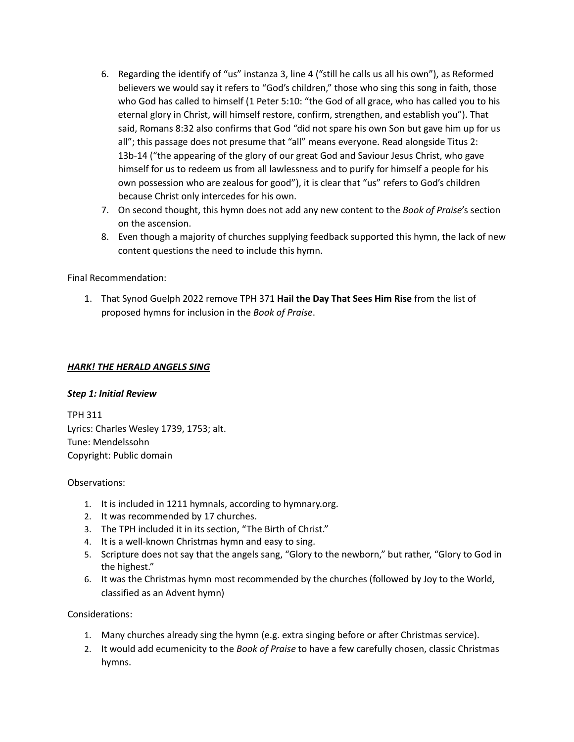- 6. Regarding the identify of "us" instanza 3, line 4 ("still he calls us all his own"), as Reformed believers we would say it refers to "God's children," those who sing this song in faith, those who God has called to himself (1 Peter 5:10: "the God of all grace, who has called you to his eternal glory in Christ, will himself restore, confirm, strengthen, and establish you"). That said, Romans 8:32 also confirms that God "did not spare his own Son but gave him up for us all"; this passage does not presume that "all" means everyone. Read alongside Titus 2: 13b-14 ("the appearing of the glory of our great God and Saviour Jesus Christ, who gave himself for us to redeem us from all lawlessness and to purify for himself a people for his own possession who are zealous for good"), it is clear that "us" refers to God's children because Christ only intercedes for his own.
- 7. On second thought, this hymn does not add any new content to the *Book of Praise*'s section on the ascension.
- 8. Even though a majority of churches supplying feedback supported this hymn, the lack of new content questions the need to include this hymn.

## Final Recommendation:

1. That Synod Guelph 2022 remove TPH 371 **Hail the Day That Sees Him Rise** from the list of proposed hymns for inclusion in the *Book of Praise*.

### *HARK! THE HERALD ANGELS SING*

### *Step 1: Initial Review*

TPH 311 Lyrics: Charles Wesley 1739, 1753; alt. Tune: Mendelssohn Copyright: Public domain

### Observations:

- 1. It is included in 1211 hymnals, according to hymnary.org.
- 2. It was recommended by 17 churches.
- 3. The TPH included it in its section, "The Birth of Christ."
- 4. It is a well-known Christmas hymn and easy to sing.
- 5. Scripture does not say that the angels sang, "Glory to the newborn," but rather, "Glory to God in the highest."
- 6. It was the Christmas hymn most recommended by the churches (followed by Joy to the World, classified as an Advent hymn)

- 1. Many churches already sing the hymn (e.g. extra singing before or after Christmas service).
- 2. It would add ecumenicity to the *Book of Praise* to have a few carefully chosen, classic Christmas hymns.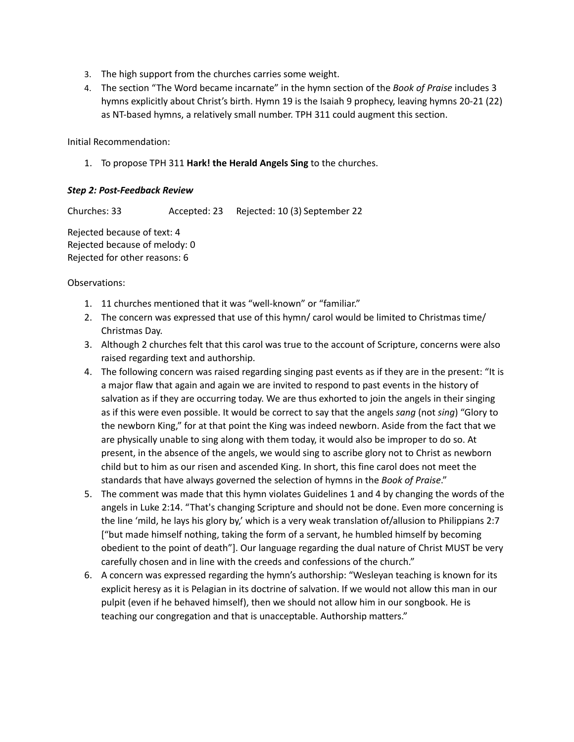- 3. The high support from the churches carries some weight.
- 4. The section "The Word became incarnate" in the hymn section of the *Book of Praise* includes 3 hymns explicitly about Christ's birth. Hymn 19 is the Isaiah 9 prophecy, leaving hymns 20-21 (22) as NT-based hymns, a relatively small number. TPH 311 could augment this section.

Initial Recommendation:

1. To propose TPH 311 **Hark! the Herald Angels Sing** to the churches.

## *Step 2: Post-Feedback Review*

Churches: 33 Accepted: 23 Rejected: 10 (3) September 22

Rejected because of text: 4 Rejected because of melody: 0 Rejected for other reasons: 6

- 1. 11 churches mentioned that it was "well-known" or "familiar."
- 2. The concern was expressed that use of this hymn/ carol would be limited to Christmas time/ Christmas Day.
- 3. Although 2 churches felt that this carol was true to the account of Scripture, concerns were also raised regarding text and authorship.
- 4. The following concern was raised regarding singing past events as if they are in the present: "It is a major flaw that again and again we are invited to respond to past events in the history of salvation as if they are occurring today. We are thus exhorted to join the angels in their singing as if this were even possible. It would be correct to say that the angels *sang* (not *sing*) "Glory to the newborn King," for at that point the King was indeed newborn. Aside from the fact that we are physically unable to sing along with them today, it would also be improper to do so. At present, in the absence of the angels, we would sing to ascribe glory not to Christ as newborn child but to him as our risen and ascended King. In short, this fine carol does not meet the standards that have always governed the selection of hymns in the *Book of Praise*."
- 5. The comment was made that this hymn violates Guidelines 1 and 4 by changing the words of the angels in Luke 2:14. "That's changing Scripture and should not be done. Even more concerning is the line 'mild, he lays his glory by,' which is a very weak translation of/allusion to Philippians 2:7 ["but made himself nothing, taking the form of a servant, he humbled himself by becoming obedient to the point of death"]. Our language regarding the dual nature of Christ MUST be very carefully chosen and in line with the creeds and confessions of the church."
- 6. A concern was expressed regarding the hymn's authorship: "Wesleyan teaching is known for its explicit heresy as it is Pelagian in its doctrine of salvation. If we would not allow this man in our pulpit (even if he behaved himself), then we should not allow him in our songbook. He is teaching our congregation and that is unacceptable. Authorship matters."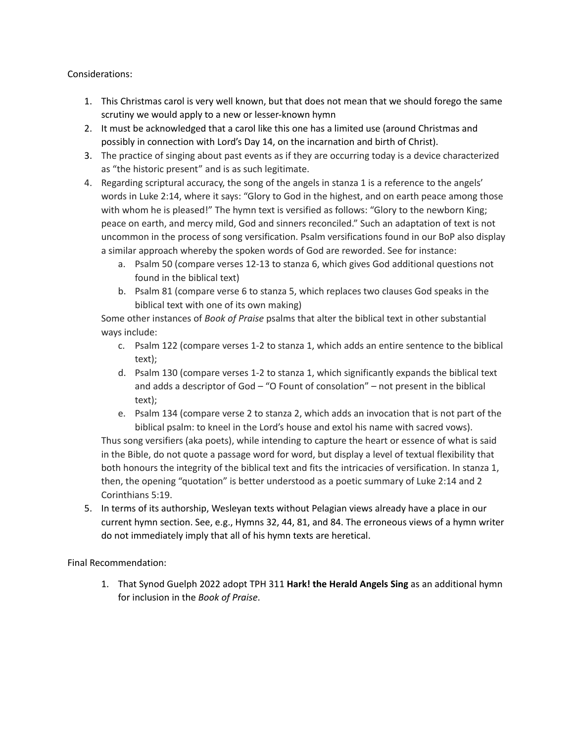## Considerations:

- 1. This Christmas carol is very well known, but that does not mean that we should forego the same scrutiny we would apply to a new or lesser-known hymn
- 2. It must be acknowledged that a carol like this one has a limited use (around Christmas and possibly in connection with Lord's Day 14, on the incarnation and birth of Christ).
- 3. The practice of singing about past events as if they are occurring today is a device characterized as "the historic present" and is as such legitimate.
- 4. Regarding scriptural accuracy, the song of the angels in stanza 1 is a reference to the angels' words in Luke 2:14, where it says: "Glory to God in the highest, and on earth peace among those with whom he is pleased!" The hymn text is versified as follows: "Glory to the newborn King; peace on earth, and mercy mild, God and sinners reconciled." Such an adaptation of text is not uncommon in the process of song versification. Psalm versifications found in our BoP also display a similar approach whereby the spoken words of God are reworded. See for instance:
	- a. Psalm 50 (compare verses 12-13 to stanza 6, which gives God additional questions not found in the biblical text)
	- b. Psalm 81 (compare verse 6 to stanza 5, which replaces two clauses God speaks in the biblical text with one of its own making)

Some other instances of *Book of Praise* psalms that alter the biblical text in other substantial ways include:

- c. Psalm 122 (compare verses 1-2 to stanza 1, which adds an entire sentence to the biblical text);
- d. Psalm 130 (compare verses 1-2 to stanza 1, which significantly expands the biblical text and adds a descriptor of God – "O Fount of consolation" – not present in the biblical text);
- e. Psalm 134 (compare verse 2 to stanza 2, which adds an invocation that is not part of the biblical psalm: to kneel in the Lord's house and extol his name with sacred vows).

Thus song versifiers (aka poets), while intending to capture the heart or essence of what is said in the Bible, do not quote a passage word for word, but display a level of textual flexibility that both honours the integrity of the biblical text and fits the intricacies of versification. In stanza 1, then, the opening "quotation" is better understood as a poetic summary of Luke 2:14 and 2 Corinthians 5:19.

5. In terms of its authorship, Wesleyan texts without Pelagian views already have a place in our current hymn section. See, e.g., Hymns 32, 44, 81, and 84. The erroneous views of a hymn writer do not immediately imply that all of his hymn texts are heretical.

Final Recommendation:

1. That Synod Guelph 2022 adopt TPH 311 **Hark! the Herald Angels Sing** as an additional hymn for inclusion in the *Book of Praise*.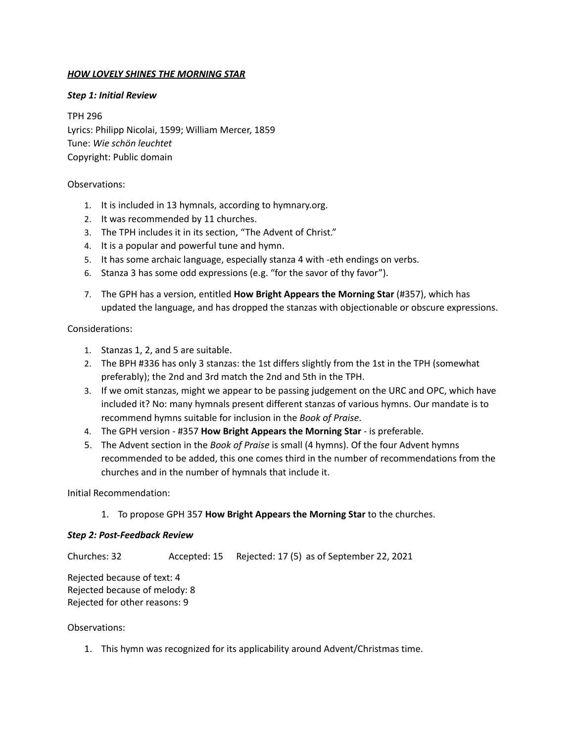## *HOW LOVELY SHINES THE MORNING STAR*

### *Step 1: Initial Review*

TPH 296 Lyrics: Philipp Nicolai, 1599; William Mercer, 1859 Tune: *Wie schön leuchtet* Copyright: Public domain

#### Observations:

- 1. It is included in 13 hymnals, according to hymnary.org.
- 2. It was recommended by 11 churches.
- 3. The TPH includes it in its section, "The Advent of Christ."
- 4. It is a popular and powerful tune and hymn.
- 5. It has some archaic language, especially stanza 4 with -eth endings on verbs.
- 6. Stanza 3 has some odd expressions (e.g. "for the savor of thy favor").
- 7. The GPH has a version, entitled **How Bright Appears the Morning Star** (#357), which has updated the language, and has dropped the stanzas with objectionable or obscure expressions.

### Considerations:

- 1. Stanzas 1, 2, and 5 are suitable.
- 2. The BPH #336 has only 3 stanzas: the 1st differs slightly from the 1st in the TPH (somewhat preferably); the 2nd and 3rd match the 2nd and 5th in the TPH.
- 3. If we omit stanzas, might we appear to be passing judgement on the URC and OPC, which have included it? No: many hymnals present different stanzas of various hymns. Our mandate is to recommend hymns suitable for inclusion in the *Book of Praise*.
- 4. The GPH version #357 **How Bright Appears the Morning Star** is preferable.
- 5. The Advent section in the *Book of Praise* is small (4 hymns). Of the four Advent hymns recommended to be added, this one comes third in the number of recommendations from the churches and in the number of hymnals that include it.

Initial Recommendation:

1. To propose GPH 357 **How Bright Appears the Morning Star** to the churches.

### *Step 2: Post-Feedback Review*

Churches: 32 Accepted: 15 Rejected: 17 (5) as of September 22, 2021

Rejected because of text: 4 Rejected because of melody: 8 Rejected for other reasons: 9

Observations:

1. This hymn was recognized for its applicability around Advent/Christmas time.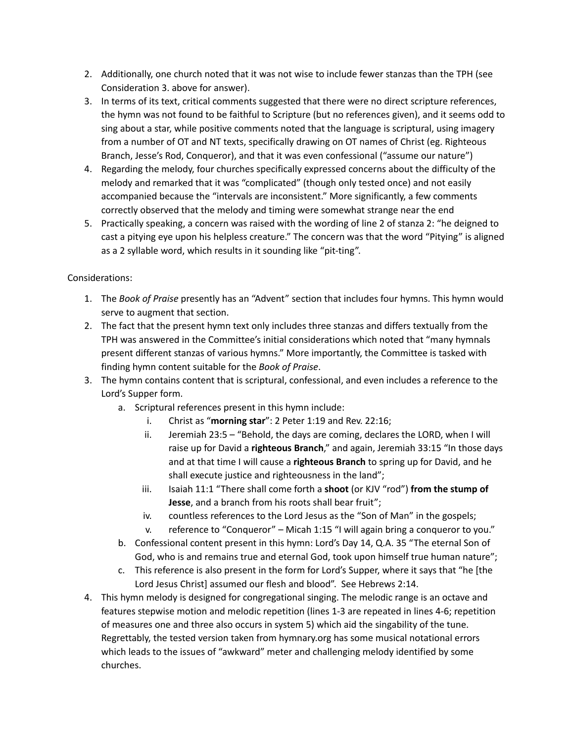- 2. Additionally, one church noted that it was not wise to include fewer stanzas than the TPH (see Consideration 3. above for answer).
- 3. In terms of its text, critical comments suggested that there were no direct scripture references, the hymn was not found to be faithful to Scripture (but no references given), and it seems odd to sing about a star, while positive comments noted that the language is scriptural, using imagery from a number of OT and NT texts, specifically drawing on OT names of Christ (eg. Righteous Branch, Jesse's Rod, Conqueror), and that it was even confessional ("assume our nature")
- 4. Regarding the melody, four churches specifically expressed concerns about the difficulty of the melody and remarked that it was "complicated" (though only tested once) and not easily accompanied because the "intervals are inconsistent." More significantly, a few comments correctly observed that the melody and timing were somewhat strange near the end
- 5. Practically speaking, a concern was raised with the wording of line 2 of stanza 2: "he deigned to cast a pitying eye upon his helpless creature." The concern was that the word "Pitying" is aligned as a 2 syllable word, which results in it sounding like "pit-ting".

- 1. The *Book of Praise* presently has an "Advent" section that includes four hymns. This hymn would serve to augment that section.
- 2. The fact that the present hymn text only includes three stanzas and differs textually from the TPH was answered in the Committee's initial considerations which noted that "many hymnals present different stanzas of various hymns." More importantly, the Committee is tasked with finding hymn content suitable for the *Book of Praise*.
- 3. The hymn contains content that is scriptural, confessional, and even includes a reference to the Lord's Supper form.
	- a. Scriptural references present in this hymn include:
		- i. Christ as "**morning star**": 2 Peter 1:19 and Rev. 22:16;
		- ii. Jeremiah 23:5 "Behold, the days are coming, declares the LORD, when I will raise up for David a **righteous Branch**," and again, Jeremiah 33:15 "In those days and at that time I will cause a **righteous Branch** to spring up for David, and he shall execute justice and righteousness in the land";
		- iii. Isaiah 11:1 "There shall come forth a **shoot** (or KJV "rod") **from the stump of Jesse**, and a branch from his roots shall bear fruit";
		- iv. countless references to the Lord Jesus as the "Son of Man" in the gospels;
		- v. reference to "Conqueror" Micah 1:15 "I will again bring a conqueror to you."
	- b. Confessional content present in this hymn: Lord's Day 14, Q.A. 35 "The eternal Son of God, who is and remains true and eternal God, took upon himself true human nature";
	- c. This reference is also present in the form for Lord's Supper, where it says that "he [the Lord Jesus Christ] assumed our flesh and blood". See Hebrews 2:14.
- 4. This hymn melody is designed for congregational singing. The melodic range is an octave and features stepwise motion and melodic repetition (lines 1-3 are repeated in lines 4-6; repetition of measures one and three also occurs in system 5) which aid the singability of the tune. Regrettably, the tested version taken from hymnary.org has some musical notational errors which leads to the issues of "awkward" meter and challenging melody identified by some churches.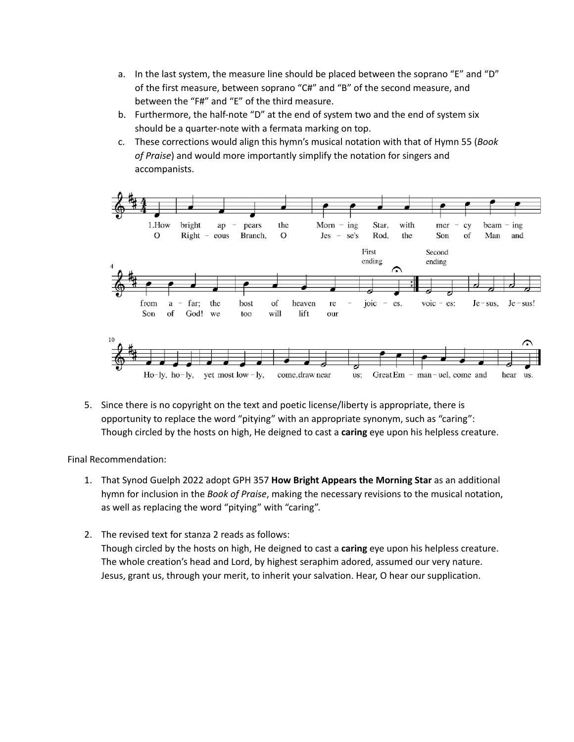- a. In the last system, the measure line should be placed between the soprano "E" and "D" of the first measure, between soprano "C#" and "B" of the second measure, and between the "F#" and "E" of the third measure.
- b. Furthermore, the half-note "D" at the end of system two and the end of system six should be a quarter-note with a fermata marking on top.
- c. These corrections would align this hymn's musical notation with that of Hymn 55 (*Book of Praise*) and would more importantly simplify the notation for singers and accompanists.



5. Since there is no copyright on the text and poetic license/liberty is appropriate, there is opportunity to replace the word "pitying" with an appropriate synonym, such as "caring": Though circled by the hosts on high, He deigned to cast a **caring** eye upon his helpless creature.

Final Recommendation:

- 1. That Synod Guelph 2022 adopt GPH 357 **How Bright Appears the Morning Star** as an additional hymn for inclusion in the *Book of Praise*, making the necessary revisions to the musical notation, as well as replacing the word "pitying" with "caring".
- 2. The revised text for stanza 2 reads as follows: Though circled by the hosts on high, He deigned to cast a **caring** eye upon his helpless creature. The whole creation's head and Lord, by highest seraphim adored, assumed our very nature. Jesus, grant us, through your merit, to inherit your salvation. Hear, O hear our supplication.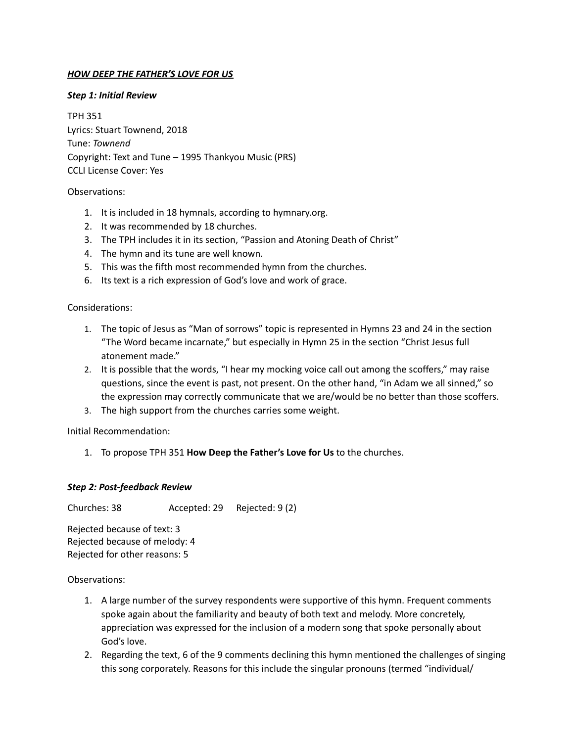## *HOW DEEP THE FATHER'S LOVE FOR US*

### *Step 1: Initial Review*

TPH 351 Lyrics: Stuart Townend, 2018 Tune: *Townend* Copyright: Text and Tune – 1995 Thankyou Music (PRS) CCLI License Cover: Yes

### Observations:

- 1. It is included in 18 hymnals, according to hymnary.org.
- 2. It was recommended by 18 churches.
- 3. The TPH includes it in its section, "Passion and Atoning Death of Christ"
- 4. The hymn and its tune are well known.
- 5. This was the fifth most recommended hymn from the churches.
- 6. Its text is a rich expression of God's love and work of grace.

#### Considerations:

- 1. The topic of Jesus as "Man of sorrows" topic is represented in Hymns 23 and 24 in the section "The Word became incarnate," but especially in Hymn 25 in the section "Christ Jesus full atonement made."
- 2. It is possible that the words, "I hear my mocking voice call out among the scoffers," may raise questions, since the event is past, not present. On the other hand, "in Adam we all sinned," so the expression may correctly communicate that we are/would be no better than those scoffers.
- 3. The high support from the churches carries some weight.

Initial Recommendation:

1. To propose TPH 351 **How Deep the Father's Love for Us** to the churches.

### *Step 2: Post-feedback Review*

Churches: 38 Accepted: 29 Rejected: 9 (2)

Rejected because of text: 3 Rejected because of melody: 4 Rejected for other reasons: 5

- 1. A large number of the survey respondents were supportive of this hymn. Frequent comments spoke again about the familiarity and beauty of both text and melody. More concretely, appreciation was expressed for the inclusion of a modern song that spoke personally about God's love.
- 2. Regarding the text, 6 of the 9 comments declining this hymn mentioned the challenges of singing this song corporately. Reasons for this include the singular pronouns (termed "individual/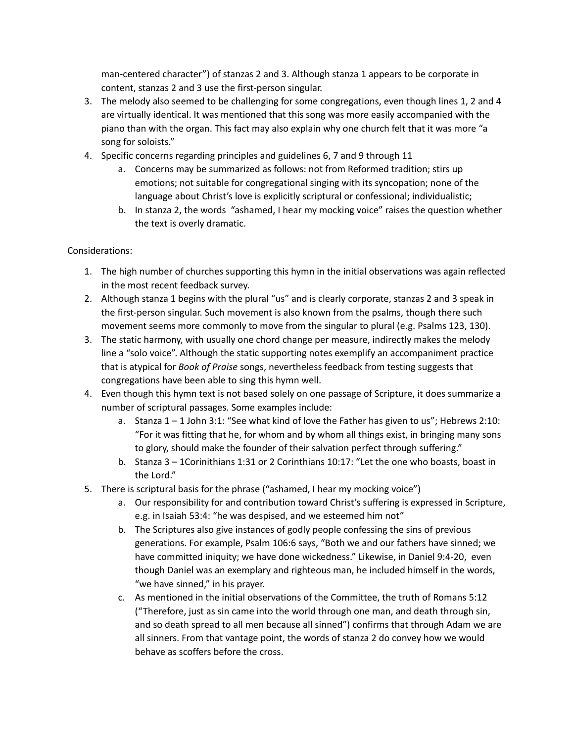man-centered character") of stanzas 2 and 3. Although stanza 1 appears to be corporate in content, stanzas 2 and 3 use the first-person singular.

- 3. The melody also seemed to be challenging for some congregations, even though lines 1, 2 and 4 are virtually identical. It was mentioned that this song was more easily accompanied with the piano than with the organ. This fact may also explain why one church felt that it was more "a song for soloists."
- 4. Specific concerns regarding principles and guidelines 6, 7 and 9 through 11
	- a. Concerns may be summarized as follows: not from Reformed tradition; stirs up emotions; not suitable for congregational singing with its syncopation; none of the language about Christ's love is explicitly scriptural or confessional; individualistic;
	- b. In stanza 2, the words "ashamed, I hear my mocking voice" raises the question whether the text is overly dramatic.

- 1. The high number of churches supporting this hymn in the initial observations was again reflected in the most recent feedback survey.
- 2. Although stanza 1 begins with the plural "us" and is clearly corporate, stanzas 2 and 3 speak in the first-person singular. Such movement is also known from the psalms, though there such movement seems more commonly to move from the singular to plural (e.g. Psalms 123, 130).
- 3. The static harmony, with usually one chord change per measure, indirectly makes the melody line a "solo voice". Although the static supporting notes exemplify an accompaniment practice that is atypical for *Book of Praise* songs, nevertheless feedback from testing suggests that congregations have been able to sing this hymn well.
- 4. Even though this hymn text is not based solely on one passage of Scripture, it does summarize a number of scriptural passages. Some examples include:
	- a. Stanza 1 1 John 3:1: "See what kind of love the Father has given to us"; Hebrews 2:10: "For it was fitting that he, for whom and by whom all things exist, in bringing many sons to glory, should make the founder of their salvation perfect through suffering."
	- b. Stanza 3 1Corinithians 1:31 or 2 Corinthians 10:17: "Let the one who boasts, boast in the Lord."
- 5. There is scriptural basis for the phrase ("ashamed, I hear my mocking voice")
	- a. Our responsibility for and contribution toward Christ's suffering is expressed in Scripture, e.g. in Isaiah 53:4: "he was despised, and we esteemed him not"
	- b. The Scriptures also give instances of godly people confessing the sins of previous generations. For example, Psalm 106:6 says, "Both we and our fathers have sinned; we have committed iniquity; we have done wickedness." Likewise, in Daniel 9:4-20, even though Daniel was an exemplary and righteous man, he included himself in the words, "we have sinned," in his prayer.
	- c. As mentioned in the initial observations of the Committee, the truth of Romans 5:12 ("Therefore, just as sin came into the world through one man, and death through sin, and so death spread to all men because all sinned") confirms that through Adam we are all sinners. From that vantage point, the words of stanza 2 do convey how we would behave as scoffers before the cross.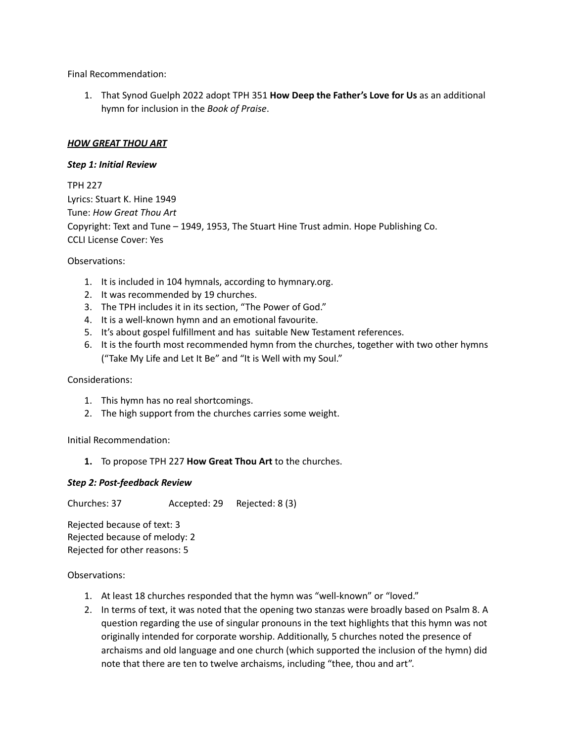Final Recommendation:

1. That Synod Guelph 2022 adopt TPH 351 **How Deep the Father's Love for Us** as an additional hymn for inclusion in the *Book of Praise*.

## *HOW GREAT THOU ART*

### *Step 1: Initial Review*

TPH 227 Lyrics: Stuart K. Hine 1949 Tune: *How Great Thou Art* Copyright: Text and Tune – 1949, 1953, The Stuart Hine Trust admin. Hope Publishing Co. CCLI License Cover: Yes

Observations:

- 1. It is included in 104 hymnals, according to hymnary.org.
- 2. It was recommended by 19 churches.
- 3. The TPH includes it in its section, "The Power of God."
- 4. It is a well-known hymn and an emotional favourite.
- 5. It's about gospel fulfillment and has suitable New Testament references.
- 6. It is the fourth most recommended hymn from the churches, together with two other hymns ("Take My Life and Let It Be" and "It is Well with my Soul."

### Considerations:

- 1. This hymn has no real shortcomings.
- 2. The high support from the churches carries some weight.

Initial Recommendation:

**1.** To propose TPH 227 **How Great Thou Art** to the churches.

### *Step 2: Post-feedback Review*

Churches: 37 Accepted: 29 Rejected: 8 (3)

Rejected because of text: 3 Rejected because of melody: 2 Rejected for other reasons: 5

- 1. At least 18 churches responded that the hymn was "well-known" or "loved."
- 2. In terms of text, it was noted that the opening two stanzas were broadly based on Psalm 8. A question regarding the use of singular pronouns in the text highlights that this hymn was not originally intended for corporate worship. Additionally, 5 churches noted the presence of archaisms and old language and one church (which supported the inclusion of the hymn) did note that there are ten to twelve archaisms, including "thee, thou and art".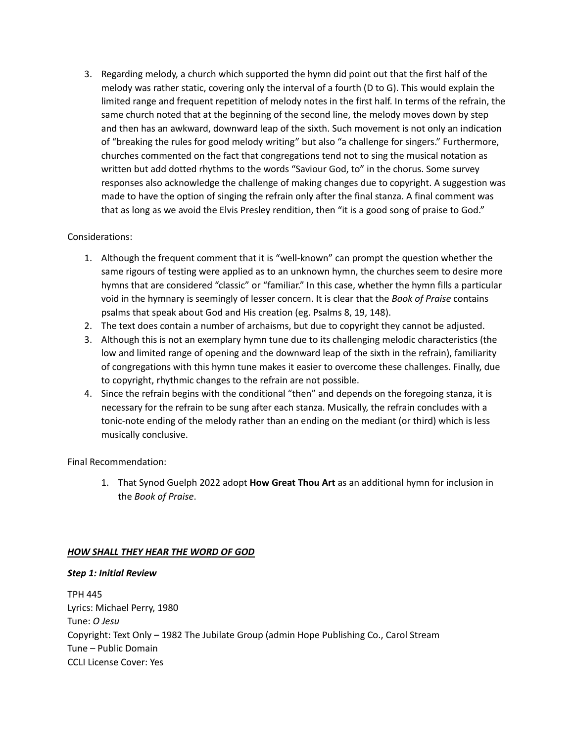3. Regarding melody, a church which supported the hymn did point out that the first half of the melody was rather static, covering only the interval of a fourth (D to G). This would explain the limited range and frequent repetition of melody notes in the first half. In terms of the refrain, the same church noted that at the beginning of the second line, the melody moves down by step and then has an awkward, downward leap of the sixth. Such movement is not only an indication of "breaking the rules for good melody writing" but also "a challenge for singers." Furthermore, churches commented on the fact that congregations tend not to sing the musical notation as written but add dotted rhythms to the words "Saviour God, to" in the chorus. Some survey responses also acknowledge the challenge of making changes due to copyright. A suggestion was made to have the option of singing the refrain only after the final stanza. A final comment was that as long as we avoid the Elvis Presley rendition, then "it is a good song of praise to God."

## Considerations:

- 1. Although the frequent comment that it is "well-known" can prompt the question whether the same rigours of testing were applied as to an unknown hymn, the churches seem to desire more hymns that are considered "classic" or "familiar." In this case, whether the hymn fills a particular void in the hymnary is seemingly of lesser concern. It is clear that the *Book of Praise* contains psalms that speak about God and His creation (eg. Psalms 8, 19, 148).
- 2. The text does contain a number of archaisms, but due to copyright they cannot be adjusted.
- 3. Although this is not an exemplary hymn tune due to its challenging melodic characteristics (the low and limited range of opening and the downward leap of the sixth in the refrain), familiarity of congregations with this hymn tune makes it easier to overcome these challenges. Finally, due to copyright, rhythmic changes to the refrain are not possible.
- 4. Since the refrain begins with the conditional "then" and depends on the foregoing stanza, it is necessary for the refrain to be sung after each stanza. Musically, the refrain concludes with a tonic-note ending of the melody rather than an ending on the mediant (or third) which is less musically conclusive.

Final Recommendation:

1. That Synod Guelph 2022 adopt **How Great Thou Art** as an additional hymn for inclusion in the *Book of Praise*.

### *HOW SHALL THEY HEAR THE WORD OF GOD*

### *Step 1: Initial Review*

TPH 445 Lyrics: Michael Perry, 1980 Tune: *O Jesu* Copyright: Text Only – 1982 The Jubilate Group (admin Hope Publishing Co., Carol Stream Tune – Public Domain CCLI License Cover: Yes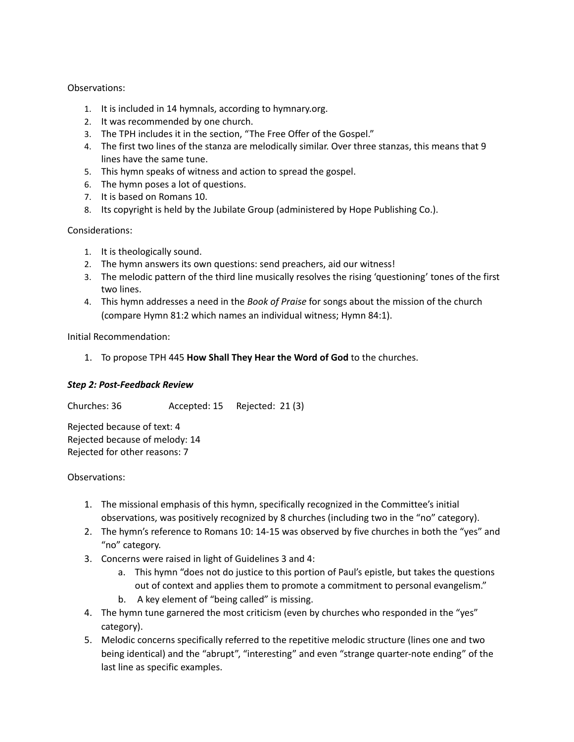## Observations:

- 1. It is included in 14 hymnals, according to hymnary.org.
- 2. It was recommended by one church.
- 3. The TPH includes it in the section, "The Free Offer of the Gospel."
- 4. The first two lines of the stanza are melodically similar. Over three stanzas, this means that 9 lines have the same tune.
- 5. This hymn speaks of witness and action to spread the gospel.
- 6. The hymn poses a lot of questions.
- 7. It is based on Romans 10.
- 8. Its copyright is held by the Jubilate Group (administered by Hope Publishing Co.).

### Considerations:

- 1. It is theologically sound.
- 2. The hymn answers its own questions: send preachers, aid our witness!
- 3. The melodic pattern of the third line musically resolves the rising 'questioning' tones of the first two lines.
- 4. This hymn addresses a need in the *Book of Praise* for songs about the mission of the church (compare Hymn 81:2 which names an individual witness; Hymn 84:1).

Initial Recommendation:

1. To propose TPH 445 **How Shall They Hear the Word of God** to the churches.

### *Step 2: Post-Feedback Review*

Churches: 36 Accepted: 15 Rejected: 21 (3)

Rejected because of text: 4 Rejected because of melody: 14 Rejected for other reasons: 7

- 1. The missional emphasis of this hymn, specifically recognized in the Committee's initial observations, was positively recognized by 8 churches (including two in the "no" category).
- 2. The hymn's reference to Romans 10: 14-15 was observed by five churches in both the "yes" and "no" category.
- 3. Concerns were raised in light of Guidelines 3 and 4:
	- a. This hymn "does not do justice to this portion of Paul's epistle, but takes the questions out of context and applies them to promote a commitment to personal evangelism."
	- b. A key element of "being called" is missing.
- 4. The hymn tune garnered the most criticism (even by churches who responded in the "yes" category).
- 5. Melodic concerns specifically referred to the repetitive melodic structure (lines one and two being identical) and the "abrupt", "interesting" and even "strange quarter-note ending" of the last line as specific examples.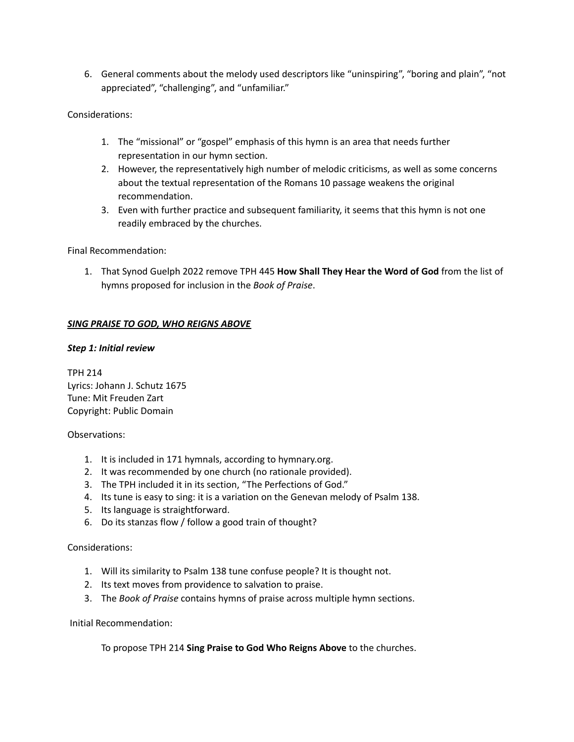6. General comments about the melody used descriptors like "uninspiring", "boring and plain", "not appreciated", "challenging", and "unfamiliar."

## Considerations:

- 1. The "missional" or "gospel" emphasis of this hymn is an area that needs further representation in our hymn section.
- 2. However, the representatively high number of melodic criticisms, as well as some concerns about the textual representation of the Romans 10 passage weakens the original recommendation.
- 3. Even with further practice and subsequent familiarity, it seems that this hymn is not one readily embraced by the churches.

Final Recommendation:

1. That Synod Guelph 2022 remove TPH 445 **How Shall They Hear the Word of God** from the list of hymns proposed for inclusion in the *Book of Praise*.

## *SING PRAISE TO GOD, WHO REIGNS ABOVE*

### *Step 1: Initial review*

TPH 214 Lyrics: Johann J. Schutz 1675 Tune: Mit Freuden Zart Copyright: Public Domain

### Observations:

- 1. It is included in 171 hymnals, according to hymnary.org.
- 2. It was recommended by one church (no rationale provided).
- 3. The TPH included it in its section, "The Perfections of God."
- 4. Its tune is easy to sing: it is a variation on the Genevan melody of Psalm 138.
- 5. Its language is straightforward.
- 6. Do its stanzas flow / follow a good train of thought?

### Considerations:

- 1. Will its similarity to Psalm 138 tune confuse people? It is thought not.
- 2. Its text moves from providence to salvation to praise.
- 3. The *Book of Praise* contains hymns of praise across multiple hymn sections.

### Initial Recommendation:

To propose TPH 214 **Sing Praise to God Who Reigns Above** to the churches.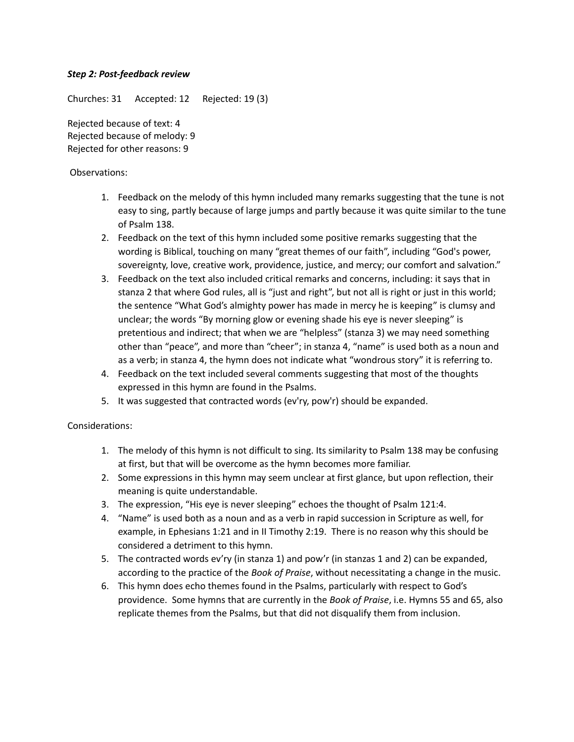## *Step 2: Post-feedback review*

Churches: 31 Accepted: 12 Rejected: 19 (3)

Rejected because of text: 4 Rejected because of melody: 9 Rejected for other reasons: 9

## Observations:

- 1. Feedback on the melody of this hymn included many remarks suggesting that the tune is not easy to sing, partly because of large jumps and partly because it was quite similar to the tune of Psalm 138.
- 2. Feedback on the text of this hymn included some positive remarks suggesting that the wording is Biblical, touching on many "great themes of our faith", including "God's power, sovereignty, love, creative work, providence, justice, and mercy; our comfort and salvation."
- 3. Feedback on the text also included critical remarks and concerns, including: it says that in stanza 2 that where God rules, all is "just and right", but not all is right or just in this world; the sentence "What God's almighty power has made in mercy he is keeping" is clumsy and unclear; the words "By morning glow or evening shade his eye is never sleeping" is pretentious and indirect; that when we are "helpless" (stanza 3) we may need something other than "peace", and more than "cheer"; in stanza 4, "name" is used both as a noun and as a verb; in stanza 4, the hymn does not indicate what "wondrous story" it is referring to.
- 4. Feedback on the text included several comments suggesting that most of the thoughts expressed in this hymn are found in the Psalms.
- 5. It was suggested that contracted words (ev'ry, pow'r) should be expanded.

- 1. The melody of this hymn is not difficult to sing. Its similarity to Psalm 138 may be confusing at first, but that will be overcome as the hymn becomes more familiar.
- 2. Some expressions in this hymn may seem unclear at first glance, but upon reflection, their meaning is quite understandable.
- 3. The expression, "His eye is never sleeping" echoes the thought of Psalm 121:4.
- 4. "Name" is used both as a noun and as a verb in rapid succession in Scripture as well, for example, in Ephesians 1:21 and in II Timothy 2:19. There is no reason why this should be considered a detriment to this hymn.
- 5. The contracted words ev'ry (in stanza 1) and pow'r (in stanzas 1 and 2) can be expanded, according to the practice of the *Book of Praise*, without necessitating a change in the music.
- 6. This hymn does echo themes found in the Psalms, particularly with respect to God's providence. Some hymns that are currently in the *Book of Praise*, i.e. Hymns 55 and 65, also replicate themes from the Psalms, but that did not disqualify them from inclusion.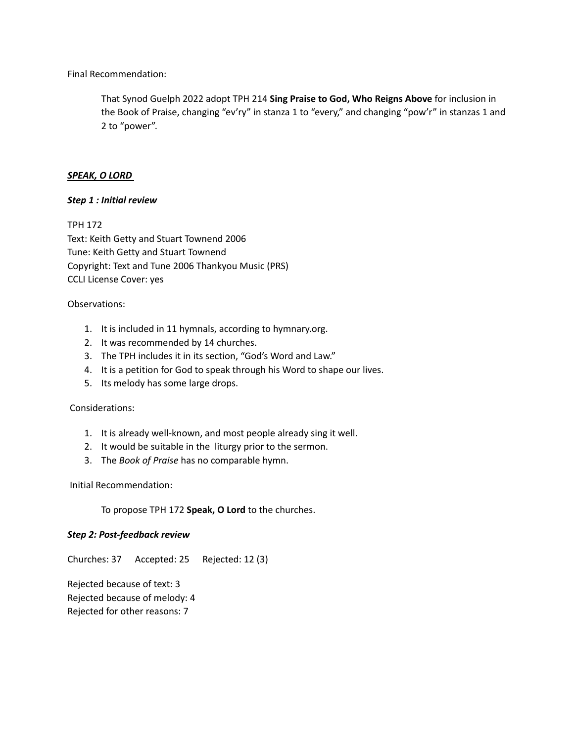Final Recommendation:

That Synod Guelph 2022 adopt TPH 214 **Sing Praise to God, Who Reigns Above** for inclusion in the Book of Praise, changing "ev'ry" in stanza 1 to "every," and changing "pow'r" in stanzas 1 and 2 to "power".

### *SPEAK, O LORD*

#### *Step 1 : Initial review*

TPH 172 Text: Keith Getty and Stuart Townend 2006 Tune: Keith Getty and Stuart Townend Copyright: Text and Tune 2006 Thankyou Music (PRS) CCLI License Cover: yes

#### Observations:

- 1. It is included in 11 hymnals, according to hymnary.org.
- 2. It was recommended by 14 churches.
- 3. The TPH includes it in its section, "God's Word and Law."
- 4. It is a petition for God to speak through his Word to shape our lives.
- 5. Its melody has some large drops.

### Considerations:

- 1. It is already well-known, and most people already sing it well.
- 2. It would be suitable in the liturgy prior to the sermon.
- 3. The *Book of Praise* has no comparable hymn.

Initial Recommendation:

To propose TPH 172 **Speak, O Lord** to the churches.

### *Step 2: Post-feedback review*

Churches: 37 Accepted: 25 Rejected: 12 (3)

Rejected because of text: 3 Rejected because of melody: 4 Rejected for other reasons: 7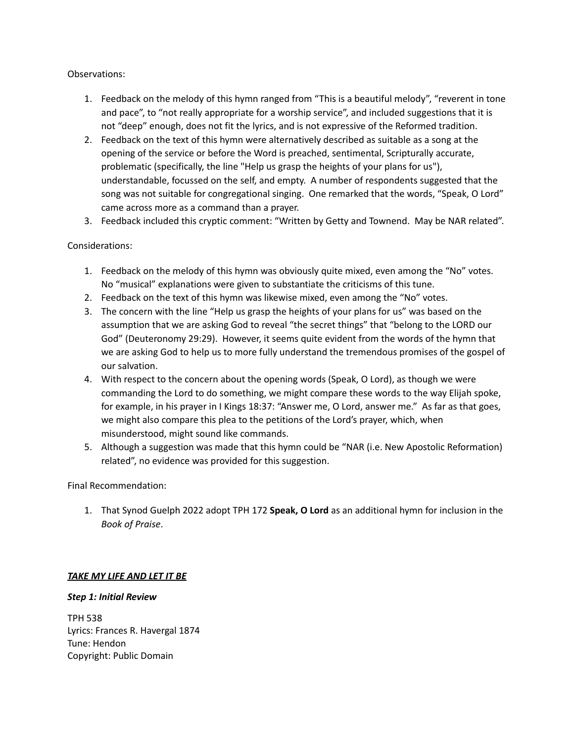## Observations:

- 1. Feedback on the melody of this hymn ranged from "This is a beautiful melody", "reverent in tone and pace", to "not really appropriate for a worship service", and included suggestions that it is not "deep" enough, does not fit the lyrics, and is not expressive of the Reformed tradition.
- 2. Feedback on the text of this hymn were alternatively described as suitable as a song at the opening of the service or before the Word is preached, sentimental, Scripturally accurate, problematic (specifically, the line "Help us grasp the heights of your plans for us"), understandable, focussed on the self, and empty. A number of respondents suggested that the song was not suitable for congregational singing. One remarked that the words, "Speak, O Lord" came across more as a command than a prayer.
- 3. Feedback included this cryptic comment: "Written by Getty and Townend. May be NAR related".

## Considerations:

- 1. Feedback on the melody of this hymn was obviously quite mixed, even among the "No" votes. No "musical" explanations were given to substantiate the criticisms of this tune.
- 2. Feedback on the text of this hymn was likewise mixed, even among the "No" votes.
- 3. The concern with the line "Help us grasp the heights of your plans for us" was based on the assumption that we are asking God to reveal "the secret things" that "belong to the LORD our God" (Deuteronomy 29:29). However, it seems quite evident from the words of the hymn that we are asking God to help us to more fully understand the tremendous promises of the gospel of our salvation.
- 4. With respect to the concern about the opening words (Speak, O Lord), as though we were commanding the Lord to do something, we might compare these words to the way Elijah spoke, for example, in his prayer in I Kings 18:37: "Answer me, O Lord, answer me." As far as that goes, we might also compare this plea to the petitions of the Lord's prayer, which, when misunderstood, might sound like commands.
- 5. Although a suggestion was made that this hymn could be "NAR (i.e. New Apostolic Reformation) related", no evidence was provided for this suggestion.

Final Recommendation:

1. That Synod Guelph 2022 adopt TPH 172 **Speak, O Lord** as an additional hymn for inclusion in the *Book of Praise*.

# *TAKE MY LIFE AND LET IT BE*

### *Step 1: Initial Review*

TPH 538 Lyrics: Frances R. Havergal 1874 Tune: Hendon Copyright: Public Domain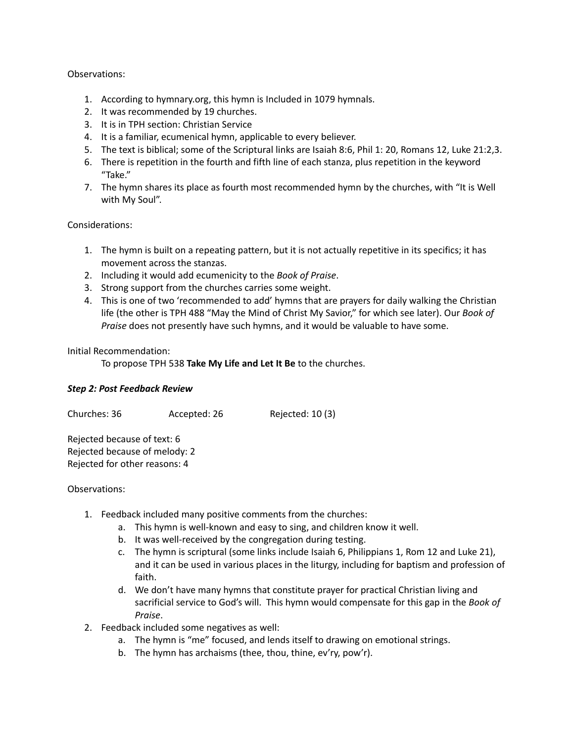### Observations:

- 1. According to hymnary.org, this hymn is Included in 1079 hymnals.
- 2. It was recommended by 19 churches.
- 3. It is in TPH section: Christian Service
- 4. It is a familiar, ecumenical hymn, applicable to every believer.
- 5. The text is biblical; some of the Scriptural links are Isaiah 8:6, Phil 1: 20, Romans 12, Luke 21:2,3.
- 6. There is repetition in the fourth and fifth line of each stanza, plus repetition in the keyword "Take."
- 7. The hymn shares its place as fourth most recommended hymn by the churches, with "It is Well with My Soul".

### Considerations:

- 1. The hymn is built on a repeating pattern, but it is not actually repetitive in its specifics; it has movement across the stanzas.
- 2. Including it would add ecumenicity to the *Book of Praise*.
- 3. Strong support from the churches carries some weight.
- 4. This is one of two 'recommended to add' hymns that are prayers for daily walking the Christian life (the other is TPH 488 "May the Mind of Christ My Savior," for which see later). Our *Book of Praise* does not presently have such hymns, and it would be valuable to have some.

### Initial Recommendation:

To propose TPH 538 **Take My Life and Let It Be** to the churches.

### *Step 2: Post Feedback Review*

Churches: 36 Accepted: 26 Rejected: 10 (3)

Rejected because of text: 6 Rejected because of melody: 2 Rejected for other reasons: 4

- 1. Feedback included many positive comments from the churches:
	- a. This hymn is well-known and easy to sing, and children know it well.
	- b. It was well-received by the congregation during testing.
	- c. The hymn is scriptural (some links include Isaiah 6, Philippians 1, Rom 12 and Luke 21), and it can be used in various places in the liturgy, including for baptism and profession of faith.
	- d. We don't have many hymns that constitute prayer for practical Christian living and sacrificial service to God's will. This hymn would compensate for this gap in the *Book of Praise*.
- 2. Feedback included some negatives as well:
	- a. The hymn is "me" focused, and lends itself to drawing on emotional strings.
	- b. The hymn has archaisms (thee, thou, thine, ev'ry, pow'r).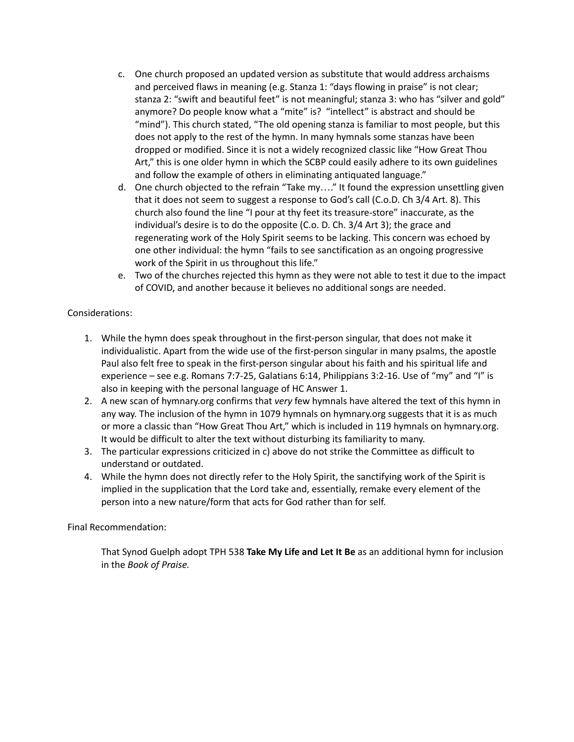- c. One church proposed an updated version as substitute that would address archaisms and perceived flaws in meaning (e.g. Stanza 1: "days flowing in praise" is not clear; stanza 2: "swift and beautiful feet" is not meaningful; stanza 3: who has "silver and gold" anymore? Do people know what a "mite" is? "intellect" is abstract and should be "mind"). This church stated, "The old opening stanza is familiar to most people, but this does not apply to the rest of the hymn. In many hymnals some stanzas have been dropped or modified. Since it is not a widely recognized classic like "How Great Thou Art," this is one older hymn in which the SCBP could easily adhere to its own guidelines and follow the example of others in eliminating antiquated language."
- d. One church objected to the refrain "Take my…." It found the expression unsettling given that it does not seem to suggest a response to God's call (C.o.D. Ch 3/4 Art. 8). This church also found the line "I pour at thy feet its treasure-store" inaccurate, as the individual's desire is to do the opposite (C.o. D. Ch. 3/4 Art 3); the grace and regenerating work of the Holy Spirit seems to be lacking. This concern was echoed by one other individual: the hymn "fails to see sanctification as an ongoing progressive work of the Spirit in us throughout this life."
- e. Two of the churches rejected this hymn as they were not able to test it due to the impact of COVID, and another because it believes no additional songs are needed.

## Considerations:

- 1. While the hymn does speak throughout in the first-person singular, that does not make it individualistic. Apart from the wide use of the first-person singular in many psalms, the apostle Paul also felt free to speak in the first-person singular about his faith and his spiritual life and experience – see e.g. Romans 7:7-25, Galatians 6:14, Philippians 3:2-16. Use of "my" and "I" is also in keeping with the personal language of HC Answer 1.
- 2. A new scan of hymnary.org confirms that *very* few hymnals have altered the text of this hymn in any way. The inclusion of the hymn in 1079 hymnals on hymnary.org suggests that it is as much or more a classic than "How Great Thou Art," which is included in 119 hymnals on hymnary.org. It would be difficult to alter the text without disturbing its familiarity to many.
- 3. The particular expressions criticized in c) above do not strike the Committee as difficult to understand or outdated.
- 4. While the hymn does not directly refer to the Holy Spirit, the sanctifying work of the Spirit is implied in the supplication that the Lord take and, essentially, remake every element of the person into a new nature/form that acts for God rather than for self.

### Final Recommendation:

That Synod Guelph adopt TPH 538 **Take My Life and Let It Be** as an additional hymn for inclusion in the *Book of Praise.*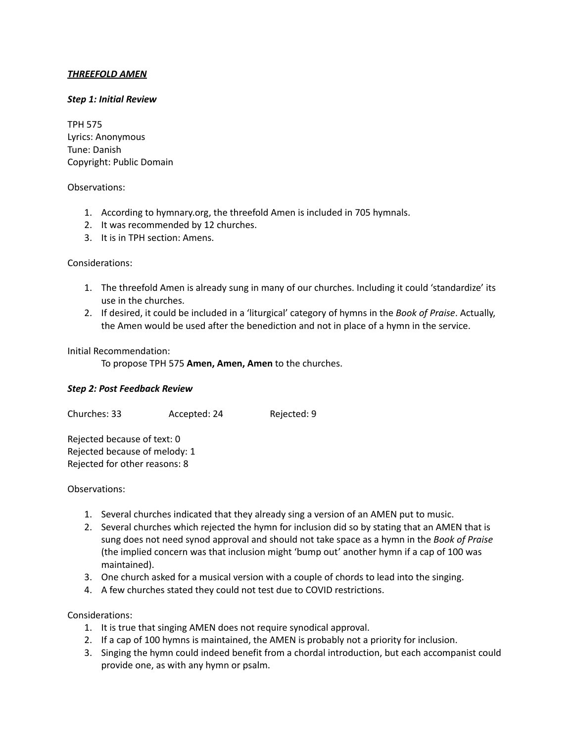## *THREEFOLD AMEN*

#### *Step 1: Initial Review*

TPH 575 Lyrics: Anonymous Tune: Danish Copyright: Public Domain

#### Observations:

- 1. According to hymnary.org, the threefold Amen is included in 705 hymnals.
- 2. It was recommended by 12 churches.
- 3. It is in TPH section: Amens.

#### Considerations:

- 1. The threefold Amen is already sung in many of our churches. Including it could 'standardize' its use in the churches.
- 2. If desired, it could be included in a 'liturgical' category of hymns in the *Book of Praise*. Actually, the Amen would be used after the benediction and not in place of a hymn in the service.

#### Initial Recommendation:

To propose TPH 575 **Amen, Amen, Amen** to the churches.

### *Step 2: Post Feedback Review*

Churches: 33 Accepted: 24 Rejected: 9

Rejected because of text: 0 Rejected because of melody: 1 Rejected for other reasons: 8

### Observations:

- 1. Several churches indicated that they already sing a version of an AMEN put to music.
- 2. Several churches which rejected the hymn for inclusion did so by stating that an AMEN that is sung does not need synod approval and should not take space as a hymn in the *Book of Praise* (the implied concern was that inclusion might 'bump out' another hymn if a cap of 100 was maintained).
- 3. One church asked for a musical version with a couple of chords to lead into the singing.
- 4. A few churches stated they could not test due to COVID restrictions.

- 1. It is true that singing AMEN does not require synodical approval.
- 2. If a cap of 100 hymns is maintained, the AMEN is probably not a priority for inclusion.
- 3. Singing the hymn could indeed benefit from a chordal introduction, but each accompanist could provide one, as with any hymn or psalm.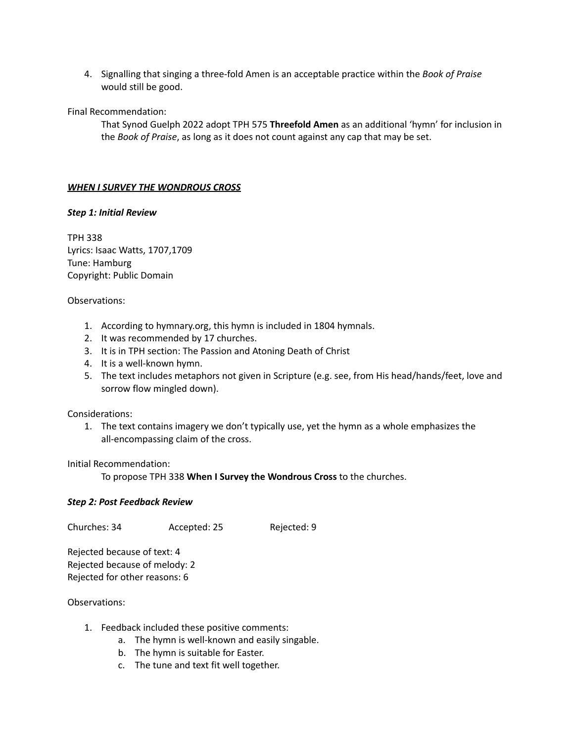4. Signalling that singing a three-fold Amen is an acceptable practice within the *Book of Praise* would still be good.

Final Recommendation:

That Synod Guelph 2022 adopt TPH 575 **Threefold Amen** as an additional 'hymn' for inclusion in the *Book of Praise*, as long as it does not count against any cap that may be set.

## *WHEN I SURVEY THE WONDROUS CROSS*

### *Step 1: Initial Review*

TPH 338 Lyrics: Isaac Watts, 1707,1709 Tune: Hamburg Copyright: Public Domain

### Observations:

- 1. According to hymnary.org, this hymn is included in 1804 hymnals.
- 2. It was recommended by 17 churches.
- 3. It is in TPH section: The Passion and Atoning Death of Christ
- 4. It is a well-known hymn.
- 5. The text includes metaphors not given in Scripture (e.g. see, from His head/hands/feet, love and sorrow flow mingled down).

### Considerations:

1. The text contains imagery we don't typically use, yet the hymn as a whole emphasizes the all-encompassing claim of the cross.

Initial Recommendation:

To propose TPH 338 **When I Survey the Wondrous Cross** to the churches.

### *Step 2: Post Feedback Review*

Churches: 34 Accepted: 25 Rejected: 9

Rejected because of text: 4 Rejected because of melody: 2 Rejected for other reasons: 6

- 1. Feedback included these positive comments:
	- a. The hymn is well-known and easily singable.
	- b. The hymn is suitable for Easter.
	- c. The tune and text fit well together.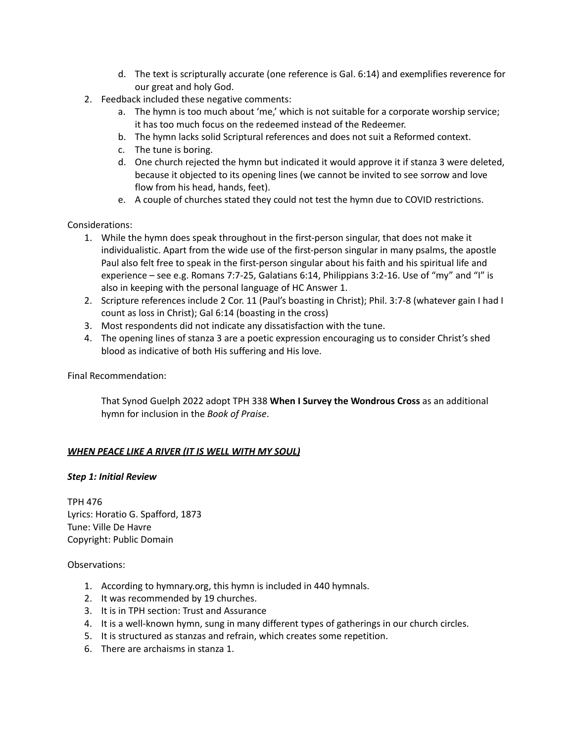- d. The text is scripturally accurate (one reference is Gal. 6:14) and exemplifies reverence for our great and holy God.
- 2. Feedback included these negative comments:
	- a. The hymn is too much about 'me,' which is not suitable for a corporate worship service; it has too much focus on the redeemed instead of the Redeemer.
	- b. The hymn lacks solid Scriptural references and does not suit a Reformed context.
	- c. The tune is boring.
	- d. One church rejected the hymn but indicated it would approve it if stanza 3 were deleted, because it objected to its opening lines (we cannot be invited to see sorrow and love flow from his head, hands, feet).
	- e. A couple of churches stated they could not test the hymn due to COVID restrictions.

Considerations:

- 1. While the hymn does speak throughout in the first-person singular, that does not make it individualistic. Apart from the wide use of the first-person singular in many psalms, the apostle Paul also felt free to speak in the first-person singular about his faith and his spiritual life and experience – see e.g. Romans 7:7-25, Galatians 6:14, Philippians 3:2-16. Use of "my" and "I" is also in keeping with the personal language of HC Answer 1.
- 2. Scripture references include 2 Cor. 11 (Paul's boasting in Christ); Phil. 3:7-8 (whatever gain I had I count as loss in Christ); Gal 6:14 (boasting in the cross)
- 3. Most respondents did not indicate any dissatisfaction with the tune.
- 4. The opening lines of stanza 3 are a poetic expression encouraging us to consider Christ's shed blood as indicative of both His suffering and His love.

Final Recommendation:

That Synod Guelph 2022 adopt TPH 338 **When I Survey the Wondrous Cross** as an additional hymn for inclusion in the *Book of Praise*.

### *WHEN PEACE LIKE A RIVER (IT IS WELL WITH MY SOUL)*

### *Step 1: Initial Review*

TPH 476 Lyrics: Horatio G. Spafford, 1873 Tune: Ville De Havre Copyright: Public Domain

- 1. According to hymnary.org, this hymn is included in 440 hymnals.
- 2. It was recommended by 19 churches.
- 3. It is in TPH section: Trust and Assurance
- 4. It is a well-known hymn, sung in many different types of gatherings in our church circles.
- 5. It is structured as stanzas and refrain, which creates some repetition.
- 6. There are archaisms in stanza 1.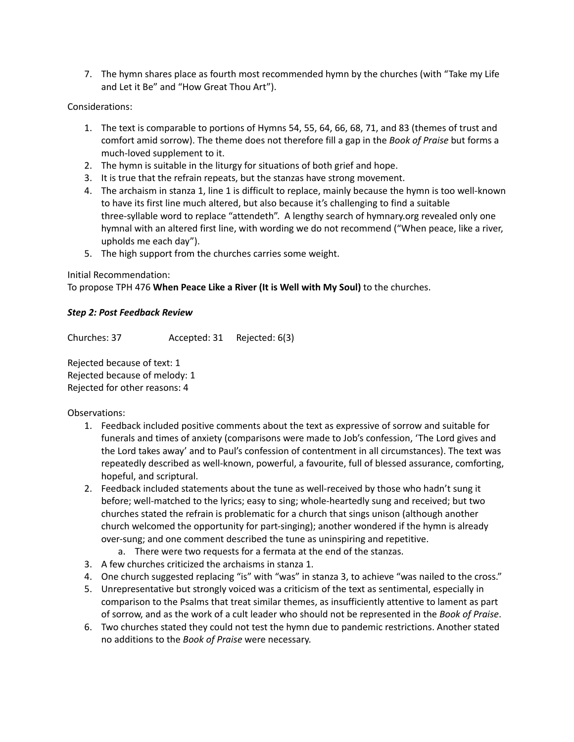7. The hymn shares place as fourth most recommended hymn by the churches (with "Take my Life and Let it Be" and "How Great Thou Art").

## Considerations:

- 1. The text is comparable to portions of Hymns 54, 55, 64, 66, 68, 71, and 83 (themes of trust and comfort amid sorrow). The theme does not therefore fill a gap in the *Book of Praise* but forms a much-loved supplement to it.
- 2. The hymn is suitable in the liturgy for situations of both grief and hope.
- 3. It is true that the refrain repeats, but the stanzas have strong movement.
- 4. The archaism in stanza 1, line 1 is difficult to replace, mainly because the hymn is too well-known to have its first line much altered, but also because it's challenging to find a suitable three-syllable word to replace "attendeth". A lengthy search of hymnary.org revealed only one hymnal with an altered first line, with wording we do not recommend ("When peace, like a river, upholds me each day").
- 5. The high support from the churches carries some weight.

## Initial Recommendation:

To propose TPH 476 **When Peace Like a River (It is Well with My Soul)** to the churches.

## *Step 2: Post Feedback Review*

Churches: 37 Accepted: 31 Rejected: 6(3)

Rejected because of text: 1 Rejected because of melody: 1 Rejected for other reasons: 4

- 1. Feedback included positive comments about the text as expressive of sorrow and suitable for funerals and times of anxiety (comparisons were made to Job's confession, 'The Lord gives and the Lord takes away' and to Paul's confession of contentment in all circumstances). The text was repeatedly described as well-known, powerful, a favourite, full of blessed assurance, comforting, hopeful, and scriptural.
- 2. Feedback included statements about the tune as well-received by those who hadn't sung it before; well-matched to the lyrics; easy to sing; whole-heartedly sung and received; but two churches stated the refrain is problematic for a church that sings unison (although another church welcomed the opportunity for part-singing); another wondered if the hymn is already over-sung; and one comment described the tune as uninspiring and repetitive.
	- a. There were two requests for a fermata at the end of the stanzas.
- 3. A few churches criticized the archaisms in stanza 1.
- 4. One church suggested replacing "is" with "was" in stanza 3, to achieve "was nailed to the cross."
- 5. Unrepresentative but strongly voiced was a criticism of the text as sentimental, especially in comparison to the Psalms that treat similar themes, as insufficiently attentive to lament as part of sorrow, and as the work of a cult leader who should not be represented in the *Book of Praise*.
- 6. Two churches stated they could not test the hymn due to pandemic restrictions. Another stated no additions to the *Book of Praise* were necessary.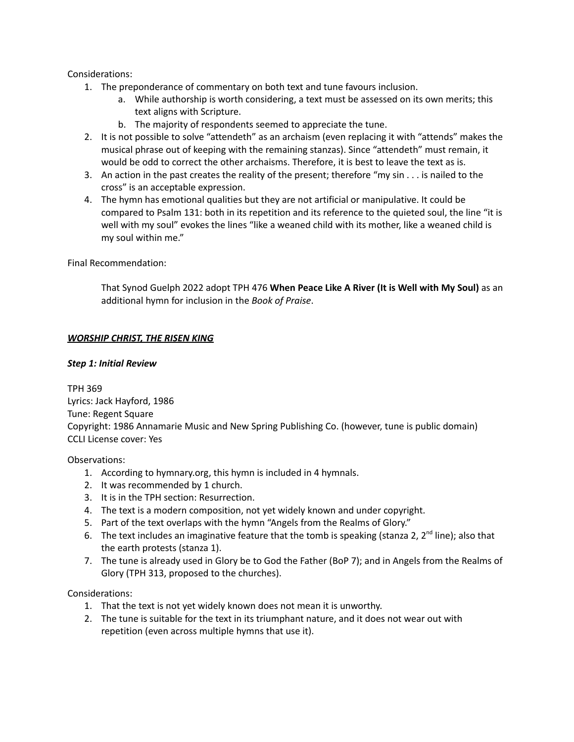### Considerations:

- 1. The preponderance of commentary on both text and tune favours inclusion.
	- a. While authorship is worth considering, a text must be assessed on its own merits; this text aligns with Scripture.
	- b. The majority of respondents seemed to appreciate the tune.
- 2. It is not possible to solve "attendeth" as an archaism (even replacing it with "attends" makes the musical phrase out of keeping with the remaining stanzas). Since "attendeth" must remain, it would be odd to correct the other archaisms. Therefore, it is best to leave the text as is.
- 3. An action in the past creates the reality of the present; therefore "my sin . . . is nailed to the cross" is an acceptable expression.
- 4. The hymn has emotional qualities but they are not artificial or manipulative. It could be compared to Psalm 131: both in its repetition and its reference to the quieted soul, the line "it is well with my soul" evokes the lines "like a weaned child with its mother, like a weaned child is my soul within me."

Final Recommendation:

That Synod Guelph 2022 adopt TPH 476 **When Peace Like A River (It is Well with My Soul)** as an additional hymn for inclusion in the *Book of Praise*.

#### *WORSHIP CHRIST, THE RISEN KING*

#### *Step 1: Initial Review*

TPH 369 Lyrics: Jack Hayford, 1986 Tune: Regent Square Copyright: 1986 Annamarie Music and New Spring Publishing Co. (however, tune is public domain) CCLI License cover: Yes

Observations:

- 1. According to hymnary.org, this hymn is included in 4 hymnals.
- 2. It was recommended by 1 church.
- 3. It is in the TPH section: Resurrection.
- 4. The text is a modern composition, not yet widely known and under copyright.
- 5. Part of the text overlaps with the hymn "Angels from the Realms of Glory."
- 6. The text includes an imaginative feature that the tomb is speaking (stanza 2,  $2^{nd}$  line); also that the earth protests (stanza 1).
- 7. The tune is already used in Glory be to God the Father (BoP 7); and in Angels from the Realms of Glory (TPH 313, proposed to the churches).

- 1. That the text is not yet widely known does not mean it is unworthy.
- 2. The tune is suitable for the text in its triumphant nature, and it does not wear out with repetition (even across multiple hymns that use it).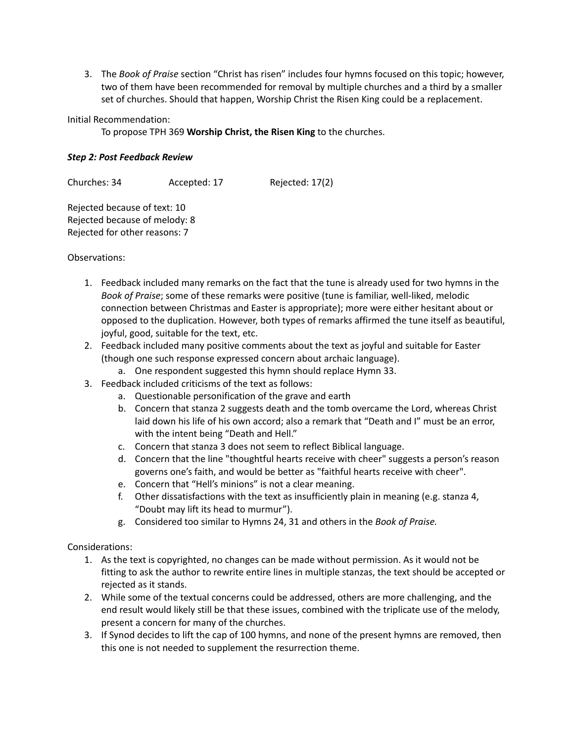3. The *Book of Praise* section "Christ has risen" includes four hymns focused on this topic; however, two of them have been recommended for removal by multiple churches and a third by a smaller set of churches. Should that happen, Worship Christ the Risen King could be a replacement.

Initial Recommendation:

To propose TPH 369 **Worship Christ, the Risen King** to the churches.

## *Step 2: Post Feedback Review*

Churches: 34 Accepted: 17 Rejected: 17(2)

Rejected because of text: 10 Rejected because of melody: 8 Rejected for other reasons: 7

Observations:

- 1. Feedback included many remarks on the fact that the tune is already used for two hymns in the *Book of Praise*; some of these remarks were positive (tune is familiar, well-liked, melodic connection between Christmas and Easter is appropriate); more were either hesitant about or opposed to the duplication. However, both types of remarks affirmed the tune itself as beautiful, joyful, good, suitable for the text, etc.
- 2. Feedback included many positive comments about the text as joyful and suitable for Easter (though one such response expressed concern about archaic language).
	- a. One respondent suggested this hymn should replace Hymn 33.
- 3. Feedback included criticisms of the text as follows:
	- a. Questionable personification of the grave and earth
	- b. Concern that stanza 2 suggests death and the tomb overcame the Lord, whereas Christ laid down his life of his own accord; also a remark that "Death and I" must be an error, with the intent being "Death and Hell."
	- c. Concern that stanza 3 does not seem to reflect Biblical language.
	- d. Concern that the line "thoughtful hearts receive with cheer" suggests a person's reason governs one's faith, and would be better as "faithful hearts receive with cheer".
	- e. Concern that "Hell's minions" is not a clear meaning.
	- f. Other dissatisfactions with the text as insufficiently plain in meaning (e.g. stanza 4, "Doubt may lift its head to murmur").
	- g. Considered too similar to Hymns 24, 31 and others in the *Book of Praise.*

- 1. As the text is copyrighted, no changes can be made without permission. As it would not be fitting to ask the author to rewrite entire lines in multiple stanzas, the text should be accepted or rejected as it stands.
- 2. While some of the textual concerns could be addressed, others are more challenging, and the end result would likely still be that these issues, combined with the triplicate use of the melody, present a concern for many of the churches.
- 3. If Synod decides to lift the cap of 100 hymns, and none of the present hymns are removed, then this one is not needed to supplement the resurrection theme.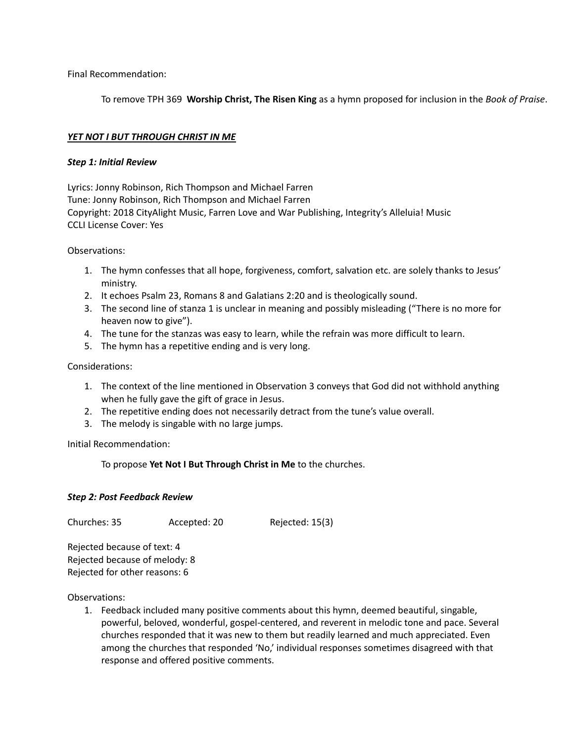Final Recommendation:

To remove TPH 369 **Worship Christ, The Risen King** as a hymn proposed for inclusion in the *Book of Praise*.

#### *YET NOT I BUT THROUGH CHRIST IN ME*

#### *Step 1: Initial Review*

Lyrics: Jonny Robinson, Rich Thompson and Michael Farren Tune: Jonny Robinson, Rich Thompson and Michael Farren Copyright: 2018 CityAlight Music, Farren Love and War Publishing, Integrity's Alleluia! Music CCLI License Cover: Yes

Observations:

- 1. The hymn confesses that all hope, forgiveness, comfort, salvation etc. are solely thanks to Jesus' ministry.
- 2. It echoes Psalm 23, Romans 8 and Galatians 2:20 and is theologically sound.
- 3. The second line of stanza 1 is unclear in meaning and possibly misleading ("There is no more for heaven now to give").
- 4. The tune for the stanzas was easy to learn, while the refrain was more difficult to learn.
- 5. The hymn has a repetitive ending and is very long.

#### Considerations:

- 1. The context of the line mentioned in Observation 3 conveys that God did not withhold anything when he fully gave the gift of grace in Jesus.
- 2. The repetitive ending does not necessarily detract from the tune's value overall.
- 3. The melody is singable with no large jumps.

Initial Recommendation:

To propose **Yet Not I But Through Christ in Me** to the churches.

#### *Step 2: Post Feedback Review*

Churches: 35 Accepted: 20 Rejected: 15(3)

Rejected because of text: 4 Rejected because of melody: 8 Rejected for other reasons: 6

Observations:

1. Feedback included many positive comments about this hymn, deemed beautiful, singable, powerful, beloved, wonderful, gospel-centered, and reverent in melodic tone and pace. Several churches responded that it was new to them but readily learned and much appreciated. Even among the churches that responded 'No,' individual responses sometimes disagreed with that response and offered positive comments.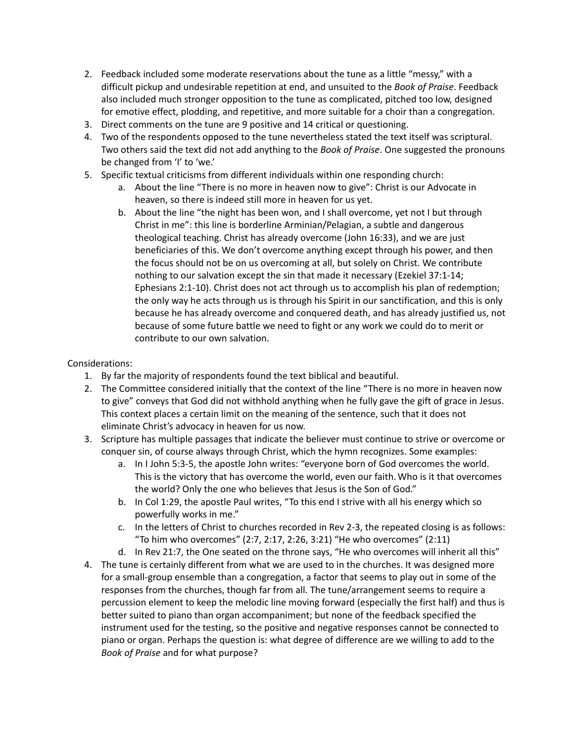- 2. Feedback included some moderate reservations about the tune as a little "messy," with a difficult pickup and undesirable repetition at end, and unsuited to the *Book of Praise*. Feedback also included much stronger opposition to the tune as complicated, pitched too low, designed for emotive effect, plodding, and repetitive, and more suitable for a choir than a congregation.
- 3. Direct comments on the tune are 9 positive and 14 critical or questioning.
- 4. Two of the respondents opposed to the tune nevertheless stated the text itself was scriptural. Two others said the text did not add anything to the *Book of Praise*. One suggested the pronouns be changed from 'I' to 'we.'
- 5. Specific textual criticisms from different individuals within one responding church:
	- a. About the line "There is no more in heaven now to give": Christ is our Advocate in heaven, so there is indeed still more in heaven for us yet.
	- b. About the line "the night has been won, and I shall overcome, yet not I but through Christ in me": this line is borderline Arminian/Pelagian, a subtle and dangerous theological teaching. Christ has already overcome (John 16:33), and we are just beneficiaries of this. We don't overcome anything except through his power, and then the focus should not be on us overcoming at all, but solely on Christ. We contribute nothing to our salvation except the sin that made it necessary (Ezekiel 37:1-14; Ephesians 2:1-10). Christ does not act through us to accomplish his plan of redemption; the only way he acts through us is through his Spirit in our sanctification, and this is only because he has already overcome and conquered death, and has already justified us, not because of some future battle we need to fight or any work we could do to merit or contribute to our own salvation.

- 1. By far the majority of respondents found the text biblical and beautiful.
- 2. The Committee considered initially that the context of the line "There is no more in heaven now to give" conveys that God did not withhold anything when he fully gave the gift of grace in Jesus. This context places a certain limit on the meaning of the sentence, such that it does not eliminate Christ's advocacy in heaven for us now.
- 3. Scripture has multiple passages that indicate the believer must continue to strive or overcome or conquer sin, of course always through Christ, which the hymn recognizes. Some examples:
	- a. In I John 5:3-5, the apostle John writes: "everyone born of God overcomes the world. This is the victory that has overcome the world, even our faith.Who is it that overcomes the world? Only the one who believes that Jesus is the Son of God."
	- b. In Col 1:29, the apostle Paul writes, "To this end I strive with all his energy which so powerfully works in me."
	- c. In the letters of Christ to churches recorded in Rev 2-3, the repeated closing is as follows: "To him who overcomes" (2:7, 2:17, 2:26, 3:21) "He who overcomes" (2:11)
	- d. In Rev 21:7, the One seated on the throne says, "He who overcomes will inherit all this"
- 4. The tune is certainly different from what we are used to in the churches. It was designed more for a small-group ensemble than a congregation, a factor that seems to play out in some of the responses from the churches, though far from all. The tune/arrangement seems to require a percussion element to keep the melodic line moving forward (especially the first half) and thus is better suited to piano than organ accompaniment; but none of the feedback specified the instrument used for the testing, so the positive and negative responses cannot be connected to piano or organ. Perhaps the question is: what degree of difference are we willing to add to the *Book of Praise* and for what purpose?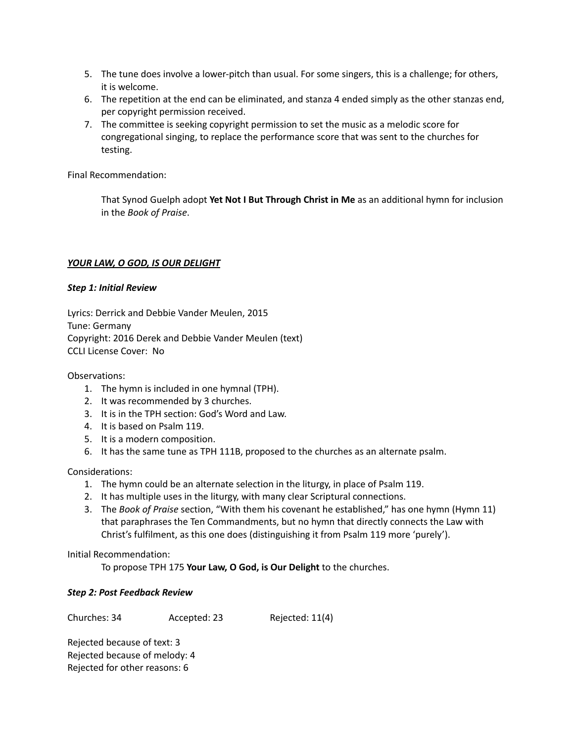- 5. The tune does involve a lower-pitch than usual. For some singers, this is a challenge; for others, it is welcome.
- 6. The repetition at the end can be eliminated, and stanza 4 ended simply as the other stanzas end, per copyright permission received.
- 7. The committee is seeking copyright permission to set the music as a melodic score for congregational singing, to replace the performance score that was sent to the churches for testing.

Final Recommendation:

That Synod Guelph adopt **Yet Not I But Through Christ in Me** as an additional hymn for inclusion in the *Book of Praise*.

## *YOUR LAW, O GOD, IS OUR DELIGHT*

## *Step 1: Initial Review*

Lyrics: Derrick and Debbie Vander Meulen, 2015 Tune: Germany Copyright: 2016 Derek and Debbie Vander Meulen (text) CCLI License Cover: No

Observations:

- 1. The hymn is included in one hymnal (TPH).
- 2. It was recommended by 3 churches.
- 3. It is in the TPH section: God's Word and Law.
- 4. It is based on Psalm 119.
- 5. It is a modern composition.
- 6. It has the same tune as TPH 111B, proposed to the churches as an alternate psalm.

Considerations:

- 1. The hymn could be an alternate selection in the liturgy, in place of Psalm 119.
- 2. It has multiple uses in the liturgy, with many clear Scriptural connections.
- 3. The *Book of Praise* section, "With them his covenant he established," has one hymn (Hymn 11) that paraphrases the Ten Commandments, but no hymn that directly connects the Law with Christ's fulfilment, as this one does (distinguishing it from Psalm 119 more 'purely').

Initial Recommendation:

To propose TPH 175 **Your Law, O God, is Our Delight** to the churches.

## *Step 2: Post Feedback Review*

Churches: 34 Accepted: 23 Rejected: 11(4)

Rejected because of text: 3 Rejected because of melody: 4 Rejected for other reasons: 6